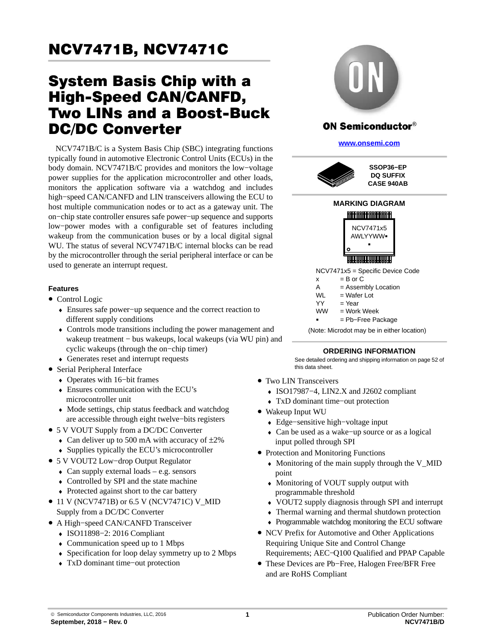# System Basis Chip with a High-Speed CAN/CANFD, Two LINs and a Boost-Buck DC/DC Converter

NCV7471B/C is a System Basis Chip (SBC) integrating functions typically found in automotive Electronic Control Units (ECUs) in the body domain. NCV7471B/C provides and monitors the low−voltage power supplies for the application microcontroller and other loads, monitors the application software via a watchdog and includes high−speed CAN/CANFD and LIN transceivers allowing the ECU to host multiple communication nodes or to act as a gateway unit. The on−chip state controller ensures safe power−up sequence and supports low−power modes with a configurable set of features including wakeup from the communication buses or by a local digital signal WU. The status of several NCV7471B/C internal blocks can be read by the microcontroller through the serial peripheral interface or can be used to generate an interrupt request.

#### **Features**

- Control Logic
	- ♦ Ensures safe power−up sequence and the correct reaction to different supply conditions
	- ♦ Controls mode transitions including the power management and wakeup treatment − bus wakeups, local wakeups (via WU pin) and cyclic wakeups (through the on−chip timer)
	- ♦ Generates reset and interrupt requests
- Serial Peripheral Interface
	- ♦ Operates with 16−bit frames
	- ♦ Ensures communication with the ECU's microcontroller unit
	- ♦ Mode settings, chip status feedback and watchdog are accessible through eight twelve−bits registers
- 5 V VOUT Supply from a DC/DC Converter
	- $\triangle$  Can deliver up to 500 mA with accuracy of  $\pm 2\%$
	- ♦ Supplies typically the ECU's microcontroller
- 5 V VOUT2 Low−drop Output Regulator
	- $\triangleleft$  Can supply external loads e.g. sensors
	- ♦ Controlled by SPI and the state machine
	- ♦ Protected against short to the car battery
- 11 V (NCV7471B) or 6.5 V (NCV7471C) V MID Supply from a DC/DC Converter
- A High−speed CAN/CANFD Transceiver
	- ♦ ISO11898−2: 2016 Compliant
	- $\triangle$  Communication speed up to 1 Mbps
	- ♦ Specification for loop delay symmetry up to 2 Mbps
	- ♦ TxD dominant time−out protection



**[www.onsemi.com]( http://www.onsemi.com/)**





- $YY = Year$ <br> $M/M = Work$  $=$  Work Week
- -= Pb−Free Package

(Note: Microdot may be in either location)

#### **ORDERING INFORMATION**

See detailed ordering and shipping information on page [52](#page-51-0) of this data sheet.

- Two LIN Transceivers
	- ♦ ISO17987−4, LIN2.X and J2602 compliant
	- ♦ TxD dominant time−out protection
- Wakeup Input WU
	- ♦ Edge−sensitive high−voltage input
	- ♦ Can be used as a wake−up source or as a logical input polled through SPI
- Protection and Monitoring Functions
	- ♦ Monitoring of the main supply through the V\_MID point
	- ♦ Monitoring of VOUT supply output with programmable threshold
	- ♦ VOUT2 supply diagnosis through SPI and interrupt
	- ♦ Thermal warning and thermal shutdown protection
	- ♦ Programmable watchdog monitoring the ECU software
- NCV Prefix for Automotive and Other Applications Requiring Unique Site and Control Change Requirements; AEC−Q100 Qualified and PPAP Capable
- These Devices are Pb−Free, Halogen Free/BFR Free and are RoHS Compliant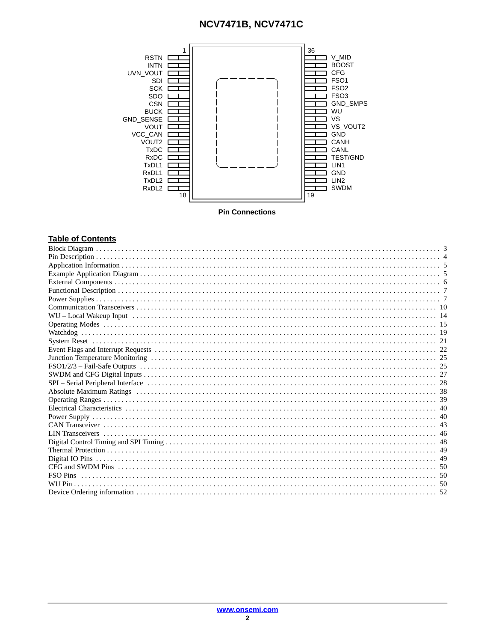

**Pin Connections** 

#### **Table of Contents**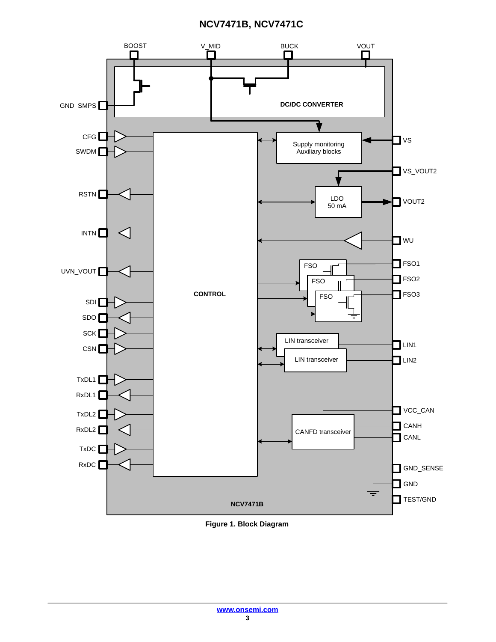<span id="page-2-0"></span>

**Figure 1. Block Diagram**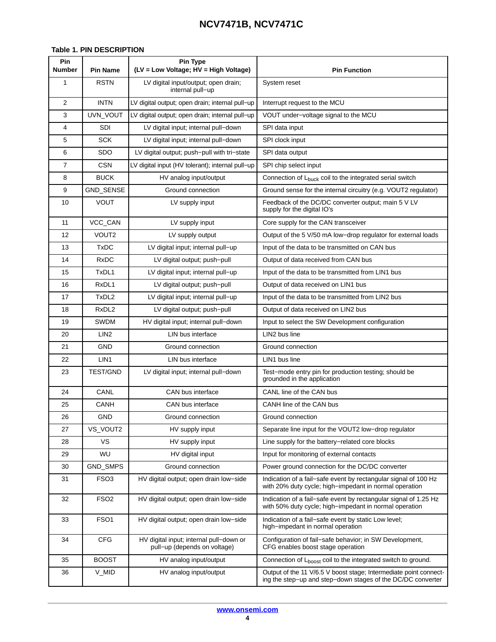#### <span id="page-3-0"></span>**Table 1. PIN DESCRIPTION**

| Pin<br><b>Number</b> | <b>Pin Name</b>   | Pin Type<br>(LV = Low Voltage; HV = High Voltage)                       | <b>Pin Function</b>                                                                                                              |
|----------------------|-------------------|-------------------------------------------------------------------------|----------------------------------------------------------------------------------------------------------------------------------|
| 1                    | <b>RSTN</b>       | LV digital input/output; open drain;                                    | System reset                                                                                                                     |
|                      |                   | internal pull-up                                                        |                                                                                                                                  |
| $\overline{2}$       | <b>INTN</b>       | LV digital output; open drain; internal pull-up                         | Interrupt request to the MCU                                                                                                     |
| 3                    | UVN_VOUT          | LV digital output; open drain; internal pull-up                         | VOUT under-voltage signal to the MCU                                                                                             |
| 4                    | <b>SDI</b>        | LV digital input; internal pull-down                                    | SPI data input                                                                                                                   |
| 5                    | <b>SCK</b>        | LV digital input; internal pull-down                                    | SPI clock input                                                                                                                  |
| 6                    | <b>SDO</b>        | LV digital output; push-pull with tri-state                             | SPI data output                                                                                                                  |
| $\overline{7}$       | <b>CSN</b>        | LV digital input (HV tolerant); internal pull-up                        | SPI chip select input                                                                                                            |
| 8                    | <b>BUCK</b>       | HV analog input/output                                                  | Connection of L <sub>buck</sub> coil to the integrated serial switch                                                             |
| 9                    | GND_SENSE         | Ground connection                                                       | Ground sense for the internal circuitry (e.g. VOUT2 regulator)                                                                   |
| 10                   | <b>VOUT</b>       | LV supply input                                                         | Feedback of the DC/DC converter output; main 5 V LV<br>supply for the digital IO's                                               |
| 11                   | VCC_CAN           | LV supply input                                                         | Core supply for the CAN transceiver                                                                                              |
| 12                   | VOUT2             | LV supply output                                                        | Output of the 5 V/50 mA low-drop regulator for external loads                                                                    |
| 13                   | <b>TxDC</b>       | LV digital input; internal pull-up                                      | Input of the data to be transmitted on CAN bus                                                                                   |
| 14                   | <b>RxDC</b>       | LV digital output; push-pull                                            | Output of data received from CAN bus                                                                                             |
| 15                   | TxDL1             | LV digital input; internal pull-up                                      | Input of the data to be transmitted from LIN1 bus                                                                                |
| 16                   | RxDL1             | LV digital output; push-pull                                            | Output of data received on LIN1 bus                                                                                              |
| 17                   | TxDL2             | LV digital input; internal pull-up                                      | Input of the data to be transmitted from LIN2 bus                                                                                |
| 18                   | RxDL <sub>2</sub> | LV digital output; push-pull                                            | Output of data received on LIN2 bus                                                                                              |
| 19                   | <b>SWDM</b>       | HV digital input; internal pull-down                                    | Input to select the SW Development configuration                                                                                 |
| 20                   | LIN <sub>2</sub>  | LIN bus interface                                                       | LIN2 bus line                                                                                                                    |
| 21                   | <b>GND</b>        | Ground connection                                                       | Ground connection                                                                                                                |
| 22                   | LIN1              | LIN bus interface                                                       | LIN1 bus line                                                                                                                    |
| 23                   | <b>TEST/GND</b>   | LV digital input; internal pull-down                                    | Test-mode entry pin for production testing; should be<br>grounded in the application                                             |
| 24                   | CANL              | CAN bus interface                                                       | CANL line of the CAN bus                                                                                                         |
| 25                   | CANH              | CAN bus interface                                                       | CANH line of the CAN bus                                                                                                         |
| 26                   | GND               | Ground connection                                                       | Ground connection                                                                                                                |
| 27                   | VS_VOUT2          | HV supply input                                                         | Separate line input for the VOUT2 low-drop regulator                                                                             |
| 28                   | VS                | HV supply input                                                         | Line supply for the battery-related core blocks                                                                                  |
| 29                   | WU                | HV digital input                                                        | Input for monitoring of external contacts                                                                                        |
| 30                   | GND_SMPS          | Ground connection                                                       | Power ground connection for the DC/DC converter                                                                                  |
| 31                   | FSO <sub>3</sub>  | HV digital output; open drain low-side                                  | Indication of a fail–safe event by rectangular signal of 100 Hz<br>with 20% duty cycle; high-impedant in normal operation        |
| 32                   | FSO <sub>2</sub>  | HV digital output; open drain low-side                                  | Indication of a fail-safe event by rectangular signal of 1.25 Hz<br>with 50% duty cycle; high-impedant in normal operation       |
| 33                   | FSO <sub>1</sub>  | HV digital output; open drain low-side                                  | Indication of a fail-safe event by static Low level;<br>high-impedant in normal operation                                        |
| 34                   | <b>CFG</b>        | HV digital input; internal pull-down or<br>pull-up (depends on voltage) | Configuration of fail-safe behavior; in SW Development,<br>CFG enables boost stage operation                                     |
| 35                   | <b>BOOST</b>      | HV analog input/output                                                  | Connection of L <sub>boost</sub> coil to the integrated switch to ground.                                                        |
| 36                   | V_MID             | HV analog input/output                                                  | Output of the 11 V/6.5 V boost stage; Intermediate point connect-<br>ing the step-up and step-down stages of the DC/DC converter |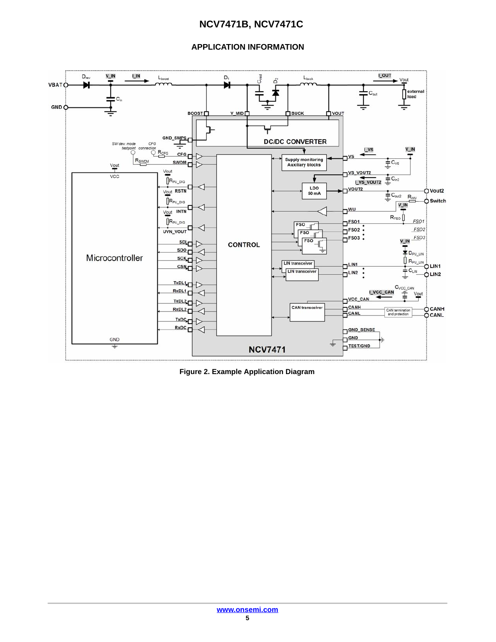#### **APPLICATION INFORMATION**

<span id="page-4-0"></span>

**Figure 2. Example Application Diagram**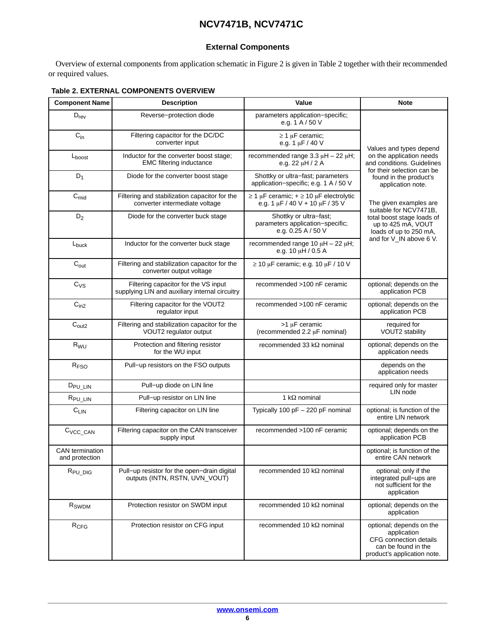#### **External Components**

<span id="page-5-0"></span>Overview of external components from application schematic in Figure [2](#page-4-0) is given in Table 2 together with their recommended or required values.

#### **Table 2. EXTERNAL COMPONENTS OVERVIEW**

| <b>Component Name</b>                    | <b>Description</b>                                                                                                    | Value                                                                                         | <b>Note</b>                                                                                                             |
|------------------------------------------|-----------------------------------------------------------------------------------------------------------------------|-----------------------------------------------------------------------------------------------|-------------------------------------------------------------------------------------------------------------------------|
| $D_{rev}$                                | Reverse-protection diode                                                                                              | parameters application-specific;<br>e.g. 1 A / 50 V                                           |                                                                                                                         |
| $\mathrm{C}_{\text{in}}$                 | Filtering capacitor for the DC/DC<br>converter input                                                                  | $\geq$ 1 µF ceramic;<br>e.g. 1 µF / 40 V                                                      | Values and types depend                                                                                                 |
| $L_{boost}$                              | Inductor for the converter boost stage;<br><b>EMC filtering inductance</b>                                            | recommended range $3.3 \mu H - 22 \mu H$ ;<br>e.g. 22 $\mu$ H / 2 A                           | on the application needs<br>and conditions. Guidelines                                                                  |
| $D_1$                                    | Diode for the converter boost stage                                                                                   | Shottky or ultra-fast; parameters<br>application-specific; e.g. 1 A / 50 V                    | for their selection can be<br>found in the product's<br>application note.                                               |
| $C_{mid}$                                | Filtering and stabilization capacitor for the<br>converter intermediate voltage                                       | $\geq$ 1 µF ceramic; + $\geq$ 10 µF electrolytic<br>e.g. 1 $\mu$ F / 40 V + 10 $\mu$ F / 35 V | The given examples are<br>suitable for NCV7471B.                                                                        |
| $D_2$                                    | Diode for the converter buck stage                                                                                    | Shottky or ultra-fast;<br>parameters application-specific;<br>e.g. 0.25 A / 50 V              | total boost stage loads of<br>up to 425 mA, VOUT<br>loads of up to 250 mA,                                              |
| L <sub>buck</sub>                        | Inductor for the converter buck stage                                                                                 | recommended range 10 $\mu$ H - 22 $\mu$ H;<br>e.g. 10 µH / 0.5 A                              | and for V_IN above 6 V.                                                                                                 |
| $C_{\text{out}}$                         | Filtering and stabilization capacitor for the<br>converter output voltage                                             | $\geq$ 10 µF ceramic; e.g. 10 µF / 10 V                                                       |                                                                                                                         |
| $C_{VS}$                                 | recommended >100 nF ceramic<br>Filtering capacitor for the VS input<br>supplying LIN and auxiliary internal circuitry |                                                                                               | optional; depends on the<br>application PCB                                                                             |
| C <sub>in2</sub>                         | Filtering capacitor for the VOUT2<br>requlator input                                                                  | recommended >100 nF ceramic                                                                   | optional; depends on the<br>application PCB                                                                             |
| $\mathrm{C}_{\text{out2}}$               | Filtering and stabilization capacitor for the<br>VOUT2 regulator output                                               | $>1 \mu$ F ceramic<br>(recommended 2.2 µF nominal)                                            | required for<br>VOUT2 stability                                                                                         |
| R <sub>WU</sub>                          | Protection and filtering resistor<br>for the WU input                                                                 | recommended 33 $k\Omega$ nominal                                                              | optional; depends on the<br>application needs                                                                           |
| R <sub>FSO</sub>                         | Pull-up resistors on the FSO outputs                                                                                  |                                                                                               | depends on the<br>application needs                                                                                     |
| D <sub>PU_LIN</sub>                      | Pull-up diode on LIN line                                                                                             |                                                                                               | required only for master                                                                                                |
| R <sub>PU_LIN</sub>                      | Pull-up resistor on LIN line                                                                                          | 1 k $\Omega$ nominal                                                                          | LIN node                                                                                                                |
| $C_{LIN}$                                | Filtering capacitor on LIN line                                                                                       | Typically 100 pF - 220 pF nominal                                                             | optional; is function of the<br>entire LIN network                                                                      |
| C <sub>VCC_CAN</sub>                     | Filtering capacitor on the CAN transceiver<br>supply input                                                            | recommended >100 nF ceramic                                                                   | optional; depends on the<br>application PCB                                                                             |
| <b>CAN</b> termination<br>and protection |                                                                                                                       |                                                                                               | optional; is function of the<br>entire CAN network                                                                      |
| R <sub>PU_DIG</sub>                      | Pull-up resistor for the open-drain digital<br>outputs (INTN, RSTN, UVN VOUT)                                         | recommended 10 $k\Omega$ nominal                                                              | optional; only if the<br>integrated pull-ups are<br>not sufficient for the<br>application                               |
| R <sub>SWDM</sub>                        | Protection resistor on SWDM input                                                                                     | recommended 10 $k\Omega$ nominal                                                              | optional; depends on the<br>application                                                                                 |
| $R_{CFG}$                                | Protection resistor on CFG input                                                                                      | recommended 10 $k\Omega$ nominal                                                              | optional; depends on the<br>application<br>CFG connection details<br>can be found in the<br>product's application note. |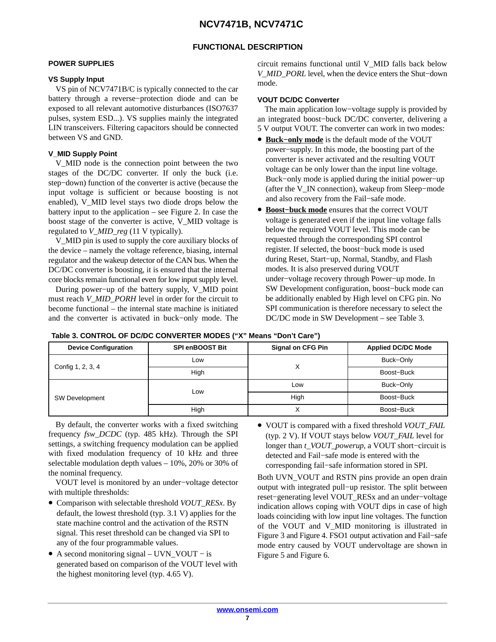#### **FUNCTIONAL DESCRIPTION**

#### <span id="page-6-0"></span>**POWER SUPPLIES**

#### **VS Supply Input**

VS pin of NCV7471B/C is typically connected to the car battery through a reverse−protection diode and can be exposed to all relevant automotive disturbances (ISO7637 pulses, system ESD...). VS supplies mainly the integrated LIN transceivers. Filtering capacitors should be connected between VS and GND.

#### **V\_MID Supply Point**

V\_MID node is the connection point between the two stages of the DC/DC converter. If only the buck (i.e. step−down) function of the converter is active (because the input voltage is sufficient or because boosting is not enabled), V\_MID level stays two diode drops below the battery input to the application – see Figure [2.](#page-4-0) In case the boost stage of the converter is active, V\_MID voltage is regulated to *V\_MID\_reg* (11 V typically).

V\_MID pin is used to supply the core auxiliary blocks of the device – namely the voltage reference, biasing, internal regulator and the wakeup detector of the CAN bus. When the DC/DC converter is boosting, it is ensured that the internal core blocks remain functional even for low input supply level.

During power−up of the battery supply, V\_MID point must reach *V\_MID\_PORH* level in order for the circuit to become functional – the internal state machine is initiated and the converter is activated in buck−only mode. The

circuit remains functional until V\_MID falls back below *V\_MID\_PORL* level, when the device enters the Shut−down mode.

#### **VOUT DC/DC Converter**

The main application low−voltage supply is provided by an integrated boost−buck DC/DC converter, delivering a 5 V output VOUT. The converter can work in two modes:

- **Buck−only mode** is the default mode of the VOUT power−supply. In this mode, the boosting part of the converter is never activated and the resulting VOUT voltage can be only lower than the input line voltage. Buck−only mode is applied during the initial power−up (after the V\_IN connection), wakeup from Sleep−mode and also recovery from the Fail−safe mode.
- **Boost−buck mode** ensures that the correct VOUT voltage is generated even if the input line voltage falls below the required VOUT level. This mode can be requested through the corresponding SPI control register. If selected, the boost−buck mode is used during Reset, Start−up, Normal, Standby, and Flash modes. It is also preserved during VOUT under−voltage recovery through Power−up mode. In SW Development configuration, boost−buck mode can be additionally enabled by High level on CFG pin. No SPI communication is therefore necessary to select the DC/DC mode in SW Development – see Table 3.

| <b>Device Configuration</b> | <b>SPI enBOOST Bit</b> | <b>Signal on CFG Pin</b> |            |
|-----------------------------|------------------------|--------------------------|------------|
|                             | Low                    | $\check{ }$              | Buck-Only  |
| Config 1, 2, 3, 4           | High                   |                          | Boost-Buck |
|                             |                        | Low                      | Buck-Only  |
| <b>SW Development</b>       | Low                    | High                     | Boost-Buck |
|                             | High                   |                          | Boost-Buck |

| Table 3. CONTROL OF DC/DC CONVERTER MODES ("X" Means "Don't Care") |  |  |  |  |  |  |  |
|--------------------------------------------------------------------|--|--|--|--|--|--|--|
|--------------------------------------------------------------------|--|--|--|--|--|--|--|

By default, the converter works with a fixed switching frequency *fsw\_DCDC* (typ. 485 kHz). Through the SPI settings, a switching frequency modulation can be applied with fixed modulation frequency of 10 kHz and three selectable modulation depth values – 10%, 20% or 30% of the nominal frequency.

VOUT level is monitored by an under−voltage detector with multiple thresholds:

- Comparison with selectable threshold *VOUT\_RESx*. By default, the lowest threshold (typ. 3.1 V) applies for the state machine control and the activation of the RSTN signal. This reset threshold can be changed via SPI to any of the four programmable values.
- A second monitoring signal UVN\_VOUT − is generated based on comparison of the VOUT level with the highest monitoring level (typ. 4.65 V).

• VOUT is compared with a fixed threshold *VOUT\_FAIL* (typ. 2 V). If VOUT stays below *VOUT\_FAIL* level for longer than *t\_VOUT\_powerup*, a VOUT short−circuit is detected and Fail−safe mode is entered with the corresponding fail−safe information stored in SPI.

Both UVN\_VOUT and RSTN pins provide an open drain output with integrated pull−up resistor. The split between reset−generating level VOUT\_RESx and an under−voltage indication allows coping with VOUT dips in case of high loads coinciding with low input line voltages. The function of the VOUT and V\_MID monitoring is illustrated in Figure [3](#page-7-0) and Figure [4](#page-7-0). FSO1 output activation and Fail−safe mode entry caused by VOUT undervoltage are shown in Figure [5](#page-8-0) and Figure [6](#page-8-0).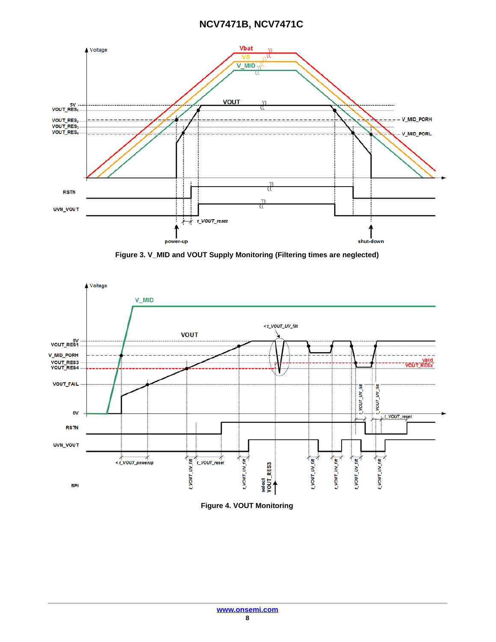<span id="page-7-0"></span>

**Figure 3. V\_MID and VOUT Supply Monitoring (Filtering times are neglected)**



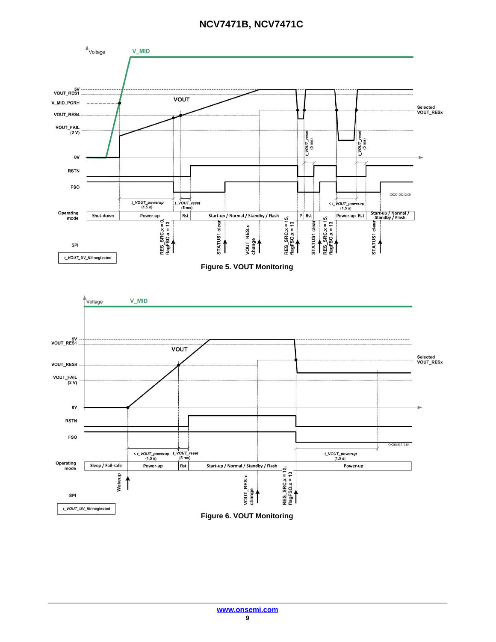<span id="page-8-0"></span>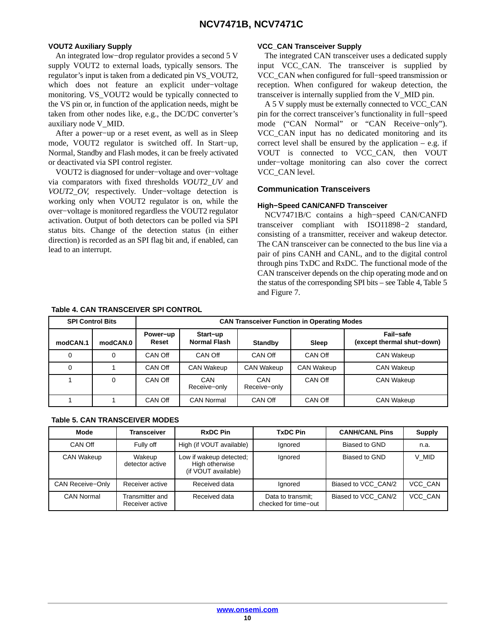#### <span id="page-9-0"></span>**VOUT2 Auxiliary Supply**

An integrated low−drop regulator provides a second 5 V supply VOUT2 to external loads, typically sensors. The regulator's input is taken from a dedicated pin VS\_VOUT2, which does not feature an explicit under−voltage monitoring. VS\_VOUT2 would be typically connected to the VS pin or, in function of the application needs, might be taken from other nodes like, e.g., the DC/DC converter's auxiliary node V\_MID.

After a power−up or a reset event, as well as in Sleep mode, VOUT2 regulator is switched off. In Start−up, Normal, Standby and Flash modes, it can be freely activated or deactivated via SPI control register.

VOUT2 is diagnosed for under−voltage and over−voltage via comparators with fixed thresholds *VOUT2\_UV* and *VOUT2\_OV*, respectively. Under−voltage detection is working only when VOUT2 regulator is on, while the over−voltage is monitored regardless the VOUT2 regulator activation. Output of both detectors can be polled via SPI status bits. Change of the detection status (in either direction) is recorded as an SPI flag bit and, if enabled, can lead to an interrupt.

#### **VCC\_CAN Transceiver Supply**

The integrated CAN transceiver uses a dedicated supply input VCC\_CAN. The transceiver is supplied by VCC\_CAN when configured for full−speed transmission or reception. When configured for wakeup detection, the transceiver is internally supplied from the V\_MID pin.

A 5 V supply must be externally connected to VCC\_CAN pin for the correct transceiver's functionality in full−speed mode ("CAN Normal" or "CAN Receive−only"). VCC\_CAN input has no dedicated monitoring and its correct level shall be ensured by the application  $-$  e.g. if VOUT is connected to VCC\_CAN, then VOUT under−voltage monitoring can also cover the correct VCC\_CAN level.

#### **Communication Transceivers**

#### **High−Speed CAN/CANFD Transceiver**

NCV7471B/C contains a high−speed CAN/CANFD transceiver compliant with ISO11898−2 standard, consisting of a transmitter, receiver and wakeup detector. The CAN transceiver can be connected to the bus line via a pair of pins CANH and CANL, and to the digital control through pins TxDC and RxDC. The functional mode of the CAN transceiver depends on the chip operating mode and on the status of the corresponding SPI bits – see Table 4, Table 5 and Figure [7](#page-10-0).

| <b>SPI Control Bits</b> |          | <b>CAN Transceiver Function in Operating Modes</b> |                          |                     |                   |                                         |
|-------------------------|----------|----------------------------------------------------|--------------------------|---------------------|-------------------|-----------------------------------------|
| modCAN.1                | modCAN.0 | Power-up<br>Reset                                  | Start-up<br>Normal Flash | <b>Standby</b>      | Sleep             | Fail-safe<br>(except thermal shut-down) |
| 0                       | 0        | CAN Off                                            | CAN Off                  | CAN Off             | CAN Off           | <b>CAN Wakeup</b>                       |
| 0                       |          | CAN Off                                            | <b>CAN Wakeup</b>        | <b>CAN Wakeup</b>   | <b>CAN Wakeup</b> | <b>CAN Wakeup</b>                       |
|                         | 0        | CAN Off                                            | CAN<br>Receive-only      | CAN<br>Receive-only | CAN Off           | <b>CAN Wakeup</b>                       |
|                         |          | CAN Off                                            | <b>CAN Normal</b>        | CAN Off             | CAN Off           | <b>CAN Wakeup</b>                       |

#### **Table 4. CAN TRANSCEIVER SPI CONTROL**

#### **Table 5. CAN TRANSCEIVER MODES**

| Mode              | Transceiver                        | <b>RxDC Pin</b>                                                  | <b>TxDC Pin</b>                           | <b>CANH/CANL Pins</b> | <b>Supply</b> |
|-------------------|------------------------------------|------------------------------------------------------------------|-------------------------------------------|-----------------------|---------------|
| CAN Off           | Fully off                          | High (if VOUT available)                                         | Ignored                                   | Biased to GND         | n.a.          |
| <b>CAN Wakeup</b> | Wakeup<br>detector active          | Low if wakeup detected;<br>High otherwise<br>(if VOUT available) | Ignored                                   | Biased to GND         | V MID         |
| CAN Receive-Only  | Receiver active                    | Received data                                                    | Ignored                                   | Biased to VCC CAN/2   | VCC CAN       |
| <b>CAN Normal</b> | Transmitter and<br>Receiver active | Received data                                                    | Data to transmit;<br>checked for time-out | Biased to VCC CAN/2   | VCC CAN       |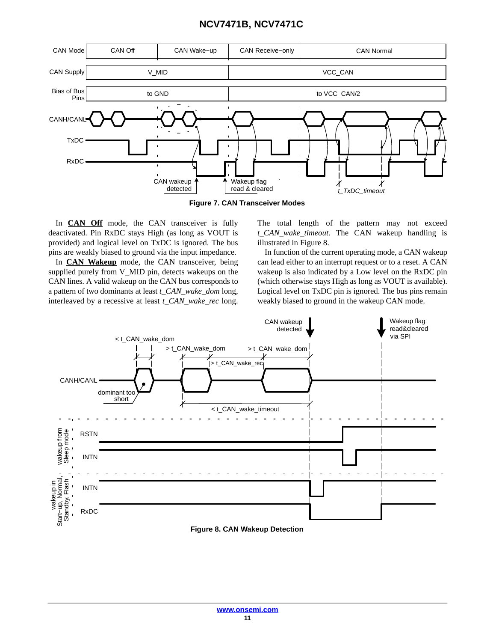<span id="page-10-0"></span>

In **CAN Off** mode, the CAN transceiver is fully deactivated. Pin RxDC stays High (as long as VOUT is provided) and logical level on TxDC is ignored. The bus pins are weakly biased to ground via the input impedance.

In **CAN Wakeup** mode, the CAN transceiver, being supplied purely from V\_MID pin, detects wakeups on the CAN lines. A valid wakeup on the CAN bus corresponds to a pattern of two dominants at least *t\_CAN\_wake\_dom* long, interleaved by a recessive at least *t\_CAN\_wake\_rec* long.

The total length of the pattern may not exceed *t\_CAN\_wake\_timeout.* The CAN wakeup handling is illustrated in Figure 8.

In function of the current operating mode, a CAN wakeup can lead either to an interrupt request or to a reset. A CAN wakeup is also indicated by a Low level on the RxDC pin (which otherwise stays High as long as VOUT is available). Logical level on TxDC pin is ignored. The bus pins remain weakly biased to ground in the wakeup CAN mode.



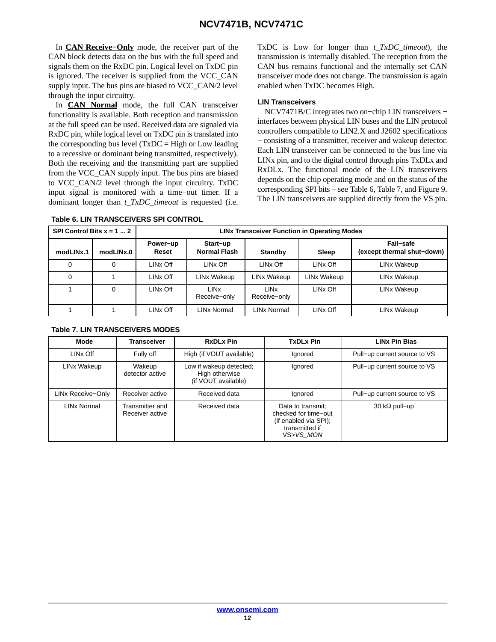In **CAN Receive−Only** mode, the receiver part of the CAN block detects data on the bus with the full speed and signals them on the RxDC pin. Logical level on TxDC pin is ignored. The receiver is supplied from the VCC\_CAN supply input. The bus pins are biased to VCC\_CAN/2 level through the input circuitry.

In **CAN Normal** mode, the full CAN transceiver functionality is available. Both reception and transmission at the full speed can be used. Received data are signaled via RxDC pin, while logical level on TxDC pin is translated into the corresponding bus level  $(TxDC = High or Low leading)$ to a recessive or dominant being transmitted, respectively). Both the receiving and the transmitting part are supplied from the VCC\_CAN supply input. The bus pins are biased to VCC\_CAN/2 level through the input circuitry. TxDC input signal is monitored with a time−out timer. If a dominant longer than *t\_TxDC\_timeout* is requested (i.e. TxDC is Low for longer than *t\_TxDC\_timeout*), the transmission is internally disabled. The reception from the CAN bus remains functional and the internally set CAN transceiver mode does not change. The transmission is again enabled when TxDC becomes High.

#### **LIN Transceivers**

NCV7471B/C integrates two on−chip LIN transceivers − interfaces between physical LIN buses and the LIN protocol controllers compatible to LIN2.X and J2602 specifications − consisting of a transmitter, receiver and wakeup detector. Each LIN transceiver can be connected to the bus line via LINx pin, and to the digital control through pins TxDLx and RxDLx. The functional mode of the LIN transceivers depends on the chip operating mode and on the status of the corresponding SPI bits – see Table 6, Table 7, and Figure [9.](#page-12-0) The LIN transceivers are supplied directly from the VS pin.

|           | SPI Control Bits $x = 1  2$<br><b>LINx Transceiver Function in Operating Modes</b> |                      |                                        |                                        |             |                                         |
|-----------|------------------------------------------------------------------------------------|----------------------|----------------------------------------|----------------------------------------|-------------|-----------------------------------------|
| modLINx.1 | modLINx.0                                                                          | Power-up<br>Reset    | Start-up<br><b>Normal Flash</b>        | <b>Standby</b>                         | Sleep       | Fail-safe<br>(except thermal shut-down) |
| 0         | $\Omega$                                                                           | LINx Off             | LINx Off                               | LINx Off                               | LINx Off    | LINx Wakeup                             |
| 0         |                                                                                    | LINx Off             | LINx Wakeup                            | LINx Wakeup                            | LINx Wakeup | LINx Wakeup                             |
|           | 0                                                                                  | LINx Off             | <b>LIN<sub>x</sub></b><br>Receive-only | <b>LIN<sub>x</sub></b><br>Receive-only | LINx Off    | LINx Wakeup                             |
|           |                                                                                    | LIN <sub>x</sub> Off | LINx Normal                            | LINx Normal                            | LINx Off    | LINx Wakeup                             |

#### **Table 6. LIN TRANSCEIVERS SPI CONTROL**

| <b>Mode</b>                                              | <b>Transceiver</b>        | <b>RxDLx Pin</b>                                                 | <b>TxDLx Pin</b>                                                                                  | <b>LINx Pin Bias</b>         |
|----------------------------------------------------------|---------------------------|------------------------------------------------------------------|---------------------------------------------------------------------------------------------------|------------------------------|
| LIN <sub>x</sub> Off                                     | Fully off                 | High (if VOUT available)                                         | Ignored                                                                                           | Pull-up current source to VS |
| LINx Wakeup                                              | Wakeup<br>detector active | Low if wakeup detected;<br>High otherwise<br>(if VOUT available) | Ignored                                                                                           | Pull-up current source to VS |
| LINx Receive-Only                                        | Receiver active           | Received data                                                    | lanored                                                                                           | Pull-up current source to VS |
| <b>LINx Normal</b><br>Transmitter and<br>Receiver active |                           | Received data                                                    | Data to transmit;<br>checked for time-out<br>(if enabled via SPI);<br>transmitted if<br>VS>VS MON | 30 k $\Omega$ pull-up        |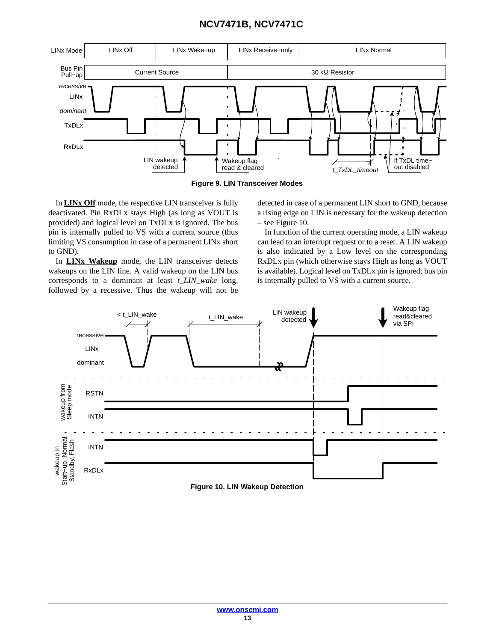<span id="page-12-0"></span>



In **LINx Off** mode, the respective LIN transceiver is fully deactivated. Pin RxDLx stays High (as long as VOUT is provided) and logical level on TxDLx is ignored. The bus pin is internally pulled to VS with a current source (thus limiting VS consumption in case of a permanent LINx short to GND).

In **LINx Wakeup** mode, the LIN transceiver detects wakeups on the LIN line. A valid wakeup on the LIN bus corresponds to a dominant at least *t\_LIN\_wake* long, followed by a recessive. Thus the wakeup will not be detected in case of a permanent LIN short to GND, because a rising edge on LIN is necessary for the wakeup detection – see Figure 10.

In function of the current operating mode, a LIN wakeup can lead to an interrupt request or to a reset. A LIN wakeup is also indicated by a Low level on the corresponding RxDLx pin (which otherwise stays High as long as VOUT is available). Logical level on TxDLx pin is ignored; bus pin is internally pulled to VS with a current source.

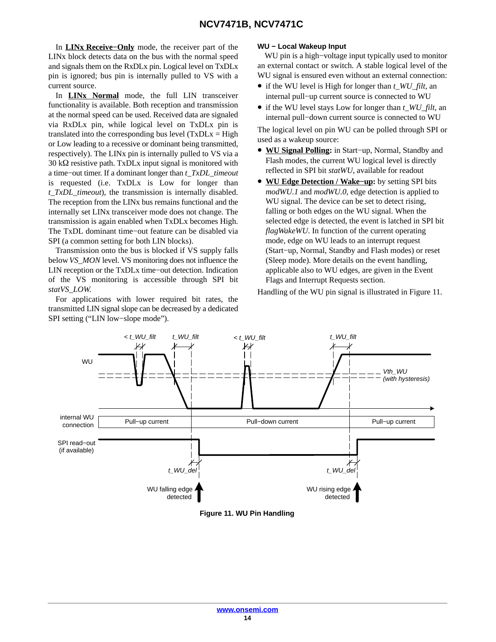<span id="page-13-0"></span>In **LINx Receive−Only** mode, the receiver part of the LINx block detects data on the bus with the normal speed and signals them on the RxDLx pin. Logical level on TxDLx pin is ignored; bus pin is internally pulled to VS with a current source.

In **LINx Normal** mode, the full LIN transceiver functionality is available. Both reception and transmission at the normal speed can be used. Received data are signaled via RxDLx pin, while logical level on TxDLx pin is translated into the corresponding bus level  $(TxDLx = High$ or Low leading to a recessive or dominant being transmitted, respectively). The LINx pin is internally pulled to VS via a  $30 \text{ k}\Omega$  resistive path. TxDLx input signal is monitored with a time−out timer. If a dominant longer than *t\_TxDL\_timeout* is requested (i.e. TxDLx is Low for longer than *t\_TxDL\_timeout*), the transmission is internally disabled. The reception from the LINx bus remains functional and the internally set LINx transceiver mode does not change. The transmission is again enabled when TxDLx becomes High. The TxDL dominant time−out feature can be disabled via SPI (a common setting for both LIN blocks).

Transmission onto the bus is blocked if VS supply falls below *VS\_MON* level. VS monitoring does not influence the LIN reception or the TxDLx time−out detection. Indication of the VS monitoring is accessible through SPI bit *statVS\_LOW*.

For applications with lower required bit rates, the transmitted LIN signal slope can be decreased by a dedicated SPI setting ("LIN low−slope mode").

#### **WU − Local Wakeup Input**

WU pin is a high−voltage input typically used to monitor an external contact or switch. A stable logical level of the WU signal is ensured even without an external connection:

- if the WU level is High for longer than *t\_WU\_filt*, an internal pull−up current source is connected to WU
- if the WU level stays Low for longer than *t\_WU\_filt*, an internal pull−down current source is connected to WU

The logical level on pin WU can be polled through SPI or used as a wakeup source:

- **WU Signal Polling:** in Start−up, Normal, Standby and Flash modes, the current WU logical level is directly reflected in SPI bit *statWU*, available for readout
- **WU Edge Detection / Wake−up:** by setting SPI bits *modWU.1* and *modWU.0*, edge detection is applied to WU signal. The device can be set to detect rising, falling or both edges on the WU signal. When the selected edge is detected, the event is latched in SPI bit *flagWakeWU*. In function of the current operating mode, edge on WU leads to an interrupt request (Start−up, Normal, Standby and Flash modes) or reset (Sleep mode). More details on the event handling, applicable also to WU edges, are given in the Event Flags and Interrupt Requests section.

Handling of the WU pin signal is illustrated in Figure 11.



**Figure 11. WU Pin Handling**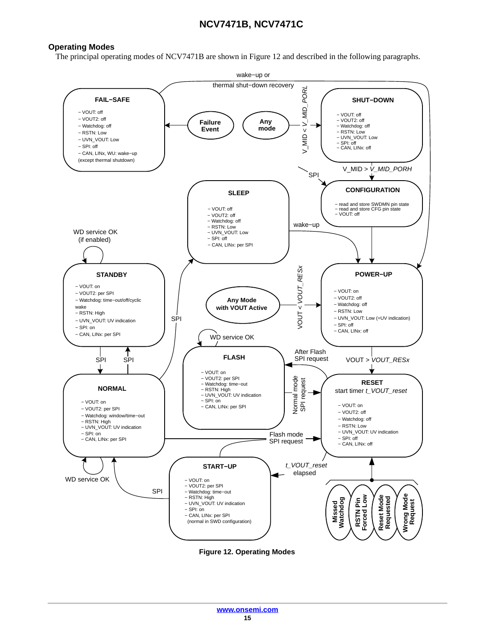#### <span id="page-14-0"></span>**Operating Modes**

The principal operating modes of NCV7471B are shown in Figure 12 and described in the following paragraphs.



**Figure 12. Operating Modes**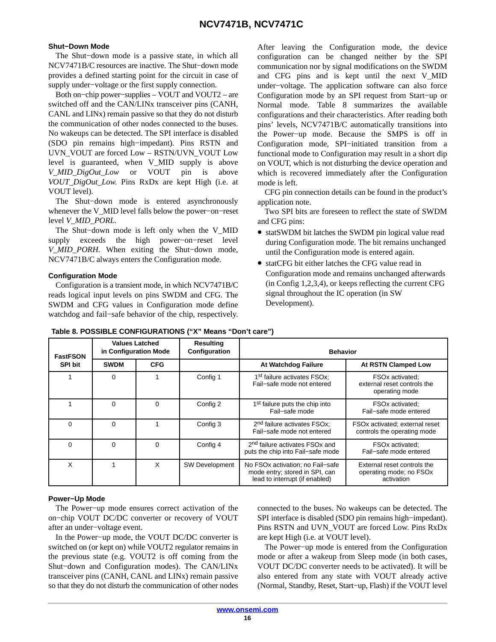#### **Shut−Down Mode**

The Shut−down mode is a passive state, in which all NCV7471B/C resources are inactive. The Shut−down mode provides a defined starting point for the circuit in case of supply under−voltage or the first supply connection.

Both on−chip power−supplies – VOUT and VOUT2 – are switched off and the CAN/LINx transceiver pins (CANH, CANL and LINx) remain passive so that they do not disturb the communication of other nodes connected to the buses. No wakeups can be detected. The SPI interface is disabled (SDO pin remains high−impedant). Pins RSTN and UVN\_VOUT are forced Low – RSTN/UVN\_VOUT Low level is guaranteed, when V\_MID supply is above *V\_MID\_DigOut\_Low* or VOUT pin is above *VOUT\_DigOut\_Low*. Pins RxDx are kept High (i.e. at VOUT level).

The Shut−down mode is entered asynchronously whenever the V\_MID level falls below the power−on−reset level *V\_MID\_PORL*.

The Shut−down mode is left only when the V\_MID supply exceeds the high power−on−reset level *V\_MID\_PORH*. When exiting the Shut−down mode, NCV7471B/C always enters the Configuration mode.

#### **Configuration Mode**

Configuration is a transient mode, in which NCV7471B/C reads logical input levels on pins SWDM and CFG. The SWDM and CFG values in Configuration mode define watchdog and fail−safe behavior of the chip, respectively.

After leaving the Configuration mode, the device configuration can be changed neither by the SPI communication nor by signal modifications on the SWDM and CFG pins and is kept until the next V\_MID under−voltage. The application software can also force Configuration mode by an SPI request from Start−up or Normal mode. Table 8 summarizes the available configurations and their characteristics. After reading both pins' levels, NCV7471B/C automatically transitions into the Power−up mode. Because the SMPS is off in Configuration mode, SPI−initiated transition from a functional mode to Configuration may result in a short dip on VOUT, which is not disturbing the device operation and which is recovered immediately after the Configuration mode is left.

CFG pin connection details can be found in the product's application note.

Two SPI bits are foreseen to reflect the state of SWDM and CFG pins:

- statSWDM bit latches the SWDM pin logical value read during Configuration mode. The bit remains unchanged until the Configuration mode is entered again.
- statCFG bit either latches the CFG value read in Configuration mode and remains unchanged afterwards (in Config 1,2,3,4), or keeps reflecting the current CFG signal throughout the IC operation (in SW Development).

| <b>Values Latched</b><br>in Configuration Mode<br><b>FastFSON</b> |             | <b>Resulting</b><br>Configuration | <b>Behavior</b>       |                                                                                                      |                                                                      |
|-------------------------------------------------------------------|-------------|-----------------------------------|-----------------------|------------------------------------------------------------------------------------------------------|----------------------------------------------------------------------|
| <b>SPI bit</b>                                                    | <b>SWDM</b> | <b>CFG</b>                        |                       | At Watchdog Failure                                                                                  | <b>At RSTN Clamped Low</b>                                           |
|                                                                   | 0           |                                   | Config 1              | 1 <sup>st</sup> failure activates FSOx;<br>Fail-safe mode not entered                                | FSOx activated:<br>external reset controls the<br>operating mode     |
|                                                                   | 0           | $\Omega$                          | Config 2              | 1 <sup>st</sup> failure puts the chip into<br>Fail-safe mode                                         | FSOx activated:<br>Fail-safe mode entered                            |
| 0                                                                 | 0           |                                   | Config 3              | 2 <sup>nd</sup> failure activates FSOx:<br>Fail-safe mode not entered                                | FSOx activated; external reset<br>controls the operating mode        |
| 0                                                                 | 0           | $\Omega$                          | Config 4              | 2 <sup>nd</sup> failure activates FSOx and<br>puts the chip into Fail-safe mode                      | FSOx activated:<br>Fail-safe mode entered                            |
| X                                                                 |             | X                                 | <b>SW Development</b> | No FSOx activation; no Fail-safe<br>mode entry; stored in SPI, can<br>lead to interrupt (if enabled) | External reset controls the<br>operating mode; no FSOx<br>activation |

#### **Table 8. POSSIBLE CONFIGURATIONS ("X" Means "Don't care")**

#### **Power−Up Mode**

The Power−up mode ensures correct activation of the on−chip VOUT DC/DC converter or recovery of VOUT after an under−voltage event.

In the Power−up mode, the VOUT DC/DC converter is switched on (or kept on) while VOUT2 regulator remains in the previous state (e.g. VOUT2 is off coming from the Shut−down and Configuration modes). The CAN/LINx transceiver pins (CANH, CANL and LINx) remain passive so that they do not disturb the communication of other nodes connected to the buses. No wakeups can be detected. The SPI interface is disabled (SDO pin remains high−impedant). Pins RSTN and UVN\_VOUT are forced Low. Pins RxDx are kept High (i.e. at VOUT level).

The Power−up mode is entered from the Configuration mode or after a wakeup from Sleep mode (in both cases, VOUT DC/DC converter needs to be activated). It will be also entered from any state with VOUT already active (Normal, Standby, Reset, Start−up, Flash) if the VOUT level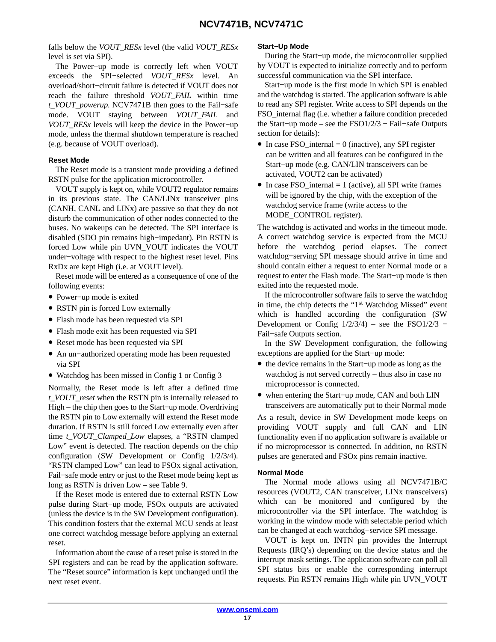falls below the *VOUT\_RESx* level (the valid *VOUT\_RESx* level is set via SPI).

The Power−up mode is correctly left when VOUT exceeds the SPI−selected *VOUT\_RESx* level. An overload/short−circuit failure is detected if VOUT does not reach the failure threshold *VOUT\_FAIL* within time *t\_VOUT\_powerup*. NCV7471B then goes to the Fail−safe mode. VOUT staying between *VOUT\_FAIL* and *VOUT\_RESx* levels will keep the device in the Power−up mode, unless the thermal shutdown temperature is reached (e.g. because of VOUT overload).

#### **Reset Mode**

The Reset mode is a transient mode providing a defined RSTN pulse for the application microcontroller.

VOUT supply is kept on, while VOUT2 regulator remains in its previous state. The CAN/LINx transceiver pins (CANH, CANL and LINx) are passive so that they do not disturb the communication of other nodes connected to the buses. No wakeups can be detected. The SPI interface is disabled (SDO pin remains high−impedant). Pin RSTN is forced Low while pin UVN\_VOUT indicates the VOUT under−voltage with respect to the highest reset level. Pins RxDx are kept High (i.e. at VOUT level).

Reset mode will be entered as a consequence of one of the following events:

- Power−up mode is exited
- RSTN pin is forced Low externally
- Flash mode has been requested via SPI
- Flash mode exit has been requested via SPI
- Reset mode has been requested via SPI
- An un−authorized operating mode has been requested via SPI
- Watchdog has been missed in Config 1 or Config 3

Normally, the Reset mode is left after a defined time *t\_VOUT\_reset* when the RSTN pin is internally released to High – the chip then goes to the Start−up mode. Overdriving the RSTN pin to Low externally will extend the Reset mode duration. If RSTN is still forced Low externally even after time *t\_VOUT\_Clamped\_Low* elapses, a "RSTN clamped Low" event is detected. The reaction depends on the chip configuration (SW Development or Config 1/2/3/4). "RSTN clamped Low" can lead to FSOx signal activation, Fail−safe mode entry or just to the Reset mode being kept as long as RSTN is driven Low – see Table [9.](#page-20-0)

If the Reset mode is entered due to external RSTN Low pulse during Start−up mode, FSOx outputs are activated (unless the device is in the SW Development configuration). This condition fosters that the external MCU sends at least one correct watchdog message before applying an external reset.

Information about the cause of a reset pulse is stored in the SPI registers and can be read by the application software. The "Reset source" information is kept unchanged until the next reset event.

#### **Start−Up Mode**

During the Start−up mode, the microcontroller supplied by VOUT is expected to initialize correctly and to perform successful communication via the SPI interface.

Start−up mode is the first mode in which SPI is enabled and the watchdog is started. The application software is able to read any SPI register. Write access to SPI depends on the FSO\_internal flag (i.e. whether a failure condition preceded the Start−up mode – see the FSO1/2/3 − Fail−safe Outputs section for details):

- In case  $FSO_$ internal = 0 (inactive), any SPI register can be written and all features can be configured in the Start−up mode (e.g. CAN/LIN transceivers can be activated, VOUT2 can be activated)
- In case FSO\_internal  $= 1$  (active), all SPI write frames will be ignored by the chip, with the exception of the watchdog service frame (write access to the MODE\_CONTROL register).

The watchdog is activated and works in the timeout mode. A correct watchdog service is expected from the MCU before the watchdog period elapses. The correct watchdog−serving SPI message should arrive in time and should contain either a request to enter Normal mode or a request to enter the Flash mode. The Start−up mode is then exited into the requested mode.

If the microcontroller software fails to serve the watchdog in time, the chip detects the "1st Watchdog Missed" event which is handled according the configuration (SW Development or Config 1/2/3/4) – see the FSO1/2/3 − Fail−safe Outputs section.

In the SW Development configuration, the following exceptions are applied for the Start−up mode:

- the device remains in the Start−up mode as long as the watchdog is not served correctly – thus also in case no microprocessor is connected.
- when entering the Start−up mode, CAN and both LIN transceivers are automatically put to their Normal mode

As a result, device in SW Development mode keeps on providing VOUT supply and full CAN and LIN functionality even if no application software is available or if no microprocessor is connected. In addition, no RSTN pulses are generated and FSOx pins remain inactive.

#### **Normal Mode**

The Normal mode allows using all NCV7471B/C resources (VOUT2, CAN transceiver, LINx transceivers) which can be monitored and configured by the microcontroller via the SPI interface. The watchdog is working in the window mode with selectable period which can be changed at each watchdog−service SPI message.

VOUT is kept on. INTN pin provides the Interrupt Requests (IRQ's) depending on the device status and the interrupt mask settings. The application software can poll all SPI status bits or enable the corresponding interrupt requests. Pin RSTN remains High while pin UVN\_VOUT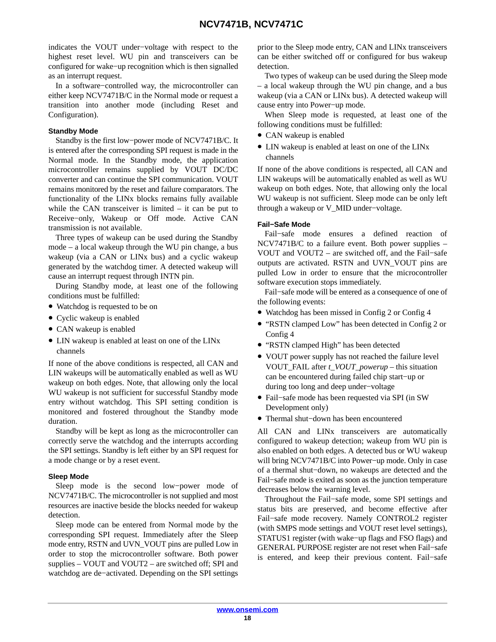indicates the VOUT under−voltage with respect to the highest reset level. WU pin and transceivers can be configured for wake−up recognition which is then signalled as an interrupt request.

In a software−controlled way, the microcontroller can either keep NCV7471B/C in the Normal mode or request a transition into another mode (including Reset and Configuration).

#### **Standby Mode**

Standby is the first low−power mode of NCV7471B/C. It is entered after the corresponding SPI request is made in the Normal mode. In the Standby mode, the application microcontroller remains supplied by VOUT DC/DC converter and can continue the SPI communication. VOUT remains monitored by the reset and failure comparators. The functionality of the LINx blocks remains fully available while the CAN transceiver is limited  $-$  it can be put to Receive−only, Wakeup or Off mode. Active CAN transmission is not available.

Three types of wakeup can be used during the Standby mode – a local wakeup through the WU pin change, a bus wakeup (via a CAN or LINx bus) and a cyclic wakeup generated by the watchdog timer. A detected wakeup will cause an interrupt request through INTN pin.

During Standby mode, at least one of the following conditions must be fulfilled:

- Watchdog is requested to be on
- Cyclic wakeup is enabled
- CAN wakeup is enabled
- LIN wakeup is enabled at least on one of the LINx channels

If none of the above conditions is respected, all CAN and LIN wakeups will be automatically enabled as well as WU wakeup on both edges. Note, that allowing only the local WU wakeup is not sufficient for successful Standby mode entry without watchdog. This SPI setting condition is monitored and fostered throughout the Standby mode duration.

Standby will be kept as long as the microcontroller can correctly serve the watchdog and the interrupts according the SPI settings. Standby is left either by an SPI request for a mode change or by a reset event.

#### **Sleep Mode**

Sleep mode is the second low−power mode of NCV7471B/C. The microcontroller is not supplied and most resources are inactive beside the blocks needed for wakeup detection.

Sleep mode can be entered from Normal mode by the corresponding SPI request. Immediately after the Sleep mode entry, RSTN and UVN\_VOUT pins are pulled Low in order to stop the microcontroller software. Both power supplies – VOUT and VOUT2 – are switched off; SPI and watchdog are de−activated. Depending on the SPI settings

prior to the Sleep mode entry, CAN and LINx transceivers can be either switched off or configured for bus wakeup detection.

Two types of wakeup can be used during the Sleep mode – a local wakeup through the WU pin change, and a bus wakeup (via a CAN or LINx bus). A detected wakeup will cause entry into Power−up mode.

When Sleep mode is requested, at least one of the following conditions must be fulfilled:

- CAN wakeup is enabled
- LIN wakeup is enabled at least on one of the LINx channels

If none of the above conditions is respected, all CAN and LIN wakeups will be automatically enabled as well as WU wakeup on both edges. Note, that allowing only the local WU wakeup is not sufficient. Sleep mode can be only left through a wakeup or V\_MID under−voltage.

#### **Fail−Safe Mode**

Fail−safe mode ensures a defined reaction of NCV7471B/C to a failure event. Both power supplies – VOUT and VOUT2 – are switched off, and the Fail−safe outputs are activated. RSTN and UVN\_VOUT pins are pulled Low in order to ensure that the microcontroller software execution stops immediately.

Fail−safe mode will be entered as a consequence of one of the following events:

- Watchdog has been missed in Config 2 or Config 4
- "RSTN clamped Low" has been detected in Config 2 or Config 4
- "RSTN clamped High" has been detected
- VOUT power supply has not reached the failure level VOUT\_FAIL after *t\_VOUT\_powerup* – this situation can be encountered during failed chip start−up or during too long and deep under−voltage
- Fail−safe mode has been requested via SPI (in SW Development only)
- Thermal shut−down has been encountered

All CAN and LINx transceivers are automatically configured to wakeup detection; wakeup from WU pin is also enabled on both edges. A detected bus or WU wakeup will bring NCV7471B/C into Power−up mode. Only in case of a thermal shut−down, no wakeups are detected and the Fail−safe mode is exited as soon as the junction temperature decreases below the warning level.

Throughout the Fail−safe mode, some SPI settings and status bits are preserved, and become effective after Fail−safe mode recovery. Namely CONTROL2 register (with SMPS mode settings and VOUT reset level settings), STATUS1 register (with wake−up flags and FSO flags) and GENERAL PURPOSE register are not reset when Fail−safe is entered, and keep their previous content. Fail−safe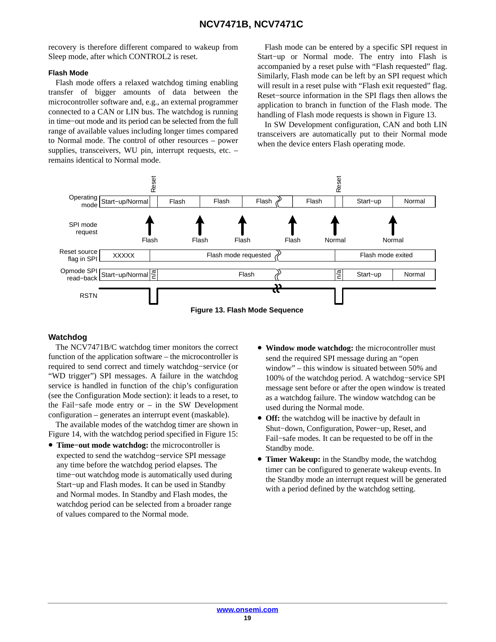<span id="page-18-0"></span>recovery is therefore different compared to wakeup from Sleep mode, after which CONTROL2 is reset.

#### **Flash Mode**

Flash mode offers a relaxed watchdog timing enabling transfer of bigger amounts of data between the microcontroller software and, e.g., an external programmer connected to a CAN or LIN bus. The watchdog is running in time−out mode and its period can be selected from the full range of available values including longer times compared to Normal mode. The control of other resources – power supplies, transceivers, WU pin, interrupt requests, etc. – remains identical to Normal mode.

Flash mode can be entered by a specific SPI request in Start−up or Normal mode. The entry into Flash is accompanied by a reset pulse with "Flash requested" flag. Similarly, Flash mode can be left by an SPI request which will result in a reset pulse with "Flash exit requested" flag. Reset−source information in the SPI flags then allows the application to branch in function of the Flash mode. The handling of Flash mode requests is shown in Figure 13.

In SW Development configuration, CAN and both LIN transceivers are automatically put to their Normal mode when the device enters Flash operating mode.



#### **Watchdog**

The NCV7471B/C watchdog timer monitors the correct function of the application software – the microcontroller is required to send correct and timely watchdog−service (or "WD trigger") SPI messages. A failure in the watchdog service is handled in function of the chip's configuration (see the Configuration Mode section): it leads to a reset, to the Fail−safe mode entry or – in the SW Development configuration – generates an interrupt event (maskable).

The available modes of the watchdog timer are shown in Figure [14](#page-19-0), with the watchdog period specified in Figure [15](#page-20-0):

- **Time−out mode watchdog:** the microcontroller is expected to send the watchdog−service SPI message any time before the watchdog period elapses. The time−out watchdog mode is automatically used during Start−up and Flash modes. It can be used in Standby and Normal modes. In Standby and Flash modes, the watchdog period can be selected from a broader range of values compared to the Normal mode.
- **Window mode watchdog:** the microcontroller must send the required SPI message during an "open window" – this window is situated between 50% and 100% of the watchdog period. A watchdog−service SPI message sent before or after the open window is treated as a watchdog failure. The window watchdog can be used during the Normal mode.
- **Off:** the watchdog will be inactive by default in Shut−down, Configuration, Power−up, Reset, and Fail−safe modes. It can be requested to be off in the Standby mode.
- **Timer Wakeup:** in the Standby mode, the watchdog timer can be configured to generate wakeup events. In the Standby mode an interrupt request will be generated with a period defined by the watchdog setting.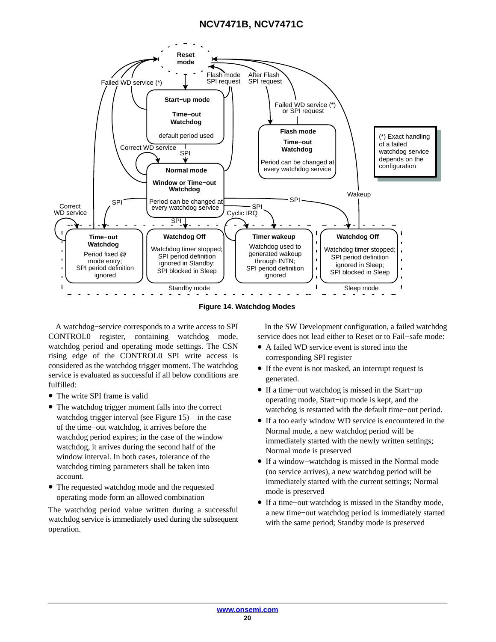<span id="page-19-0"></span>

**Figure 14. Watchdog Modes**

A watchdog−service corresponds to a write access to SPI CONTROL0 register, containing watchdog mode, watchdog period and operating mode settings. The CSN rising edge of the CONTROL0 SPI write access is considered as the watchdog trigger moment. The watchdog service is evaluated as successful if all below conditions are fulfilled:

- The write SPI frame is valid
- The watchdog trigger moment falls into the correct watchdog trigger interval (see Figure  $15$ ) – in the case of the time−out watchdog, it arrives before the watchdog period expires; in the case of the window watchdog, it arrives during the second half of the window interval. In both cases, tolerance of the watchdog timing parameters shall be taken into account.
- The requested watchdog mode and the requested operating mode form an allowed combination

The watchdog period value written during a successful watchdog service is immediately used during the subsequent operation.

In the SW Development configuration, a failed watchdog service does not lead either to Reset or to Fail−safe mode:

- A failed WD service event is stored into the corresponding SPI register
- If the event is not masked, an interrupt request is generated.
- If a time−out watchdog is missed in the Start−up operating mode, Start−up mode is kept, and the watchdog is restarted with the default time−out period.
- If a too early window WD service is encountered in the Normal mode, a new watchdog period will be immediately started with the newly written settings; Normal mode is preserved
- If a window−watchdog is missed in the Normal mode (no service arrives), a new watchdog period will be immediately started with the current settings; Normal mode is preserved
- If a time−out watchdog is missed in the Standby mode, a new time−out watchdog period is immediately started with the same period; Standby mode is preserved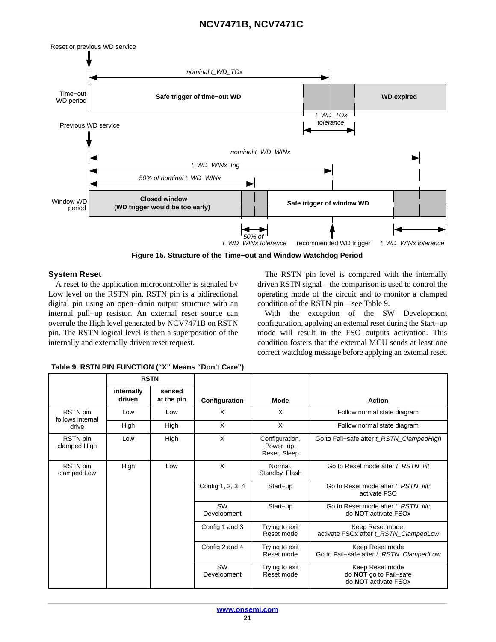<span id="page-20-0"></span>

**Figure 15. Structure of the Time−out and Window Watchdog Period**

#### **System Reset**

A reset to the application microcontroller is signaled by Low level on the RSTN pin. RSTN pin is a bidirectional digital pin using an open−drain output structure with an internal pull−up resistor. An external reset source can overrule the High level generated by NCV7471B on RSTN pin. The RSTN logical level is then a superposition of the internally and externally driven reset request.

The RSTN pin level is compared with the internally driven RSTN signal – the comparison is used to control the operating mode of the circuit and to monitor a clamped condition of the RSTN pin – see Table 9.

With the exception of the SW Development configuration, applying an external reset during the Start−up mode will result in the FSO outputs activation. This condition fosters that the external MCU sends at least one correct watchdog message before applying an external reset.

|                              | <b>RSTN</b>          |                      |                   |                                             |                                                                                      |
|------------------------------|----------------------|----------------------|-------------------|---------------------------------------------|--------------------------------------------------------------------------------------|
|                              | internally<br>driven | sensed<br>at the pin | Configuration     | <b>Mode</b>                                 | <b>Action</b>                                                                        |
| RSTN pin<br>follows internal | Low                  | Low                  | X                 | X                                           | Follow normal state diagram                                                          |
| drive                        | High                 | High                 | X                 | X                                           | Follow normal state diagram                                                          |
| RSTN pin<br>clamped High     | Low                  | High                 | X                 | Configuration,<br>Power-up,<br>Reset, Sleep | Go to Fail-safe after t_RSTN_ClampedHigh                                             |
| RSTN pin<br>clamped Low      | High                 | Low                  | X                 | Normal,<br>Standby, Flash                   | Go to Reset mode after t RSTN filt                                                   |
|                              |                      |                      | Config 1, 2, 3, 4 | Start-up                                    | Go to Reset mode after t_RSTN_filt;<br>activate FSO                                  |
|                              |                      |                      | SW<br>Development | Start-up                                    | Go to Reset mode after t RSTN filt;<br>do <b>NOT</b> activate FSOx                   |
|                              |                      |                      | Config 1 and 3    | Trying to exit<br>Reset mode                | Keep Reset mode;<br>activate FSOx after t_RSTN_ClampedLow                            |
|                              |                      |                      | Config 2 and 4    | Trying to exit<br>Reset mode                | Keep Reset mode<br>Go to Fail-safe after t_RSTN_ClampedLow                           |
|                              |                      |                      | SW<br>Development | Trying to exit<br>Reset mode                | Keep Reset mode<br>do NOT go to Fail-safe<br>do <b>NOT</b> activate FSO <sub>x</sub> |

**Table 9. RSTN PIN FUNCTION ("X" Means "Don't Care")**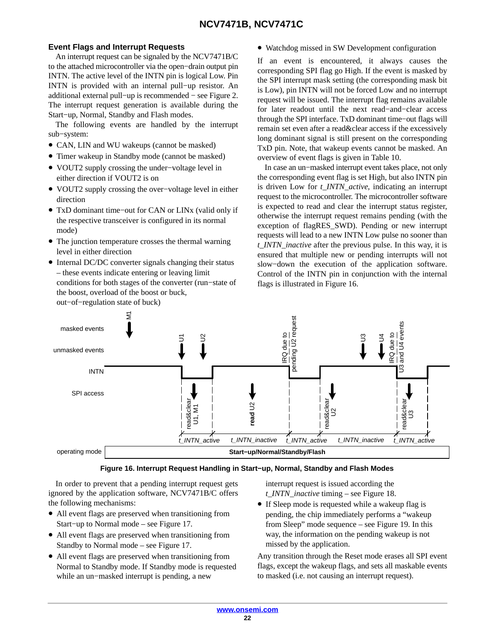#### <span id="page-21-0"></span>**Event Flags and Interrupt Requests**

An interrupt request can be signaled by the NCV7471B/C to the attached microcontroller via the open−drain output pin INTN. The active level of the INTN pin is logical Low. Pin INTN is provided with an internal pull−up resistor. An additional external pull−up is recommended − see Figure [2.](#page-4-0) The interrupt request generation is available during the Start−up, Normal, Standby and Flash modes.

The following events are handled by the interrupt sub−system:

- CAN, LIN and WU wakeups (cannot be masked)
- Timer wakeup in Standby mode (cannot be masked)
- VOUT2 supply crossing the under−voltage level in either direction if VOUT2 is on
- VOUT2 supply crossing the over−voltage level in either direction
- TxD dominant time−out for CAN or LINx (valid only if the respective transceiver is configured in its normal mode)
- The junction temperature crosses the thermal warning level in either direction
- Internal DC/DC converter signals changing their status – these events indicate entering or leaving limit conditions for both stages of the converter (run−state of the boost, overload of the boost or buck, out−of−regulation state of buck)

• Watchdog missed in SW Development configuration

If an event is encountered, it always causes the corresponding SPI flag go High. If the event is masked by the SPI interrupt mask setting (the corresponding mask bit is Low), pin INTN will not be forced Low and no interrupt request will be issued. The interrupt flag remains available for later readout until the next read−and−clear access through the SPI interface. TxD dominant time−out flags will remain set even after a read&clear access if the excessively long dominant signal is still present on the corresponding TxD pin. Note, that wakeup events cannot be masked. An overview of event flags is given in Table [10.](#page-22-0)

In case an un−masked interrupt event takes place, not only the corresponding event flag is set High, but also INTN pin is driven Low for *t\_INTN\_active*, indicating an interrupt request to the microcontroller. The microcontroller software is expected to read and clear the interrupt status register, otherwise the interrupt request remains pending (with the exception of flagRES\_SWD). Pending or new interrupt requests will lead to a new INTN Low pulse no sooner than *t\_INTN\_inactive* after the previous pulse. In this way, it is ensured that multiple new or pending interrupts will not slow−down the execution of the application software. Control of the INTN pin in conjunction with the internal flags is illustrated in Figure 16.



In order to prevent that a pending interrupt request gets ignored by the application software, NCV7471B/C offers the following mechanisms:

- All event flags are preserved when transitioning from Start−up to Normal mode – see Figure [17](#page-23-0).
- All event flags are preserved when transitioning from Standby to Normal mode – see Figure [17](#page-23-0).
- All event flags are preserved when transitioning from Normal to Standby mode. If Standby mode is requested while an un−masked interrupt is pending, a new

interrupt request is issued according the *t\_INTN\_inactive* timing – see Figure [18.](#page-23-0)

• If Sleep mode is requested while a wakeup flag is pending, the chip immediately performs a "wakeup from Sleep" mode sequence – see Figure [19.](#page-23-0) In this way, the information on the pending wakeup is not missed by the application.

Any transition through the Reset mode erases all SPI event flags, except the wakeup flags, and sets all maskable events to masked (i.e. not causing an interrupt request).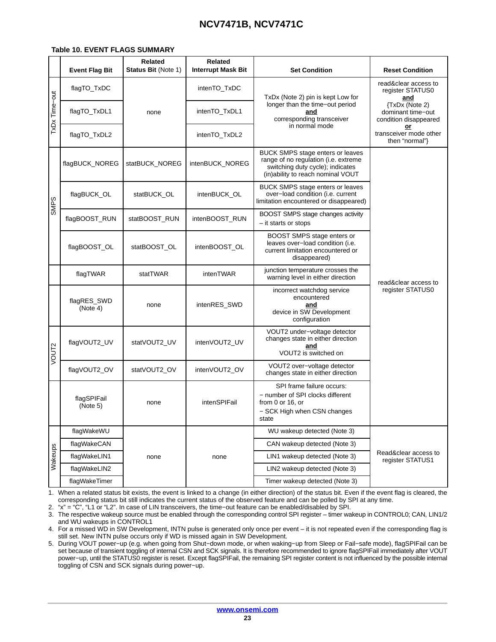#### <span id="page-22-0"></span>**Table 10. EVENT FLAGS SUMMARY**

|                   | <b>Event Flag Bit</b>   | <b>Related</b><br><b>Status Bit (Note 1)</b> | <b>Related</b><br><b>Interrupt Mask Bit</b> | <b>Set Condition</b>                                                                                                                                     | <b>Reset Condition</b>                                       |  |  |
|-------------------|-------------------------|----------------------------------------------|---------------------------------------------|----------------------------------------------------------------------------------------------------------------------------------------------------------|--------------------------------------------------------------|--|--|
|                   | flagTO_TxDC             |                                              | intenTO_TxDC                                | TxDx (Note 2) pin is kept Low for                                                                                                                        | read&clear access to<br>register STATUS0<br>and              |  |  |
| TxDx Time-out     | flagTO_TxDL1            | none                                         | intenTO TxDL1                               | longer than the time-out period<br>and<br>corresponding transceiver                                                                                      | {TxDx (Note 2)<br>dominant time-out<br>condition disappeared |  |  |
|                   | flagTO_TxDL2            |                                              | intenTO_TxDL2                               | in normal mode                                                                                                                                           | or<br>transceiver mode other<br>then "normal"}               |  |  |
|                   | flagBUCK_NOREG          | statBUCK NOREG                               | intenBUCK_NOREG                             | <b>BUCK SMPS stage enters or leaves</b><br>range of no regulation (i.e. extreme<br>switching duty cycle); indicates<br>(in)ability to reach nominal VOUT |                                                              |  |  |
| <b>SMPS</b>       | flagBUCK_OL             | statBUCK_OL                                  | intenBUCK_OL                                | BUCK SMPS stage enters or leaves<br>over-load condition (i.e. current<br>limitation encountered or disappeared)                                          |                                                              |  |  |
|                   | flagBOOST_RUN           | statBOOST RUN                                | intenBOOST_RUN                              | BOOST SMPS stage changes activity<br>- it starts or stops                                                                                                |                                                              |  |  |
|                   | flagBOOST_OL            | statBOOST_OL                                 | intenBOOST OL                               | BOOST SMPS stage enters or<br>leaves over-load condition (i.e.<br>current limitation encountered or<br>disappeared)                                      |                                                              |  |  |
|                   | flagTWAR                | statTWAR                                     | intenTWAR                                   | junction temperature crosses the<br>warning level in either direction                                                                                    | read&clear access to                                         |  |  |
|                   | flagRES_SWD<br>(Note 4) | none                                         | intenRES_SWD                                | incorrect watchdog service<br>encountered<br>and<br>device in SW Development<br>configuration                                                            | register STATUS0                                             |  |  |
| VOUT <sub>2</sub> | flagVOUT2_UV            | statVOUT2_UV                                 | intenVOUT2_UV                               | VOUT2 under-voltage detector<br>changes state in either direction<br>and<br>VOUT2 is switched on                                                         |                                                              |  |  |
|                   | flagVOUT2_OV            | statVOUT2 OV                                 | intenVOUT2_OV                               | VOUT2 over-voltage detector<br>changes state in either direction                                                                                         |                                                              |  |  |
|                   | flagSPIFail<br>(Note 5) | none                                         | intenSPIFail                                | SPI frame failure occurs:<br>- number of SPI clocks different<br>from 0 or 16, or<br>- SCK High when CSN changes<br>state                                |                                                              |  |  |
|                   | flagWakeWU              |                                              |                                             | WU wakeup detected (Note 3)                                                                                                                              |                                                              |  |  |
|                   | flagWakeCAN             |                                              |                                             | CAN wakeup detected (Note 3)                                                                                                                             |                                                              |  |  |
| Wakeups           | flagWakeLIN1            | none                                         | none                                        | LIN1 wakeup detected (Note 3)                                                                                                                            | Read&clear access to<br>register STATUS1                     |  |  |
|                   | flagWakeLIN2            |                                              |                                             | LIN2 wakeup detected (Note 3)                                                                                                                            |                                                              |  |  |
|                   | flagWakeTimer           |                                              |                                             | Timer wakeup detected (Note 3)                                                                                                                           |                                                              |  |  |

1. When a related status bit exists, the event is linked to a change (in either direction) of the status bit. Even if the event flag is cleared, the corresponding status bit still indicates the current status of the observed feature and can be polled by SPI at any time.

2. "x" = "C", "L1 or "L2". In case of LIN transceivers, the time−out feature can be enabled/disabled by SPI.

3. The respective wakeup source must be enabled through the corresponding control SPI register – timer wakeup in CONTROL0; CAN, LIN1/2 and WU wakeups in CONTROL1

4. For a missed WD in SW Development, INTN pulse is generated only once per event – it is not repeated even if the corresponding flag is still set. New INTN pulse occurs only if WD is missed again in SW Development.

5. During VOUT power−up (e.g. when going from Shut−down mode, or when waking−up from Sleep or Fail−safe mode), flagSPIFail can be set because of transient toggling of internal CSN and SCK signals. It is therefore recommended to ignore flagSPIFail immediately after VOUT power−up, until the STATUS0 register is reset. Except flagSPIFail, the remaining SPI register content is not influenced by the possible internal toggling of CSN and SCK signals during power−up.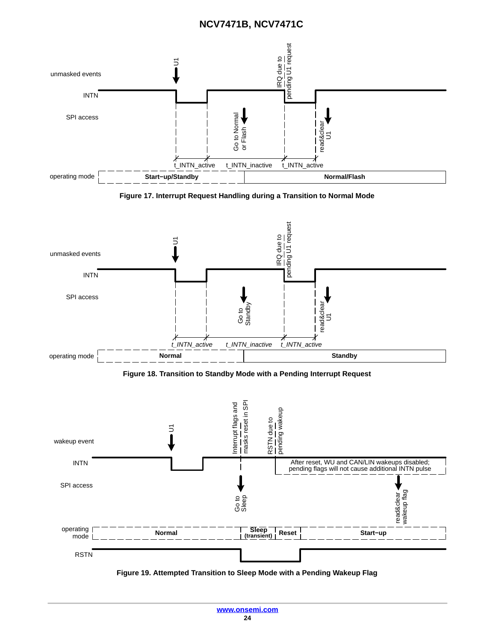<span id="page-23-0"></span>

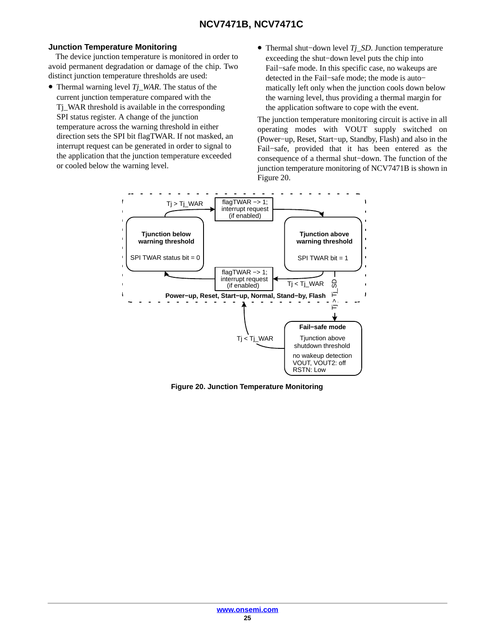#### <span id="page-24-0"></span>**Junction Temperature Monitoring**

The device junction temperature is monitored in order to avoid permanent degradation or damage of the chip. Two distinct junction temperature thresholds are used:

- Thermal warning level *Tj\_WAR*. The status of the current junction temperature compared with the Tj\_WAR threshold is available in the corresponding SPI status register. A change of the junction temperature across the warning threshold in either direction sets the SPI bit flagTWAR. If not masked, an interrupt request can be generated in order to signal to the application that the junction temperature exceeded or cooled below the warning level.
- Thermal shut−down level *Tj\_SD*. Junction temperature exceeding the shut−down level puts the chip into Fail−safe mode. In this specific case, no wakeups are detected in the Fail−safe mode; the mode is auto− matically left only when the junction cools down below the warning level, thus providing a thermal margin for the application software to cope with the event.

The junction temperature monitoring circuit is active in all operating modes with VOUT supply switched on (Power−up, Reset, Start−up, Standby, Flash) and also in the Fail−safe, provided that it has been entered as the consequence of a thermal shut−down. The function of the junction temperature monitoring of NCV7471B is shown in Figure 20.



**Figure 20. Junction Temperature Monitoring**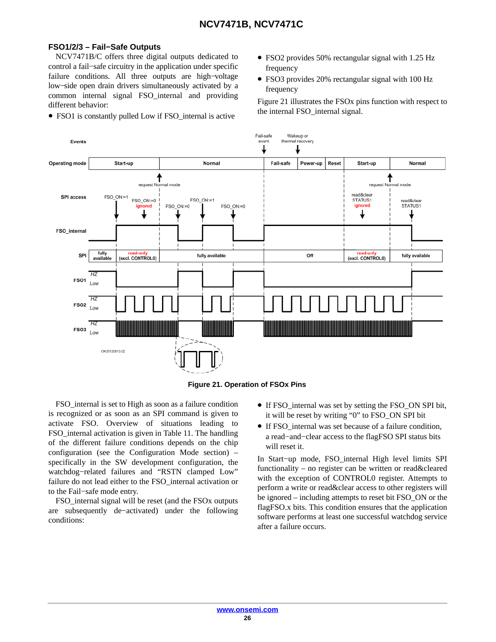#### **FSO1/2/3 – Fail−Safe Outputs**

NCV7471B/C offers three digital outputs dedicated to control a fail−safe circuitry in the application under specific failure conditions. All three outputs are high−voltage low−side open drain drivers simultaneously activated by a common internal signal FSO\_internal and providing different behavior:

- FSO1 is constantly pulled Low if FSO\_internal is active
- FSO2 provides 50% rectangular signal with 1.25 Hz frequency
- FSO3 provides 20% rectangular signal with 100 Hz frequency

Figure 21 illustrates the FSOx pins function with respect to the internal FSO\_internal signal.



**Figure 21. Operation of FSOx Pins**

FSO\_internal is set to High as soon as a failure condition is recognized or as soon as an SPI command is given to activate FSO. Overview of situations leading to FSO\_internal activation is given in Table [11](#page-26-0). The handling of the different failure conditions depends on the chip configuration (see the Configuration Mode section) – specifically in the SW development configuration, the watchdog−related failures and "RSTN clamped Low" failure do not lead either to the FSO\_internal activation or to the Fail−safe mode entry.

FSO internal signal will be reset (and the FSO<sub>x</sub> outputs are subsequently de−activated) under the following conditions:

- If FSO\_internal was set by setting the FSO\_ON SPI bit, it will be reset by writing "0" to FSO\_ON SPI bit
- If FSO\_internal was set because of a failure condition, a read−and−clear access to the flagFSO SPI status bits will reset it.

In Start−up mode, FSO\_internal High level limits SPI functionality – no register can be written or read&cleared with the exception of CONTROL0 register. Attempts to perform a write or read&clear access to other registers will be ignored – including attempts to reset bit FSO\_ON or the flagFSO.x bits. This condition ensures that the application software performs at least one successful watchdog service after a failure occurs.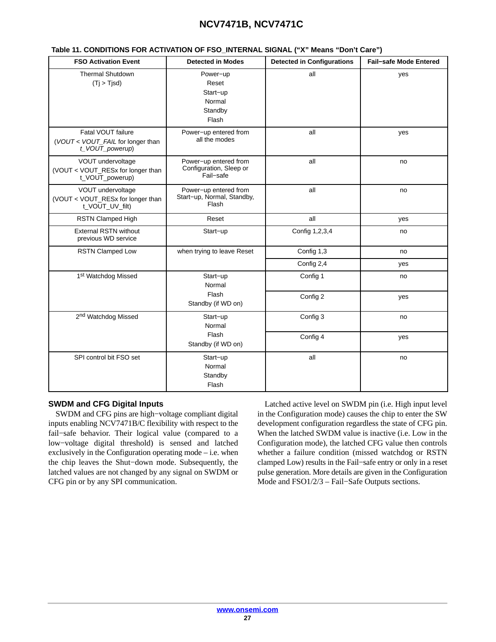<span id="page-26-0"></span>

| <b>FSO Activation Event</b>                                                | <b>Detected in Modes</b>                                      | <b>Detected in Configurations</b> | <b>Fail-safe Mode Entered</b> |
|----------------------------------------------------------------------------|---------------------------------------------------------------|-----------------------------------|-------------------------------|
| <b>Thermal Shutdown</b><br>(T <sub>i</sub> > T <sub>i</sub> sd)            | Power-up<br>Reset<br>Start-up<br>Normal<br>Standby<br>Flash   | all                               | yes                           |
| Fatal VOUT failure<br>(VOUT < VOUT_FAIL for longer than<br>t_VOUT_powerup) | Power-up entered from<br>all the modes                        | all                               | yes                           |
| VOUT undervoltage<br>(VOUT < VOUT_RESx for longer than<br>t_VOUT_powerup)  | Power-up entered from<br>Configuration, Sleep or<br>Fail-safe | all                               | no                            |
| VOUT undervoltage<br>(VOUT < VOUT_RESx for longer than<br>t_VOUT_UV_filt)  | Power-up entered from<br>Start-up, Normal, Standby,<br>Flash  | all                               | no                            |
| RSTN Clamped High                                                          | Reset                                                         | all                               | yes                           |
| <b>External RSTN without</b><br>previous WD service                        | Start-up                                                      | Config 1,2,3,4                    | no                            |
| <b>RSTN Clamped Low</b>                                                    | when trying to leave Reset                                    | Config 1,3                        | no                            |
|                                                                            |                                                               | Config 2,4                        | yes                           |
| 1st Watchdog Missed                                                        | Start-up<br>Normal                                            | Config 1                          | no                            |
|                                                                            | Flash<br>Standby (if WD on)                                   | Config 2                          | yes                           |
| 2 <sup>nd</sup> Watchdog Missed                                            | Start-up<br>Normal                                            | Config 3                          | no                            |
|                                                                            | Flash<br>Standby (if WD on)                                   | Config 4                          | yes                           |
| SPI control bit FSO set                                                    | Start-up<br>Normal<br>Standby<br>Flash                        | all                               | no                            |

#### **SWDM and CFG Digital Inputs**

SWDM and CFG pins are high−voltage compliant digital inputs enabling NCV7471B/C flexibility with respect to the fail−safe behavior. Their logical value (compared to a low−voltage digital threshold) is sensed and latched exclusively in the Configuration operating mode – i.e. when the chip leaves the Shut−down mode. Subsequently, the latched values are not changed by any signal on SWDM or CFG pin or by any SPI communication.

Latched active level on SWDM pin (i.e. High input level in the Configuration mode) causes the chip to enter the SW development configuration regardless the state of CFG pin. When the latched SWDM value is inactive (i.e. Low in the Configuration mode), the latched CFG value then controls whether a failure condition (missed watchdog or RSTN clamped Low) results in the Fail−safe entry or only in a reset pulse generation. More details are given in the Configuration Mode and FSO1/2/3 – Fail−Safe Outputs sections.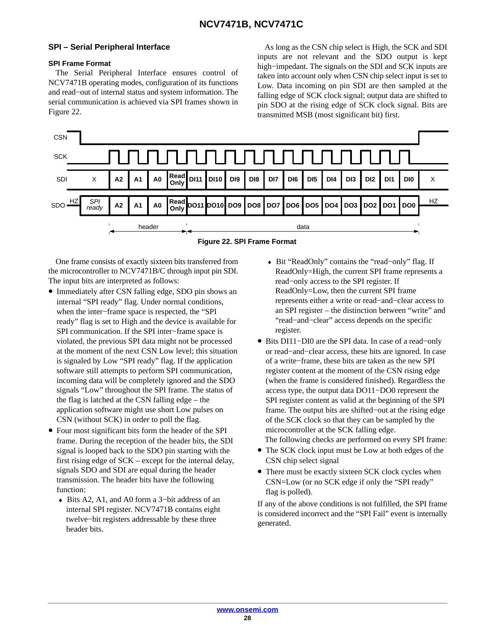#### <span id="page-27-0"></span>**SPI – Serial Peripheral Interface**

#### **SPI Frame Format**

The Serial Peripheral Interface ensures control of NCV7471B operating modes, configuration of its functions and read−out of internal status and system information. The serial communication is achieved via SPI frames shown in Figure 22.

As long as the CSN chip select is High, the SCK and SDI inputs are not relevant and the SDO output is kept high−impedant. The signals on the SDI and SCK inputs are taken into account only when CSN chip select input is set to Low. Data incoming on pin SDI are then sampled at the falling edge of SCK clock signal; output data are shifted to pin SDO at the rising edge of SCK clock signal. Bits are transmitted MSB (most significant bit) first.





One frame consists of exactly sixteen bits transferred from the microcontroller to NCV7471B/C through input pin SDI. The input bits are interpreted as follows:

- Immediately after CSN falling edge, SDO pin shows an internal "SPI ready" flag. Under normal conditions, when the inter−frame space is respected, the "SPI ready" flag is set to High and the device is available for SPI communication. If the SPI inter−frame space is violated, the previous SPI data might not be processed at the moment of the next CSN Low level; this situation is signaled by Low "SPI ready" flag. If the application software still attempts to perform SPI communication, incoming data will be completely ignored and the SDO signals "Low" throughout the SPI frame. The status of the flag is latched at the CSN falling edge – the application software might use short Low pulses on CSN (without SCK) in order to poll the flag.
- Four most significant bits form the header of the SPI frame. During the reception of the header bits, the SDI signal is looped back to the SDO pin starting with the first rising edge of SCK – except for the internal delay, signals SDO and SDI are equal during the header transmission. The header bits have the following function:
	- ♦ Bits A2, A1, and A0 form a 3−bit address of an internal SPI register. NCV7471B contains eight twelve−bit registers addressable by these three header bits.
- ♦ Bit "ReadOnly" contains the "read−only" flag. If ReadOnly=High, the current SPI frame represents a read−only access to the SPI register. If ReadOnly=Low, then the current SPI frame represents either a write or read−and−clear access to an SPI register – the distinction between "write" and "read−and−clear" access depends on the specific register.
- Bits DI11−DI0 are the SPI data. In case of a read−only or read−and−clear access, these bits are ignored. In case of a write−frame, these bits are taken as the new SPI register content at the moment of the CSN rising edge (when the frame is considered finished). Regardless the access type, the output data DO11−DO0 represent the SPI register content as valid at the beginning of the SPI frame. The output bits are shifted−out at the rising edge of the SCK clock so that they can be sampled by the microcontroller at the SCK falling edge.
- The following checks are performed on every SPI frame: • The SCK clock input must be Low at both edges of the
- CSN chip select signal
- There must be exactly sixteen SCK clock cycles when CSN=Low (or no SCK edge if only the "SPI ready" flag is polled).

If any of the above conditions is not fulfilled, the SPI frame is considered incorrect and the "SPI Fail" event is internally generated.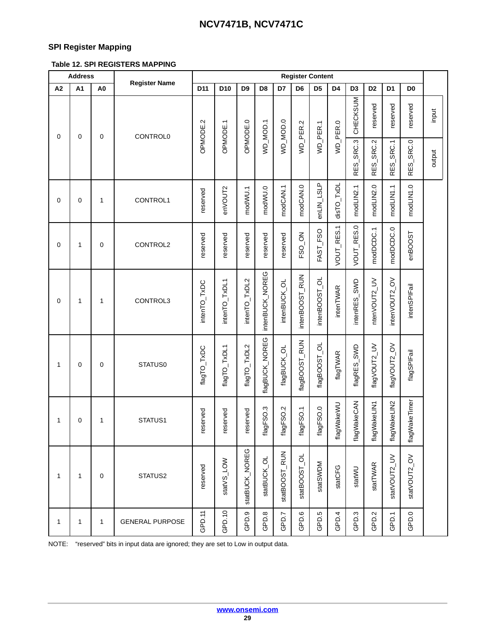### **SPI Register Mapping**

### **Table 12. SPI REGISTERS MAPPING**

|    | <b>Address</b> |                |                        | <b>Register Content</b> |               |                |                 |               |                |                  |                  |                |                |                |                |           |        |
|----|----------------|----------------|------------------------|-------------------------|---------------|----------------|-----------------|---------------|----------------|------------------|------------------|----------------|----------------|----------------|----------------|-----------|--------|
| A2 | A1             | A <sub>0</sub> | <b>Register Name</b>   | D11                     | D10           | D <sub>9</sub> | D <sub>8</sub>  | D7            | D <sub>6</sub> | D <sub>5</sub>   | D4               | D <sub>3</sub> | D <sub>2</sub> | D <sub>1</sub> | D <sub>0</sub> |           |        |
| 0  | 0              | 0              | <b>CONTROL0</b>        | OPMODE.2                | OPMODE.1      | OPMODE.0       | WD_MOD.1        | VD_MOD.0      | WD_PER.2       | WD_PER.1         | WD_PER.0         | CHECKSUM       | reserved       | reserved       | reserved       | input     |        |
|    |                |                |                        |                         |               |                |                 |               |                |                  |                  |                | RES_SRC.3      | RES_SRC.2      | RES_SRC.1      | RES_SRC.0 | output |
| 0  | 0              | $\mathbf{1}$   | CONTROL1               | reserved                | enVOUT2       | modWU.1        | modWU.0         | modCAN.1      | modCAN.0       | enLIN_LSLP       | disTO_TxDL       | modLIN2.1      | modLIN2.0      | modLIN1.1      | modLIN1.0      |           |        |
| 0  | 1              | 0              | CONTROL2               | reserved                | reserved      | reserved       | reserved        | reserved      | FSO_ON         | FAST_FSO         | VOUT_RES.1       | VOUT_RES.0     | modDCDC.1      | modDCDC.0      | enBOOST        |           |        |
| 0  | 1              | $\mathbf{1}$   | CONTROL3               | intenTO_TxDC            | intenTO_TxDL1 | intenTO_TxDL2  | intenBUCK_NOREG | intenBUCK_OL  | intenBOOST_RUN | intenBOOST_OL    | intenTWAR        | intenRES_SWD   | ntenVOUT2_UV   | ntenVOUT2_OV   | intenSPIFail   |           |        |
| 1  | 0              | $\mathbf 0$    | STATUS0                | flagTO_TxDC             | flagTO_TxDL1  | flagTO_TxDL2   | flagBUCK_NOREG  | flagBUCK_OL   | flagBOOST_RUN  | flagBOOST_OL     | flagTWAR         | flagRES_SWD    | flagVOUT2_UV   | flagVOUT2_OV   | flagSPIFail    |           |        |
| 1  | 0              | 1              | STATUS1                | reserved                | reserved      | reserved       | flagFSO.3       | flagFSO.2     | flagFSO.1      | flagFSO.0        | flagWakeWU       | flagWakeCAN    | flagWakeLIN1   | flagWakeLIN2   | flagWakeTimer  |           |        |
| 1  | 1              | 0              | STATUS2                | reserved                | statVS_LOW    | statBUCK_NOREG | statBUCK_OL     | statBOOST_RUN | statBOOST_OL   | statSWDM         | statCFG          | statWU         | statTWAR       | statVOUT2_UV   | statVOUT2_OV   |           |        |
| 1  | 1              | 1              | <b>GENERAL PURPOSE</b> | GPD.11                  | GPD.10        | တ<br>GPD.      | GPD.8           | GPD.7         | GPD.6          | GPD <sub>5</sub> | GPD <sub>4</sub> | GPD.3          | GPD.2          | GPD.1          | GPD.0          |           |        |

NOTE: "reserved" bits in input data are ignored; they are set to Low in output data.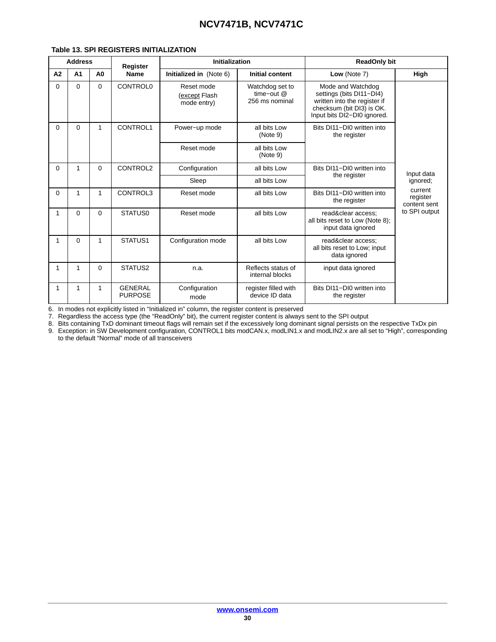|              | <b>Address</b> |                | <b>Register</b>                  | <b>Initialization</b>                      |                                                   | <b>ReadOnly bit</b>                                                                                                                       |                                     |  |
|--------------|----------------|----------------|----------------------------------|--------------------------------------------|---------------------------------------------------|-------------------------------------------------------------------------------------------------------------------------------------------|-------------------------------------|--|
| A2           | A <sub>1</sub> | A <sub>0</sub> | <b>Name</b>                      | Initialized in (Note 6)                    | <b>Initial content</b>                            | Low (Note 7)                                                                                                                              | High                                |  |
| $\Omega$     | $\Omega$       | $\Omega$       | <b>CONTROL0</b>                  | Reset mode<br>(except Flash<br>mode entry) | Watchdog set to<br>time-out $@$<br>256 ms nominal | Mode and Watchdog<br>settings (bits DI11-DI4)<br>written into the register if<br>checksum (bit DI3) is OK.<br>Input bits DI2-DI0 ignored. |                                     |  |
| $\Omega$     | $\Omega$       | 1              | CONTROL1                         | Power-up mode                              | all bits Low<br>(Note 9)                          | Bits DI11-DI0 written into<br>the register                                                                                                |                                     |  |
|              |                |                |                                  | Reset mode                                 | all bits Low<br>(Note 9)                          |                                                                                                                                           |                                     |  |
| $\Omega$     | 1              | $\Omega$       | CONTROL2                         | Configuration                              | all bits Low                                      | Bits DI11-DI0 written into                                                                                                                | Input data                          |  |
|              |                |                |                                  | Sleep                                      | all bits Low                                      | the register                                                                                                                              | ignored;                            |  |
| $\Omega$     | 1              | 1              | CONTROL3                         | Reset mode                                 | all bits Low                                      | Bits DI11-DI0 written into<br>the register                                                                                                | current<br>register<br>content sent |  |
| $\mathbf{1}$ | $\Omega$       | $\Omega$       | STATUS0                          | Reset mode                                 | all bits Low                                      | read&clear access;<br>all bits reset to Low (Note 8);<br>input data ignored                                                               | to SPI output                       |  |
| $\mathbf{1}$ | $\Omega$       | 1              | STATUS1                          | Configuration mode                         | all bits Low                                      | read&clear access;<br>all bits reset to Low; input<br>data ignored                                                                        |                                     |  |
| 1            | 1              | $\Omega$       | STATUS2                          | n.a.                                       | Reflects status of<br>internal blocks             | input data ignored                                                                                                                        |                                     |  |
| 1            | 1              | 1              | <b>GENERAL</b><br><b>PURPOSE</b> | Configuration<br>mode                      | register filled with<br>device ID data            | Bits DI11-DI0 written into<br>the register                                                                                                |                                     |  |

#### **Table 13. SPI REGISTERS INITIALIZATION**

6. In modes not explicitly listed in "Initialized in" column, the register content is preserved

7. Regardless the access type (the "ReadOnly" bit), the current register content is always sent to the SPI output

8. Bits containing TxD dominant timeout flags will remain set if the excessively long dominant signal persists on the respective TxDx pin

9. Exception: in SW Development configuration, CONTROL1 bits modCAN.x, modLIN1.x and modLIN2.x are all set to "High", corresponding to the default "Normal" mode of all transceivers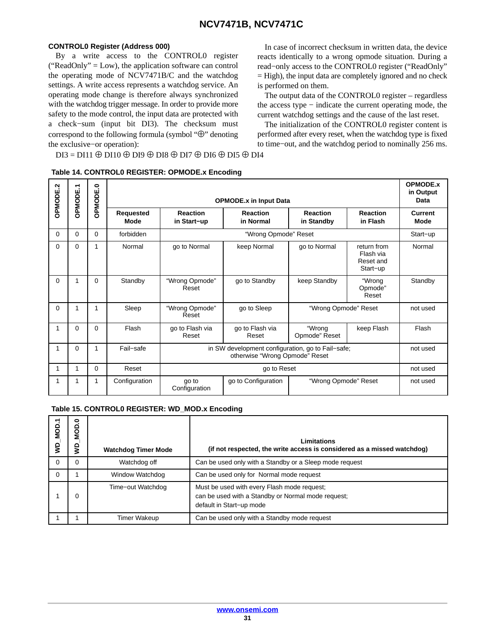#### **CONTROL0 Register (Address 000)**

By a write access to the CONTROL0 register ("ReadOnly" = Low), the application software can control the operating mode of NCV7471B/C and the watchdog settings. A write access represents a watchdog service. An operating mode change is therefore always synchronized with the watchdog trigger message. In order to provide more safety to the mode control, the input data are protected with a check−sum (input bit DI3). The checksum must correspond to the following formula (symbol "⊕" denoting the exclusive−or operation):

In case of incorrect checksum in written data, the device reacts identically to a wrong opmode situation. During a read−only access to the CONTROL0 register ("ReadOnly" = High), the input data are completely ignored and no check is performed on them.

The output data of the CONTROL0 register – regardless the access type − indicate the current operating mode, the current watchdog settings and the cause of the last reset.

The initialization of the CONTROL0 register content is performed after every reset, when the watchdog type is fixed to time−out, and the watchdog period to nominally 256 ms.

DI3 = DI11 ⊕ DI10 ⊕ DI9 ⊕ DI8 ⊕ DI7 ⊕ DI6 ⊕ DI5 ⊕ DI4

| OPMODE.2 | <b>OPMODE.1</b> | OPMODE.0 |                   |                                                   | <b>OPMODE.x in Input Data</b> |                                       |                                                   | <b>OPMODE.x</b><br>in Output<br>Data |
|----------|-----------------|----------|-------------------|---------------------------------------------------|-------------------------------|---------------------------------------|---------------------------------------------------|--------------------------------------|
|          |                 |          | Requested<br>Mode | <b>Reaction</b><br>in Start-up                    | <b>Reaction</b><br>in Normal  | <b>Reaction</b><br>in Standby         | <b>Reaction</b><br>in Flash                       | <b>Current</b><br>Mode               |
| 0        | 0               | 0        | forbidden         |                                                   | "Wrong Opmode" Reset          |                                       |                                                   | Start-up                             |
| 0        | $\Omega$        | 1        | Normal            | go to Normal                                      | keep Normal                   | go to Normal                          | return from<br>Flash via<br>Reset and<br>Start-up | Normal                               |
| 0        |                 | $\Omega$ | Standby           | "Wrong Opmode"<br>Reset                           | go to Standby                 | keep Standby                          | "Wrong<br>Opmode"<br>Reset                        | Standby                              |
| 0        |                 |          | Sleep             | "Wrong Opmode"<br>Reset                           | go to Sleep                   | "Wrong Opmode" Reset                  |                                                   | not used                             |
|          | $\Omega$        | $\Omega$ | Flash             | go to Flash via<br>Reset                          | go to Flash via<br>Reset      | "Wrong<br>keep Flash<br>Opmode" Reset |                                                   | Flash                                |
| 1        | 0               |          | Fail-safe         | in SW development configuration, go to Fail-safe; | not used                      |                                       |                                                   |                                      |
|          |                 | $\Omega$ | Reset             |                                                   | go to Reset                   |                                       |                                                   | not used                             |
| 1        | 1               | 1        | Configuration     | go to<br>Configuration                            | go to Configuration           | "Wrong Opmode" Reset                  |                                                   | not used                             |

#### **Table 14. CONTROL0 REGISTER: OPMODE.x Encoding**

#### **Table 15. CONTROL0 REGISTER: WD\_MOD.x Encoding**

| MOD.<br>g | ۵<br>ğ<br>ŝ | <b>Watchdog Timer Mode</b> | Limitations<br>(if not respected, the write access is considered as a missed watchdog)                                        |
|-----------|-------------|----------------------------|-------------------------------------------------------------------------------------------------------------------------------|
| 0         |             | Watchdog off               | Can be used only with a Standby or a Sleep mode request                                                                       |
| $\Omega$  |             | Window Watchdog            | Can be used only for Normal mode request                                                                                      |
|           |             | Time-out Watchdog          | Must be used with every Flash mode request;<br>can be used with a Standby or Normal mode request;<br>default in Start-up mode |
|           |             | Timer Wakeup               | Can be used only with a Standby mode request                                                                                  |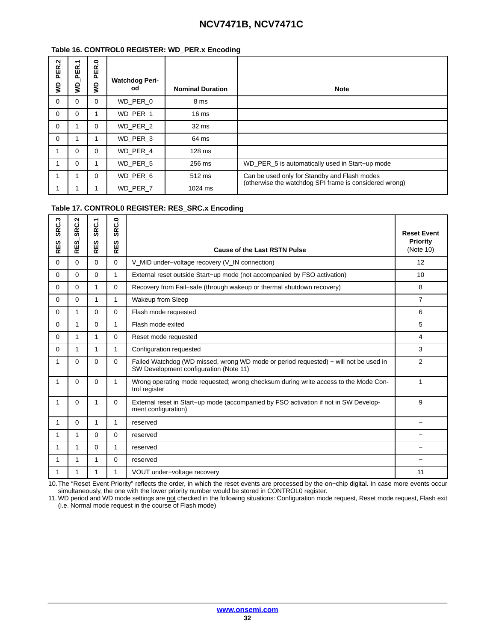#### **Table 16. CONTROL0 REGISTER: WD\_PER.x Encoding**

| PER.2<br>g | ᠆<br>PER.<br>g | ę<br>PER.<br>g | <b>Watchdog Peri-</b><br>od | <b>Nominal Duration</b> | <b>Note</b>                                            |
|------------|----------------|----------------|-----------------------------|-------------------------|--------------------------------------------------------|
| $\Omega$   | 0              | 0              | WD PER 0                    | 8 ms                    |                                                        |
| $\Omega$   | $\Omega$       |                | WD PER 1                    | 16 <sub>ms</sub>        |                                                        |
| $\Omega$   |                | 0              | WD PER 2                    | 32 ms                   |                                                        |
| $\Omega$   |                |                | WD PER 3                    | 64 ms                   |                                                        |
|            | $\Omega$       | 0              | WD PER 4                    | 128 ms                  |                                                        |
|            | $\Omega$       |                | WD PER 5                    | 256 ms                  | WD_PER_5 is automatically used in Start-up mode        |
|            |                | 0              | WD_PER_6                    | 512 ms                  | Can be used only for Standby and Flash modes           |
|            |                |                | WD PER 7                    | 1024 ms                 | (otherwise the watchdog SPI frame is considered wrong) |

#### **Table 17. CONTROL0 REGISTER: RES\_SRC.x Encoding**

| SRC.3<br><u>ញ</u><br>ᇎ | SRC.2<br><u>ຜ່</u><br>ᇎ | SRC.1<br><u>ណ្ដ</u><br>ᇎ | း<br><b>GR</b><br>ທ່<br>Ш<br>$\overline{\alpha}$ | <b>Cause of the Last RSTN Pulse</b>                                                                                            | <b>Reset Event</b><br>Priority<br>(Note 10) |
|------------------------|-------------------------|--------------------------|--------------------------------------------------|--------------------------------------------------------------------------------------------------------------------------------|---------------------------------------------|
| $\Omega$               | $\Omega$                | $\Omega$                 | $\Omega$                                         | V_MID under-voltage recovery (V_IN connection)                                                                                 | 12                                          |
| $\Omega$               | $\Omega$                | 0                        | 1.                                               | External reset outside Start-up mode (not accompanied by FSO activation)                                                       | 10                                          |
| $\Omega$               | $\Omega$                | 1                        | 0                                                | Recovery from Fail-safe (through wakeup or thermal shutdown recovery)                                                          | 8                                           |
| $\Omega$               | $\Omega$                | 1                        | 1                                                | Wakeup from Sleep                                                                                                              | $\overline{7}$                              |
| $\Omega$               | 1                       | $\Omega$                 | $\Omega$                                         | Flash mode requested                                                                                                           | 6                                           |
| $\Omega$               | 1                       | $\Omega$                 | 1                                                | Flash mode exited                                                                                                              | 5                                           |
| $\Omega$               | 1                       | 1                        | $\Omega$                                         | Reset mode requested                                                                                                           | 4                                           |
| $\Omega$               | 1                       | 1                        | 1                                                | Configuration requested                                                                                                        | 3                                           |
| 1                      | $\Omega$                | $\Omega$                 | $\Omega$                                         | Failed Watchdog (WD missed, wrong WD mode or period requested) - will not be used in<br>SW Development configuration (Note 11) | 2                                           |
| 1                      | $\Omega$                | $\Omega$                 | 1                                                | Wrong operating mode requested; wrong checksum during write access to the Mode Con-<br>trol register                           | 1                                           |
| 1                      | $\Omega$                | 1                        | $\Omega$                                         | External reset in Start-up mode (accompanied by FSO activation if not in SW Develop-<br>ment configuration)                    | 9                                           |
| 1                      | $\Omega$                | 1                        | 1                                                | reserved                                                                                                                       |                                             |
| 1                      | 1                       | $\Omega$                 | $\Omega$                                         | reserved                                                                                                                       |                                             |
| $\mathbf{1}$           | 1                       | $\Omega$                 | 1                                                | reserved                                                                                                                       |                                             |
| 1                      | 1                       | 1                        | $\Omega$                                         | reserved                                                                                                                       |                                             |
| 1                      | 1                       | 1                        | 1                                                | VOUT under-voltage recovery                                                                                                    | 11                                          |

10.The "Reset Event Priority" reflects the order, in which the reset events are processed by the on−chip digital. In case more events occur simultaneously, the one with the lower priority number would be stored in CONTROL0 register.

11. WD period and WD mode settings are not checked in the following situations: Configuration mode request, Reset mode request, Flash exit (i.e. Normal mode request in the course of Flash mode)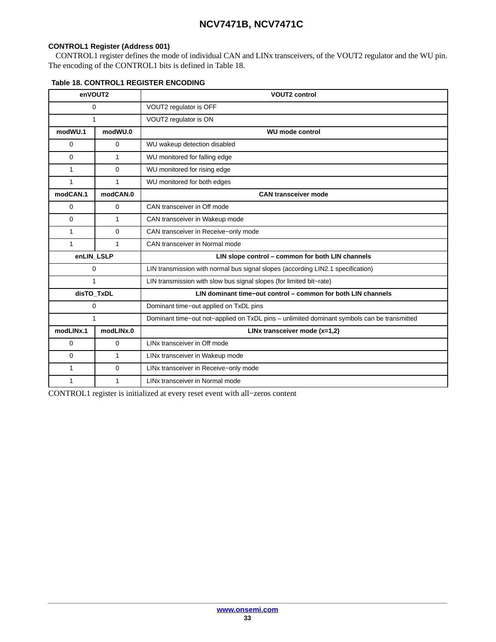#### **CONTROL1 Register (Address 001)**

CONTROL1 register defines the mode of individual CAN and LINx transceivers, of the VOUT2 regulator and the WU pin. The encoding of the CONTROL1 bits is defined in Table 18.

| enVOUT2                |              | <b>VOUT2 control</b>                                                                       |  |  |  |  |
|------------------------|--------------|--------------------------------------------------------------------------------------------|--|--|--|--|
| 0                      |              | VOUT2 regulator is OFF                                                                     |  |  |  |  |
| 1                      |              | VOUT2 regulator is ON                                                                      |  |  |  |  |
| modWU.1                | modWU.0      | <b>WU mode control</b>                                                                     |  |  |  |  |
| 0                      | $\mathbf 0$  | WU wakeup detection disabled                                                               |  |  |  |  |
| $\Omega$               | $\mathbf{1}$ | WU monitored for falling edge                                                              |  |  |  |  |
| 1                      | $\Omega$     | WU monitored for rising edge                                                               |  |  |  |  |
| 1                      | $\mathbf{1}$ | WU monitored for both edges                                                                |  |  |  |  |
| modCAN.1               | modCAN.0     | <b>CAN transceiver mode</b>                                                                |  |  |  |  |
| 0                      | 0            | CAN transceiver in Off mode                                                                |  |  |  |  |
| $\Omega$               | $\mathbf{1}$ | CAN transceiver in Wakeup mode                                                             |  |  |  |  |
| 1                      | $\mathbf 0$  | CAN transceiver in Receive-only mode                                                       |  |  |  |  |
| $\mathbf{1}$           | 1            | CAN transceiver in Normal mode                                                             |  |  |  |  |
| enLIN_LSLP             |              | LIN slope control - common for both LIN channels                                           |  |  |  |  |
|                        | 0            | LIN transmission with normal bus signal slopes (according LIN2.1 specification)            |  |  |  |  |
| 1                      |              | LIN transmission with slow bus signal slopes (for limited bit-rate)                        |  |  |  |  |
| disTO_TxDL             |              | LIN dominant time-out control - common for both LIN channels                               |  |  |  |  |
|                        | 0            | Dominant time-out applied on TxDL pins                                                     |  |  |  |  |
| 1                      |              | Dominant time-out not-applied on TxDL pins - unlimited dominant symbols can be transmitted |  |  |  |  |
| modLINx.1<br>modLINx.0 |              | LINx transceiver mode (x=1,2)                                                              |  |  |  |  |
| $\mathbf 0$            | $\mathbf 0$  | LINx transceiver in Off mode                                                               |  |  |  |  |
| $\Omega$               | $\mathbf{1}$ | LINx transceiver in Wakeup mode                                                            |  |  |  |  |
| 1                      | $\mathbf 0$  | LINx transceiver in Receive-only mode                                                      |  |  |  |  |
| 1<br>1                 |              | LINx transceiver in Normal mode                                                            |  |  |  |  |

#### **Table 18. CONTROL1 REGISTER ENCODING**

CONTROL1 register is initialized at every reset event with all−zeros content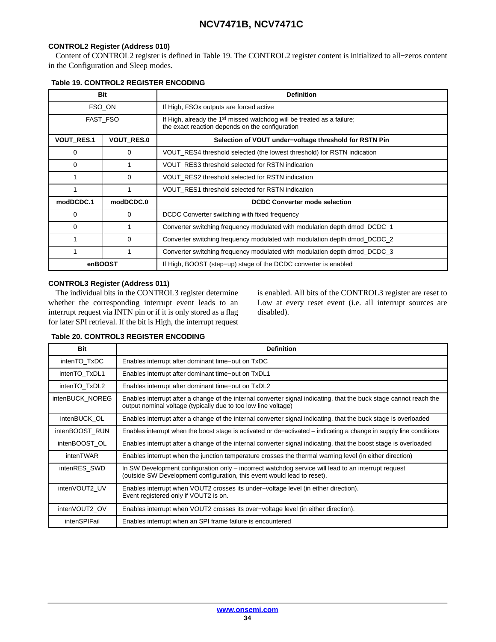#### **CONTROL2 Register (Address 010)**

Content of CONTROL2 register is defined in Table 19. The CONTROL2 register content is initialized to all−zeros content in the Configuration and Sleep modes.

|                                        | Bit       | <b>Definition</b>                                                                                                                     |  |  |  |  |
|----------------------------------------|-----------|---------------------------------------------------------------------------------------------------------------------------------------|--|--|--|--|
|                                        | FSO_ON    | If High, FSOx outputs are forced active                                                                                               |  |  |  |  |
|                                        | FAST_FSO  | If High, already the 1 <sup>st</sup> missed watchdog will be treated as a failure;<br>the exact reaction depends on the configuration |  |  |  |  |
| <b>VOUT RES.1</b><br><b>VOUT RES.0</b> |           | Selection of VOUT under-voltage threshold for RSTN Pin                                                                                |  |  |  |  |
| $\Omega$                               | 0         | VOUT_RES4 threshold selected (the lowest threshold) for RSTN indication                                                               |  |  |  |  |
| $\Omega$                               |           | VOUT RES3 threshold selected for RSTN indication                                                                                      |  |  |  |  |
|                                        | 0         | VOUT_RES2 threshold selected for RSTN indication                                                                                      |  |  |  |  |
|                                        |           | VOUT_RES1 threshold selected for RSTN indication                                                                                      |  |  |  |  |
| modDCDC.1                              | modDCDC.0 | <b>DCDC Converter mode selection</b>                                                                                                  |  |  |  |  |
| 0                                      | 0         | DCDC Converter switching with fixed frequency                                                                                         |  |  |  |  |
| $\Omega$                               |           | Converter switching frequency modulated with modulation depth dmod_DCDC_1                                                             |  |  |  |  |
|                                        | 0         | Converter switching frequency modulated with modulation depth dmod_DCDC_2                                                             |  |  |  |  |
|                                        |           | Converter switching frequency modulated with modulation depth dmod_DCDC_3                                                             |  |  |  |  |
| enBOOST                                |           | If High, BOOST (step-up) stage of the DCDC converter is enabled                                                                       |  |  |  |  |

#### **CONTROL3 Register (Address 011)**

The individual bits in the CONTROL3 register determine whether the corresponding interrupt event leads to an interrupt request via INTN pin or if it is only stored as a flag for later SPI retrieval. If the bit is High, the interrupt request

is enabled. All bits of the CONTROL3 register are reset to Low at every reset event (i.e. all interrupt sources are disabled).

#### **Table 20. CONTROL3 REGISTER ENCODING**

| <b>Bit</b>      | <b>Definition</b>                                                                                                                                                                    |
|-----------------|--------------------------------------------------------------------------------------------------------------------------------------------------------------------------------------|
| intenTO TxDC    | Enables interrupt after dominant time-out on TxDC                                                                                                                                    |
| intenTO TxDL1   | Enables interrupt after dominant time-out on TxDL1                                                                                                                                   |
| intenTO TxDL2   | Enables interrupt after dominant time-out on TxDL2                                                                                                                                   |
| intenBUCK NOREG | Enables interrupt after a change of the internal converter signal indicating, that the buck stage cannot reach the<br>output nominal voltage (typically due to too low line voltage) |
| intenBUCK OL    | Enables interrupt after a change of the internal converter signal indicating, that the buck stage is overloaded                                                                      |
| intenBOOST RUN  | Enables interrupt when the boost stage is activated or de–activated – indicating a change in supply line conditions                                                                  |
| intenBOOST OL   | Enables interrupt after a change of the internal converter signal indicating, that the boost stage is overloaded                                                                     |
| intenTWAR       | Enables interrupt when the junction temperature crosses the thermal warning level (in either direction)                                                                              |
| intenRES SWD    | In SW Development configuration only – incorrect watchdog service will lead to an interrupt request<br>(outside SW Development configuration, this event would lead to reset).       |
| intenVOUT2 UV   | Enables interrupt when VOUT2 crosses its under-voltage level (in either direction).<br>Event registered only if VOUT2 is on.                                                         |
| intenVOUT2 OV   | Enables interrupt when VOUT2 crosses its over-voltage level (in either direction).                                                                                                   |
| intenSPIFail    | Enables interrupt when an SPI frame failure is encountered                                                                                                                           |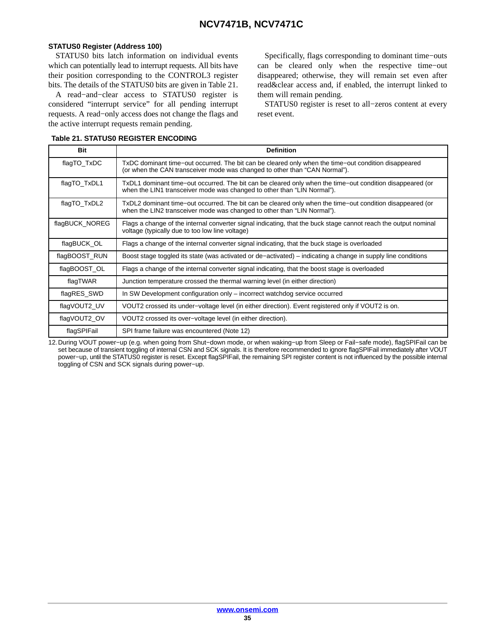#### **STATUS0 Register (Address 100)**

STATUS0 bits latch information on individual events which can potentially lead to interrupt requests. All bits have their position corresponding to the CONTROL3 register bits. The details of the STATUS0 bits are given in Table 21.

A read−and−clear access to STATUS0 register is considered "interrupt service" for all pending interrupt requests. A read−only access does not change the flags and the active interrupt requests remain pending.

Specifically, flags corresponding to dominant time−outs can be cleared only when the respective time−out disappeared; otherwise, they will remain set even after read&clear access and, if enabled, the interrupt linked to them will remain pending.

STATUS0 register is reset to all−zeros content at every reset event.

| <b>Bit</b>     | <b>Definition</b>                                                                                                                                                                    |
|----------------|--------------------------------------------------------------------------------------------------------------------------------------------------------------------------------------|
| flagTO_TxDC    | TxDC dominant time-out occurred. The bit can be cleared only when the time-out condition disappeared<br>(or when the CAN transceiver mode was changed to other than "CAN Normal").   |
| flagTO_TxDL1   | TxDL1 dominant time–out occurred. The bit can be cleared only when the time–out condition disappeared (or<br>when the LIN1 transceiver mode was changed to other than "LIN Normal"). |
| flagTO_TxDL2   | TxDL2 dominant time–out occurred. The bit can be cleared only when the time–out condition disappeared (or<br>when the LIN2 transceiver mode was changed to other than "LIN Normal"). |
| flagBUCK_NOREG | Flags a change of the internal converter signal indicating, that the buck stage cannot reach the output nominal<br>voltage (typically due to too low line voltage)                   |
| flagBUCK_OL    | Flags a change of the internal converter signal indicating, that the buck stage is overloaded                                                                                        |
| flagBOOST_RUN  | Boost stage toggled its state (was activated or de–activated) – indicating a change in supply line conditions                                                                        |
| flagBOOST_OL   | Flags a change of the internal converter signal indicating, that the boost stage is overloaded                                                                                       |
| flagTWAR       | Junction temperature crossed the thermal warning level (in either direction)                                                                                                         |
| flagRES_SWD    | In SW Development configuration only – incorrect watchdog service occurred                                                                                                           |
| flagVOUT2_UV   | VOUT2 crossed its under-voltage level (in either direction). Event registered only if VOUT2 is on.                                                                                   |
| flagVOUT2 OV   | VOUT2 crossed its over-voltage level (in either direction).                                                                                                                          |
| flagSPIFail    | SPI frame failure was encountered (Note 12)                                                                                                                                          |

#### **Table 21. STATUS0 REGISTER ENCODING**

12.During VOUT power−up (e.g. when going from Shut−down mode, or when waking−up from Sleep or Fail−safe mode), flagSPIFail can be set because of transient toggling of internal CSN and SCK signals. It is therefore recommended to ignore flagSPIFail immediately after VOUT power−up, until the STATUS0 register is reset. Except flagSPIFail, the remaining SPI register content is not influenced by the possible internal toggling of CSN and SCK signals during power−up.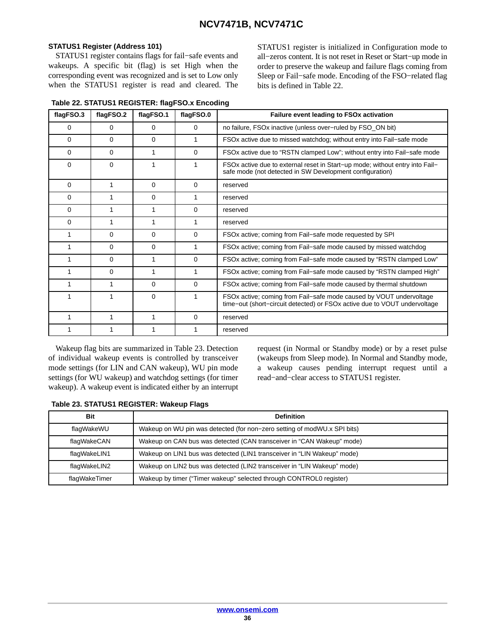#### **STATUS1 Register (Address 101)**

STATUS1 register contains flags for fail−safe events and wakeups. A specific bit (flag) is set High when the corresponding event was recognized and is set to Low only when the STATUS1 register is read and cleared. The

**Table 22. STATUS1 REGISTER: flagFSO.x Encoding**

STATUS1 register is initialized in Configuration mode to all−zeros content. It is not reset in Reset or Start−up mode in order to preserve the wakeup and failure flags coming from Sleep or Fail−safe mode. Encoding of the FSO−related flag bits is defined in Table 22.

| flagFSO.3 | flagFSO.2 | flagFSO.1 | flagFSO.0 | Failure event leading to FSOx activation                                                                                                         |
|-----------|-----------|-----------|-----------|--------------------------------------------------------------------------------------------------------------------------------------------------|
| 0         | 0         | $\Omega$  | $\Omega$  | no failure, FSOx inactive (unless over-ruled by FSO_ON bit)                                                                                      |
| 0         | 0         | $\Omega$  | 1         | FSOx active due to missed watchdog; without entry into Fail-safe mode                                                                            |
| 0         | 0         | 1         | 0         | FSOx active due to "RSTN clamped Low"; without entry into Fail-safe mode                                                                         |
| 0         | 0         | 1         | 1         | FSOx active due to external reset in Start-up mode; without entry into Fail-<br>safe mode (not detected in SW Development configuration)         |
| 0         |           | $\Omega$  | $\Omega$  | reserved                                                                                                                                         |
| 0         |           | $\Omega$  | 1         | reserved                                                                                                                                         |
| 0         |           |           | 0         | reserved                                                                                                                                         |
| 0         |           | 1         | 1         | reserved                                                                                                                                         |
| 1         | 0         | $\Omega$  | 0         | FSOx active; coming from Fail-safe mode requested by SPI                                                                                         |
| 1         | 0         | $\Omega$  | 1         | FSOx active; coming from Fail-safe mode caused by missed watchdog                                                                                |
| 1         | $\Omega$  | 1         | $\Omega$  | FSOx active; coming from Fail-safe mode caused by "RSTN clamped Low"                                                                             |
| 1         | $\Omega$  | 1         | 1         | FSOx active; coming from Fail–safe mode caused by "RSTN clamped High"                                                                            |
| 1         | 1         | $\Omega$  | $\Omega$  | FSOx active; coming from Fail-safe mode caused by thermal shutdown                                                                               |
| 1         |           | $\Omega$  | 1         | FSOx active; coming from Fail-safe mode caused by VOUT undervoltage<br>time-out (short-circuit detected) or FSOx active due to VOUT undervoltage |
| 1         | 1         | 1         | $\Omega$  | reserved                                                                                                                                         |
|           |           |           | 1         | reserved                                                                                                                                         |

Wakeup flag bits are summarized in Table 23. Detection of individual wakeup events is controlled by transceiver mode settings (for LIN and CAN wakeup), WU pin mode settings (for WU wakeup) and watchdog settings (for timer wakeup). A wakeup event is indicated either by an interrupt

request (in Normal or Standby mode) or by a reset pulse (wakeups from Sleep mode). In Normal and Standby mode, a wakeup causes pending interrupt request until a read−and−clear access to STATUS1 register.

|  |  | Table 23. STATUS1 REGISTER: Wakeup Flags |  |  |
|--|--|------------------------------------------|--|--|
|--|--|------------------------------------------|--|--|

| <b>Bit</b>    | <b>Definition</b>                                                        |
|---------------|--------------------------------------------------------------------------|
| flaqWakeWU    | Wakeup on WU pin was detected (for non-zero setting of modWU.x SPI bits) |
| flaqWakeCAN   | Wakeup on CAN bus was detected (CAN transceiver in "CAN Wakeup" mode)    |
| flagWakeLIN1  | Wakeup on LIN1 bus was detected (LIN1 transceiver in "LIN Wakeup" mode)  |
| flagWakeLIN2  | Wakeup on LIN2 bus was detected (LIN2 transceiver in "LIN Wakeup" mode)  |
| flagWakeTimer | Wakeup by timer ("Timer wakeup" selected through CONTROL0 register)      |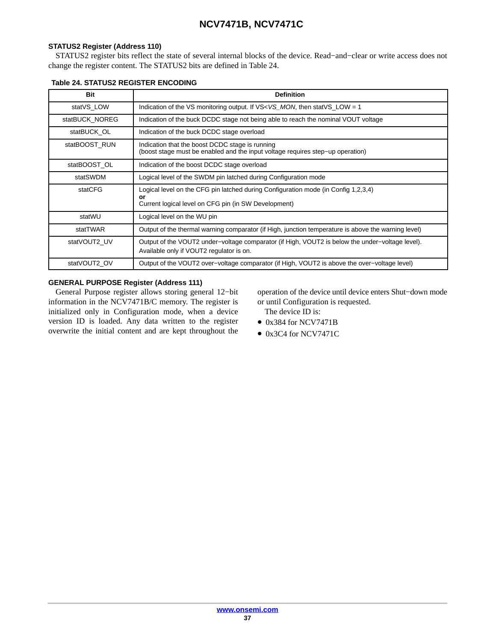#### **STATUS2 Register (Address 110)**

STATUS2 register bits reflect the state of several internal blocks of the device. Read−and−clear or write access does not change the register content. The STATUS2 bits are defined in Table 24.

| Bit            | <b>Definition</b>                                                                                                                           |
|----------------|---------------------------------------------------------------------------------------------------------------------------------------------|
| statVS LOW     | Indication of the VS monitoring output. If $VS < VS$ MON, then stat VS LOW = 1                                                              |
| statBUCK NOREG | Indication of the buck DCDC stage not being able to reach the nominal VOUT voltage                                                          |
| statBUCK OL    | Indication of the buck DCDC stage overload                                                                                                  |
| statBOOST RUN  | Indication that the boost DCDC stage is running<br>(boost stage must be enabled and the input voltage requires step–up operation)           |
| statBOOST OL   | Indication of the boost DCDC stage overload                                                                                                 |
| statSWDM       | Logical level of the SWDM pin latched during Configuration mode                                                                             |
| statCFG        | Logical level on the CFG pin latched during Configuration mode (in Config 1,2,3,4)<br>or                                                    |
|                | Current logical level on CFG pin (in SW Development)                                                                                        |
| statWU         | Logical level on the WU pin                                                                                                                 |
| statTWAR       | Output of the thermal warning comparator (if High, junction temperature is above the warning level)                                         |
| statVOUT2 UV   | Output of the VOUT2 under–voltage comparator (if High, VOUT2 is below the under–voltage level).<br>Available only if VOUT2 regulator is on. |
| statVOUT2 OV   | Output of the VOUT2 over-voltage comparator (if High, VOUT2 is above the over-voltage level)                                                |

#### **Table 24. STATUS2 REGISTER ENCODING**

#### **GENERAL PURPOSE Register (Address 111)**

General Purpose register allows storing general 12−bit information in the NCV7471B/C memory. The register is initialized only in Configuration mode, when a device version ID is loaded. Any data written to the register overwrite the initial content and are kept throughout the

operation of the device until device enters Shut−down mode or until Configuration is requested. The device ID is:

- 0x384 for NCV7471B
- 0x3C4 for NCV7471C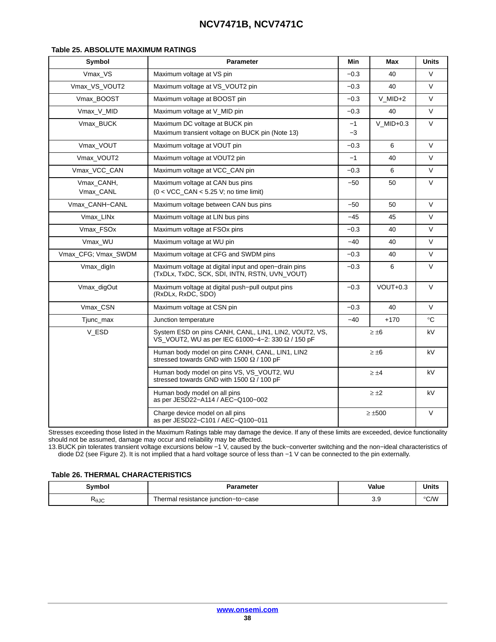#### <span id="page-37-0"></span>**Table 25. ABSOLUTE MAXIMUM RATINGS**

| Symbol                  | <b>Parameter</b>                                                                                           | Min          | Max            | <b>Units</b> |  |
|-------------------------|------------------------------------------------------------------------------------------------------------|--------------|----------------|--------------|--|
| Vmax_VS                 | Maximum voltage at VS pin                                                                                  | $-0.3$       | 40             | $\vee$       |  |
| Vmax_VS_VOUT2           | Maximum voltage at VS_VOUT2 pin                                                                            | $-0.3$       | 40             |              |  |
| Vmax_BOOST              | Maximum voltage at BOOST pin                                                                               | $-0.3$       | $V$ MID+2      | $\vee$       |  |
| Vmax_V_MID              | Maximum voltage at V_MID pin<br>$-0.3$<br>40                                                               |              |                | V            |  |
| Vmax_BUCK               | Maximum DC voltage at BUCK pin<br>Maximum transient voltage on BUCK pin (Note 13)                          | $V$ _MID+0.3 | $\vee$         |              |  |
| Vmax_VOUT               | Maximum voltage at VOUT pin                                                                                | $-0.3$       | 6              | V            |  |
| Vmax_VOUT2              | Maximum voltage at VOUT2 pin                                                                               | $-1$         | 40             | $\vee$       |  |
| Vmax VCC CAN            | Maximum voltage at VCC CAN pin                                                                             | $-0.3$       | 6              | $\vee$       |  |
| Vmax CANH,<br>Vmax_CANL | Maximum voltage at CAN bus pins<br>$(0 < VCC$ CAN $<$ 5.25 V; no time limit)                               | -50          | 50             | $\vee$       |  |
| Vmax_CANH-CANL          | Maximum voltage between CAN bus pins                                                                       | -50          | 50             | V            |  |
| Vmax_LINx               | Maximum voltage at LIN bus pins                                                                            | -45          | 45             | V            |  |
| Vmax_FSOx               | Maximum voltage at FSOx pins                                                                               | $-0.3$       | 40             | V            |  |
| Vmax_WU                 | Maximum voltage at WU pin                                                                                  | -40          | 40             | V            |  |
| Vmax_CFG; Vmax_SWDM     | Maximum voltage at CFG and SWDM pins                                                                       | $-0.3$       | 40             | V            |  |
| Vmax_digIn              | Maximum voltage at digital input and open-drain pins<br>(TxDLx, TxDC, SCK, SDI, INTN, RSTN, UVN_VOUT)      | $-0.3$       | 6              | $\vee$       |  |
| Vmax_digOut             | Maximum voltage at digital push-pull output pins<br>(RxDLx, RxDC, SDO)                                     | $-0.3$       | $VOUT+0.3$     | V            |  |
| Vmax CSN                | Maximum voltage at CSN pin                                                                                 | $-0.3$       | 40             | $\vee$       |  |
| Tjunc_max               | Junction temperature                                                                                       | $-40$        | $+170$         | $^{\circ}C$  |  |
| V_ESD                   | System ESD on pins CANH, CANL, LIN1, LIN2, VOUT2, VS,<br>VS VOUT2, WU as per IEC 61000-4-2: 330 Ω / 150 pF |              | $\geq \pm 6$   | kV           |  |
|                         | Human body model on pins CANH, CANL, LIN1, LIN2<br>stressed towards GND with 1500 $\Omega$ / 100 pF        |              | $\geq \pm 6$   | kV           |  |
|                         | Human body model on pins VS, VS VOUT2, WU<br>stressed towards GND with 1500 $\Omega$ / 100 pF              |              | $\geq \pm 4$   | kV           |  |
|                         | Human body model on all pins<br>as per JESD22-A114 / AEC-Q100-002                                          |              | $\geq \pm 2$   | kV           |  |
|                         | Charge device model on all pins<br>as per JESD22-C101 / AEC-Q100-011                                       |              | $\geq \pm 500$ | $\vee$       |  |

Stresses exceeding those listed in the Maximum Ratings table may damage the device. If any of these limits are exceeded, device functionality should not be assumed, damage may occur and reliability may be affected.

13.BUCK pin tolerates transient voltage excursions below −1 V, caused by the buck−converter switching and the non−ideal characteristics of diode D2 (see Figure [2\)](#page-4-0). It is not implied that a hard voltage source of less than −1 V can be connected to the pin externally.

#### **Table 26. THERMAL CHARACTERISTICS**

| Svmbol | Parameter                             | Value | <b>Units</b> |
|--------|---------------------------------------|-------|--------------|
| RθJC   | resistance junction–to–case<br>hermal | -3.9  | °C∕W         |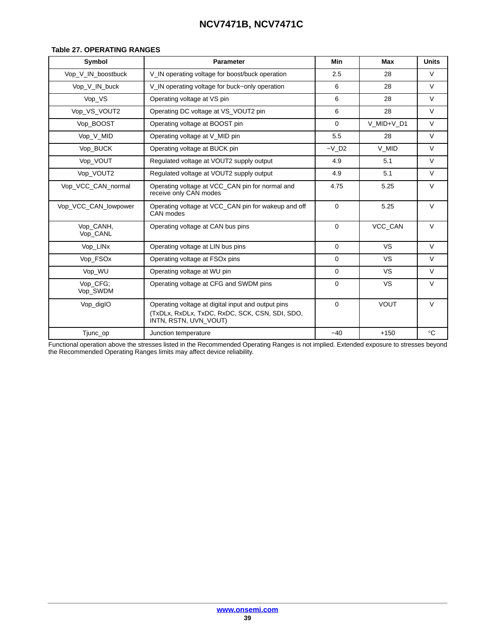#### <span id="page-38-0"></span>**Table 27. OPERATING RANGES**

| Symbol                | <b>Parameter</b>                                                                                                              | Min                 | Max            | <b>Units</b> |
|-----------------------|-------------------------------------------------------------------------------------------------------------------------------|---------------------|----------------|--------------|
| Vop V IN boostbuck    | V IN operating voltage for boost/buck operation                                                                               | 2.5                 | 28             | $\vee$       |
| Vop V IN buck         | V IN operating voltage for buck-only operation                                                                                | 6                   | 28             | $\vee$       |
| Vop_VS                | Operating voltage at VS pin                                                                                                   | 6                   | 28             | $\vee$       |
| Vop_VS_VOUT2          | Operating DC voltage at VS VOUT2 pin                                                                                          | 6                   | 28             | $\vee$       |
| Vop BOOST             | Operating voltage at BOOST pin                                                                                                | 0                   | V MID+V D1     | $\vee$       |
| Vop_V_MID             | Operating voltage at V_MID pin                                                                                                | 5.5                 | 28             | $\vee$       |
| Vop_BUCK              | Operating voltage at BUCK pin                                                                                                 | $-V$ D <sub>2</sub> | V_MID          | $\vee$       |
| Vop_VOUT              | Regulated voltage at VOUT2 supply output                                                                                      | 4.9                 | 5.1            | $\vee$       |
| Vop_VOUT2             | Regulated voltage at VOUT2 supply output                                                                                      | 4.9                 | 5.1            | $\vee$       |
| Vop VCC CAN normal    | Operating voltage at VCC_CAN pin for normal and<br>receive only CAN modes                                                     | 4.75                | 5.25           | $\vee$       |
| Vop_VCC_CAN_lowpower  | Operating voltage at VCC_CAN pin for wakeup and off<br>CAN modes                                                              | $\mathbf 0$         | 5.25           | $\vee$       |
| Vop_CANH,<br>Vop_CANL | Operating voltage at CAN bus pins                                                                                             | $\mathbf 0$         | <b>VCC CAN</b> | $\vee$       |
| Vop_LINx              | Operating voltage at LIN bus pins                                                                                             | $\mathbf 0$         | <b>VS</b>      | $\vee$       |
| Vop FSOx              | Operating voltage at FSO <sub>x</sub> pins                                                                                    | $\mathbf 0$         | <b>VS</b>      | $\vee$       |
| Vop_WU                | Operating voltage at WU pin                                                                                                   | $\Omega$            | <b>VS</b>      | $\vee$       |
| Vop CFG;<br>Vop_SWDM  | Operating voltage at CFG and SWDM pins                                                                                        | 0                   | VS             | $\vee$       |
| Vop_digIO             | Operating voltage at digital input and output pins<br>(TxDLx, RxDLx, TxDC, RxDC, SCK, CSN, SDI, SDO,<br>INTN, RSTN, UVN VOUT) | $\Omega$            | <b>VOUT</b>    | $\vee$       |
| Tjunc_op              | Junction temperature                                                                                                          | $-40$               | $+150$         | $^{\circ}C$  |

Functional operation above the stresses listed in the Recommended Operating Ranges is not implied. Extended exposure to stresses beyond the Recommended Operating Ranges limits may affect device reliability.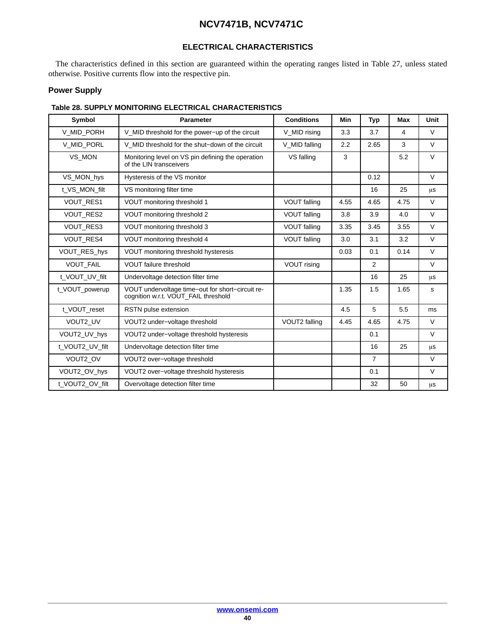### **ELECTRICAL CHARACTERISTICS**

<span id="page-39-0"></span>The characteristics defined in this section are guaranteed within the operating ranges listed in Table [27](#page-38-0), unless stated otherwise. Positive currents flow into the respective pin.

#### **Power Supply**

#### **Table 28. SUPPLY MONITORING ELECTRICAL CHARACTERISTICS**

| Symbol           | <b>Parameter</b>                                                                         | <b>Conditions</b>   | Min  | <b>Typ</b>     | Max  | Unit   |
|------------------|------------------------------------------------------------------------------------------|---------------------|------|----------------|------|--------|
| V_MID_PORH       | V_MID threshold for the power-up of the circuit                                          | V MID rising        | 3.3  | 3.7            | 4    | $\vee$ |
| V_MID_PORL       | V MID threshold for the shut-down of the circuit                                         | V_MID falling       | 2.2  | 2.65           | 3    | V      |
| VS MON           | Monitoring level on VS pin defining the operation<br>of the LIN transceivers             | VS falling          | 3    |                | 5.2  | $\vee$ |
| VS MON hys       | Hysteresis of the VS monitor                                                             |                     |      | 0.12           |      | $\vee$ |
| t_VS_MON_filt    | VS monitoring filter time                                                                |                     |      | 16             | 25   | μs     |
| VOUT_RES1        | VOUT monitoring threshold 1                                                              | <b>VOUT falling</b> | 4.55 | 4.65           | 4.75 | $\vee$ |
| <b>VOUT RES2</b> | VOUT monitoring threshold 2                                                              | <b>VOUT falling</b> | 3.8  | 3.9            | 4.0  | $\vee$ |
| <b>VOUT RES3</b> | VOUT monitoring threshold 3                                                              | <b>VOUT falling</b> | 3.35 | 3.45           | 3.55 | $\vee$ |
| <b>VOUT RES4</b> | VOUT monitoring threshold 4                                                              | <b>VOUT falling</b> | 3.0  | 3.1            | 3.2  | $\vee$ |
| VOUT RES hys     | VOUT monitoring threshold hysteresis                                                     |                     | 0.03 | 0.1            | 0.14 | $\vee$ |
| <b>VOUT FAIL</b> | <b>VOUT failure threshold</b>                                                            | <b>VOUT rising</b>  |      | 2              |      | V      |
| t VOUT UV filt   | Undervoltage detection filter time                                                       |                     |      | 16             | 25   | μs     |
| t_VOUT_powerup   | VOUT undervoltage time-out for short-circuit re-<br>cognition w.r.t. VOUT_FAIL threshold |                     | 1.35 | 1.5            | 1.65 | s      |
| t VOUT reset     | RSTN pulse extension                                                                     |                     | 4.5  | 5              | 5.5  | ms     |
| VOUT2 UV         | VOUT2 under-voltage threshold                                                            | VOUT2 falling       | 4.45 | 4.65           | 4.75 | $\vee$ |
| VOUT2_UV_hys     | VOUT2 under-voltage threshold hysteresis                                                 |                     |      | 0.1            |      | $\vee$ |
| t_VOUT2_UV_filt  | Undervoltage detection filter time                                                       |                     |      | 16             | 25   | μs     |
| VOUT2 OV         | VOUT2 over-voltage threshold                                                             |                     |      | $\overline{7}$ |      | $\vee$ |
| VOUT2_OV_hys     | VOUT2 over-voltage threshold hysteresis                                                  |                     |      | 0.1            |      | $\vee$ |
| t_VOUT2_OV_filt  | Overvoltage detection filter time                                                        |                     |      | 32             | 50   | μS     |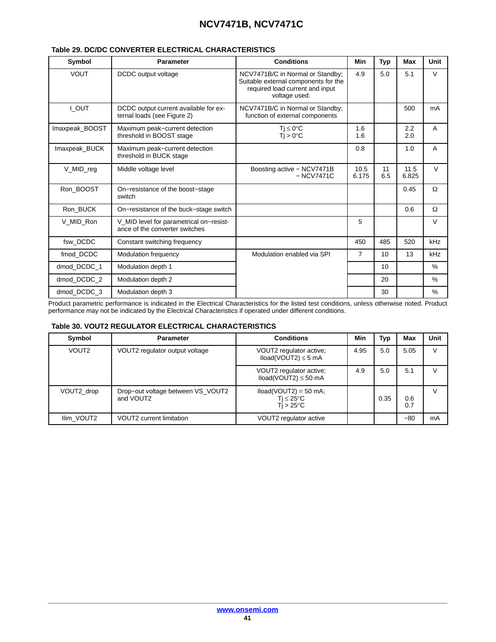| Symbol         | <b>Parameter</b>                                                          | <b>Conditions</b>                                                                                                            | Min           | <b>Typ</b> | Max           | Unit     |
|----------------|---------------------------------------------------------------------------|------------------------------------------------------------------------------------------------------------------------------|---------------|------------|---------------|----------|
| <b>VOUT</b>    | DCDC output voltage                                                       | NCV7471B/C in Normal or Standby:<br>Suitable external components for the<br>required load current and input<br>voltage used. | 4.9           | 5.0        | 5.1           | $\vee$   |
| I_OUT          | DCDC output current available for ex-<br>ternal loads (see Figure 2)      | NCV7471B/C in Normal or Standby;<br>function of external components                                                          |               |            | 500           | mA       |
| Imaxpeak_BOOST | Maximum peak-current detection<br>threshold in BOOST stage                | $Ti \leq 0$ °C<br>$Tj > 0$ °C                                                                                                | 1.6<br>1.6    |            | 2.2<br>2.0    | A        |
| Imaxpeak_BUCK  | Maximum peak-current detection<br>threshold in BUCK stage                 |                                                                                                                              | 0.8           |            | 1.0           | A        |
| V_MID_reg      | Middle voltage level                                                      | Boosting active - NCV7471B<br>$-$ NCV7471C                                                                                   | 10.5<br>6.175 | 11<br>6.5  | 11.5<br>6.825 | $\vee$   |
| Ron BOOST      | On-resistance of the boost-stage<br>switch                                |                                                                                                                              |               |            | 0.45          | Ω        |
| Ron_BUCK       | On-resistance of the buck-stage switch                                    |                                                                                                                              |               |            | 0.6           | $\Omega$ |
| V MID Ron      | V_MID level for parametrical on-resist-<br>ance of the converter switches |                                                                                                                              | 5             |            |               | $\vee$   |
| fsw_DCDC       | Constant switching frequency                                              |                                                                                                                              | 450           | 485        | 520           | kHz      |
| fmod_DCDC      | <b>Modulation frequency</b>                                               | Modulation enabled via SPI                                                                                                   | 7             | 10         | 13            | kHz      |
| dmod DCDC 1    | Modulation depth 1                                                        |                                                                                                                              |               | 10         |               | $\%$     |
| dmod_DCDC_2    | Modulation depth 2                                                        |                                                                                                                              |               | 20         |               | $\%$     |
| dmod_DCDC_3    | Modulation depth 3                                                        |                                                                                                                              |               | 30         |               | $\%$     |

#### **Table 29. DC/DC CONVERTER ELECTRICAL CHARACTERISTICS**

Product parametric performance is indicated in the Electrical Characteristics for the listed test conditions, unless otherwise noted. Product performance may not be indicated by the Electrical Characteristics if operated under different conditions.

#### **Table 30. VOUT2 REGULATOR ELECTRICAL CHARACTERISTICS**

| Symbol            | <b>Parameter</b>                               | <b>Conditions</b>                                                                 | Min  | Typ  | Max        | Unit   |
|-------------------|------------------------------------------------|-----------------------------------------------------------------------------------|------|------|------------|--------|
| VOUT <sub>2</sub> | VOUT2 regulator output voltage                 | VOUT2 regulator active;<br>$Iload(VOUT2) \leq 5 mA$                               | 4.95 | 5.0  | 5.05       | $\vee$ |
|                   |                                                | VOUT2 regulator active;<br>$Iload(VOUT2) \leq 50 mA$                              | 4.9  | 5.0  | 5.1        | $\vee$ |
| VOUT2 drop        | Drop-out voltage between VS VOUT2<br>and VOUT2 | $Iload(VOUT2) = 50 mA;$<br>Ti $\leq 25^{\circ}$ C<br>Ti > 25 $\mathrm{^{\circ}C}$ |      | 0.35 | 0.6<br>0.7 | $\vee$ |
| Ilim VOUT2        | <b>VOUT2</b> current limitation                | VOUT2 regulator active                                                            |      |      | $-80$      | mA     |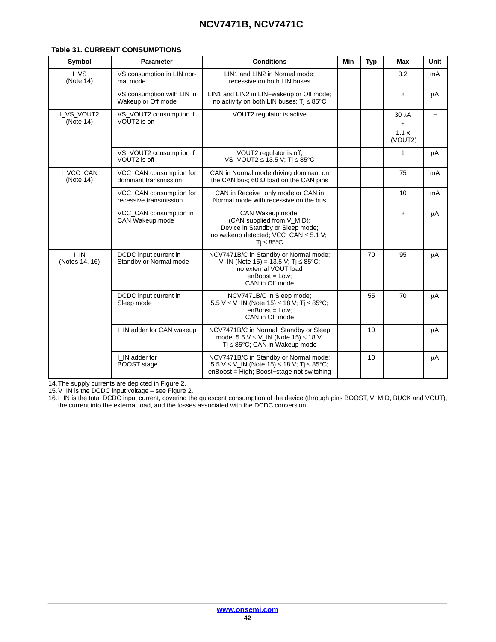| Symbol                              | <b>Parameter</b>                                  | <b>Conditions</b>                                                                                                                                        | Min | <b>Typ</b> | <b>Max</b>                          | Unit    |
|-------------------------------------|---------------------------------------------------|----------------------------------------------------------------------------------------------------------------------------------------------------------|-----|------------|-------------------------------------|---------|
| LVS<br>(Note 14)                    | VS consumption in LIN nor-<br>mal mode            | LIN1 and LIN2 in Normal mode:<br>recessive on both LIN buses                                                                                             |     |            | 3.2                                 | mA      |
|                                     | VS consumption with LIN in<br>Wakeup or Off mode  | LIN1 and LIN2 in LIN-wakeup or Off mode;<br>no activity on both LIN buses; $Ti \leq 85^{\circ}C$                                                         |     |            | 8                                   | μA      |
| I_VS_VOUT2<br>(Note 14)             | VS_VOUT2 consumption if<br>VOUT2 is on            | VOUT2 regulator is active                                                                                                                                |     |            | $30 \mu A$<br>+<br>1.1x<br>I(VOUT2) |         |
|                                     | VS_VOUT2 consumption if<br>VOUT2 is off           | VOUT2 regulator is off;<br>VS_VOUT2 $\leq$ 13.5 V; Tj $\leq$ 85°C                                                                                        |     |            | 1                                   | $\mu$ A |
| I VCC CAN<br>(Note 14)              | VCC_CAN consumption for<br>dominant transmission  | CAN in Normal mode driving dominant on<br>the CAN bus; 60 $\Omega$ load on the CAN pins                                                                  |     |            | 75                                  | mA      |
|                                     | VCC_CAN consumption for<br>recessive transmission | CAN in Receive-only mode or CAN in<br>Normal mode with recessive on the bus                                                                              |     |            | 10                                  | mA      |
|                                     | VCC_CAN consumption in<br>CAN Wakeup mode         | CAN Wakeup mode<br>(CAN supplied from V_MID);<br>Device in Standby or Sleep mode;<br>no wakeup detected; VCC_CAN $\leq$ 5.1 V;<br>$Ti \leq 85^{\circ}$ C |     |            | 2                                   | μA      |
| $\overline{I}$ IN<br>(Notes 14, 16) | DCDC input current in<br>Standby or Normal mode   | NCV7471B/C in Standby or Normal mode;<br>V_IN (Note 15) = 13.5 V; Tj $\leq$ 85°C;<br>no external VOUT load<br>$enBoost = Low;$<br>CAN in Off mode        |     | 70         | 95                                  | $\mu$ A |
|                                     | DCDC input current in<br>Sleep mode               | NCV7471B/C in Sleep mode;<br>5.5 V ≤ V_IN (Note 15) ≤ 18 V; Tj ≤ 85°C;<br>$enBoost = Low;$<br>CAN in Off mode                                            |     | 55         | 70                                  | μA      |
|                                     | I_IN adder for CAN wakeup                         | NCV7471B/C in Normal, Standby or Sleep<br>mode; 5.5 $V \le V$ IN (Note 15) $\le$ 18 V;<br>$Tj \leq 85^{\circ}C$ ; CAN in Wakeup mode                     |     | 10         |                                     | μA      |
|                                     | I IN adder for<br><b>BOOST</b> stage              | NCV7471B/C in Standby or Normal mode;<br>5.5 V $\leq$ V_IN (Note 15) $\leq$ 18 V; Tj $\leq$ 85°C;<br>enBoost = High; Boost-stage not switching           |     | 10         |                                     | μA      |

#### **Table 31. CURRENT CONSUMPTIONS**

14.The supply currents are depicted in Figure [2.](#page-4-0)

15.V\_IN is the DCDC input voltage – see Figure [2.](#page-4-0)

16.I\_IN is the total DCDC input current, covering the quiescent consumption of the device (through pins BOOST, V\_MID, BUCK and VOUT), the current into the external load, and the losses associated with the DCDC conversion.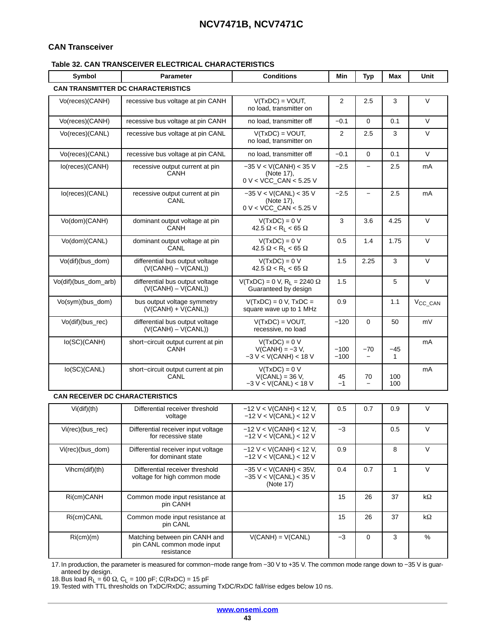#### <span id="page-42-0"></span>**CAN Transceiver**

#### **Table 32. CAN TRANSCEIVER ELECTRICAL CHARACTERISTICS**

| Symbol                                 | <b>Parameter</b>                                                          | <b>Conditions</b>                                                   | Min              | <b>Typ</b>               | Max        | Unit          |
|----------------------------------------|---------------------------------------------------------------------------|---------------------------------------------------------------------|------------------|--------------------------|------------|---------------|
|                                        | <b>CAN TRANSMITTER DC CHARACTERISTICS</b>                                 |                                                                     |                  |                          |            |               |
| Vo(reces)(CANH)                        | recessive bus voltage at pin CANH                                         | $V(TxDC) = VOUT,$<br>no load, transmitter on                        | 2                | 2.5                      | 3          | $\vee$        |
| Vo(reces)(CANH)                        | recessive bus voltage at pin CANH                                         | no load, transmitter off                                            | $-0.1$           | $\Omega$                 | 0.1        | $\vee$        |
| Vo(reces)(CANL)                        | recessive bus voltage at pin CANL                                         | $V(TxDC) = VOUT,$<br>no load, transmitter on                        | 2                | 2.5                      | 3          | V             |
| Vo(reces)(CANL)                        | recessive bus voltage at pin CANL                                         | no load, transmitter off                                            | $-0.1$           | $\mathbf 0$              | 0.1        | $\vee$        |
| lo(reces)(CANH)                        | recessive output current at pin<br>CANH                                   | $-35$ V < V(CANH) < 35 V<br>(Note 17).<br>$0 V < VCC$ _CAN < 5.25 V | $-2.5$           |                          | 2.5        | mA            |
| lo(reces)(CANL)                        | recessive output current at pin<br>CANL                                   | $-35$ V < V(CANL) < 35 V<br>(Note 17),<br>0 V < VCC_CAN < 5.25 V    | $-2.5$           | $\overline{\phantom{0}}$ | 2.5        | mA            |
| Vo(dom)(CANH)                          | dominant output voltage at pin<br>CANH                                    | $V(TxDC) = 0 V$<br>$42.5 \Omega < R_L < 65 \Omega$                  | 3                | 3.6                      | 4.25       | V             |
| Vo(dom)(CANL)                          | dominant output voltage at pin<br>CANL                                    | $V(TxDC) = 0 V$<br>$42.5 \Omega < R_L < 65 \Omega$                  | 0.5              | 1.4                      | 1.75       | V             |
| Vo(dif)(bus dom)                       | differential bus output voltage<br>$(V(CANH) - V(CANL))$                  | $V(TxDC) = 0 V$<br>$42.5 \Omega < R_1 < 65 \Omega$                  | 1.5              | 2.25                     | 3          | $\vee$        |
| Vo(dif)(bus_dom_arb)                   | differential bus output voltage<br>$(V(CANH) - V(CANL))$                  | $V(TxDC) = 0 V, RL = 2240 \Omega$<br>Guaranteed by design           | 1.5              |                          | 5          | $\vee$        |
| Vo(sym)(bus_dom)                       | bus output voltage symmetry<br>$(V(CANH) + V(CANL))$                      | $V(TxDC) = 0 V$ , $TxDC =$<br>square wave up to 1 MHz               | 0.9              |                          | 1.1        | $V_{CC\_CAN}$ |
| Vo(dif)(bus_rec)                       | differential bus output voltage<br>$(V(CANH) - V(CANL))$                  | $V(TxDC) = VOUT$<br>recessive, no load                              | $-120$           | $\mathbf 0$              | 50         | mV            |
| lo(SC)(CANH)                           | short-circuit output current at pin<br>CANH                               | $V(TxDC) = 0 V$<br>$V(CANH) = -3 V$<br>$-3 V < V(CANH) < 18 V$      | $-100$<br>$-100$ | -70                      | -45<br>1   | mA            |
| lo(SC)(CANL)                           | short-circuit output current at pin<br>CANL                               | $V(TxDC) = 0 V$<br>$V(CANL) = 36 V$ ,<br>$-3 V < V(CANL) < 18 V$    | 45<br>$-1$       | 70                       | 100<br>100 | mA            |
| <b>CAN RECEIVER DC CHARACTERISTICS</b> |                                                                           |                                                                     |                  |                          |            |               |
| Vi(dif)(th)                            | Differential receiver threshold<br>voltage                                | $-12$ V < V(CANH) < 12 V,<br>$-12$ V < V(CANL) < 12 V               | 0.5              | 0.7                      | 0.9        | $\vee$        |
| Vi(rec)(bus_rec)                       | Differential receiver input voltage<br>for recessive state                | $-12$ V < V(CANH) < 12 V,<br>$-12 V < V(CANL) < 12 V$               | $-3$             |                          | 0.5        | $\vee$        |
| Vi(rec)(bus_dom)                       | Differential receiver input voltage<br>for dominant state                 | $-12$ V < V(CANH) < 12 V,<br>$-12$ V < V(CANL) < 12 V               | 0.9              |                          | 8          | V             |
| Vihcm(dif)(th)                         | Differential receiver threshold<br>voltage for high common mode           | $-35$ V < V(CANH) < 35V,<br>$-35$ V < V(CANL) < 35 V<br>(Note 17)   | 0.4              | 0.7                      | 1          | $\vee$        |
| Ri(cm)CANH                             | Common mode input resistance at<br>pin CANH                               |                                                                     | 15               | 26                       | 37         | kΩ            |
| Ri(cm)CANL                             | Common mode input resistance at<br>pin CANL                               |                                                                     | 15               | 26                       | 37         | kΩ            |
| Ri(cm)(m)                              | Matching between pin CANH and<br>pin CANL common mode input<br>resistance | $V(CANH) = V(CANL)$                                                 | $-3$             | 0                        | 3          | $\%$          |

[17](#page-43-0).In production, the parameter is measured for common−mode range from −30 V to +35 V. The common mode range down to −35 V is guaranteed by design.

[18](#page-43-0).Bus load R<sub>L</sub> = 60 Ω, C<sub>L</sub> = 100 pF; C(RxDC) = 15 pF<br>[19](#page-43-0).Tested with TTL thresholds on TxDC/RxDC; assuming TxDC/RxDC fall/rise edges below 10 ns.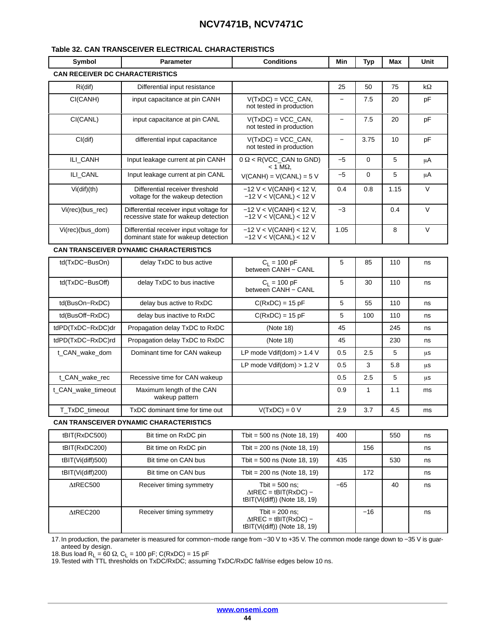#### <span id="page-43-0"></span>**Table [32.](#page-42-0) CAN TRANSCEIVER ELECTRICAL CHARACTERISTICS**

| Symbol                                 | <b>Parameter</b>                                                                | <b>Conditions</b>                                                                   | Min                      | <b>Typ</b> | Max  | Unit   |
|----------------------------------------|---------------------------------------------------------------------------------|-------------------------------------------------------------------------------------|--------------------------|------------|------|--------|
| <b>CAN RECEIVER DC CHARACTERISTICS</b> |                                                                                 |                                                                                     |                          |            |      |        |
| $Ri$ (dif)                             | Differential input resistance                                                   |                                                                                     | 25                       | 50         | 75   | kΩ     |
| CI(CANH)                               | input capacitance at pin CANH                                                   | $V(TxDC) = VCC_CAN,$<br>not tested in production                                    | $\overline{\phantom{0}}$ | 7.5        | 20   | pF     |
| CI(CANL)                               | input capacitance at pin CANL                                                   | $V(TxDC) = VCC_CAN,$<br>not tested in production                                    | $\overline{\phantom{0}}$ | 7.5        | 20   | pF     |
| Cl(dif)                                | differential input capacitance                                                  | $V(TxDC) = VCC_CAN$ ,<br>not tested in production                                   | $\overline{\phantom{0}}$ | 3.75       | 10   | pF     |
| ILI_CANH                               | Input leakage current at pin CANH                                               | $0 \Omega < R(VCC_CAN$ to GND)<br>$<$ 1 M $\Omega$ .                                | $-5$                     | 0          | 5    | μA     |
| ILI_CANL                               | Input leakage current at pin CANL                                               | $V(CANH) = V(CANL) = 5 V$                                                           | $-5$                     | 0          | 5    | μA     |
| Vi(dif)(th)                            | Differential receiver threshold<br>voltage for the wakeup detection             | $-12$ V < V(CANH) < 12 V,<br>$-12$ V < V(CANL) < 12 V                               | 0.4                      | 0.8        | 1.15 | $\vee$ |
| Vi(rec)(bus_rec)                       | Differential receiver input voltage for<br>recessive state for wakeup detection | $-12$ V < V(CANH) < 12 V,<br>$-12$ V < V(CANL) < 12 V                               | $-3$                     |            | 0.4  | $\vee$ |
| Vi(rec)(bus_dom)                       | Differential receiver input voltage for<br>dominant state for wakeup detection  | $-12$ V < V(CANH) < 12 V,<br>$-12$ V < V(CANL) < 12 V                               | 1.05                     |            | 8    | $\vee$ |
|                                        | <b>CAN TRANSCEIVER DYNAMIC CHARACTERISTICS</b>                                  |                                                                                     |                          |            |      |        |
| td(TxDC-BusOn)                         | delay TxDC to bus active                                                        | $C_L = 100 pF$<br>between CANH - CANL                                               | 5                        | 85         | 110  | ns     |
| td(TxDC-BusOff)                        | delay TxDC to bus inactive                                                      | $C_L = 100 pF$<br>between CANH - CANL                                               | 5                        | 30         | 110  | ns     |
| td(BusOn-RxDC)                         | delay bus active to RxDC                                                        | $C(RxDC) = 15pF$                                                                    | 5                        | 55         | 110  | ns     |
| td(BusOff-RxDC)                        | delay bus inactive to RxDC                                                      | $C(RxDC) = 15pF$                                                                    | 5                        | 100        | 110  | ns     |
| tdPD(TxDC-RxDC)dr                      | Propagation delay TxDC to RxDC                                                  | (Note 18)                                                                           | 45                       |            | 245  | ns     |
| tdPD(TxDC-RxDC)rd                      | Propagation delay TxDC to RxDC                                                  | (Note 18)                                                                           | 45                       |            | 230  | ns     |
| t_CAN_wake_dom                         | Dominant time for CAN wakeup                                                    | LP mode $Vdiff(dom) > 1.4 V$                                                        | 0.5                      | 2.5        | 5    | μs     |
|                                        |                                                                                 | LP mode Vdif(dom) $> 1.2$ V                                                         | 0.5                      | 3          | 5.8  | μS     |
| t_CAN_wake_rec                         | Recessive time for CAN wakeup                                                   |                                                                                     | 0.5                      | 2.5        | 5    | μs     |
| t_CAN_wake_timeout                     | Maximum length of the CAN<br>wakeup pattern                                     |                                                                                     | 0.9                      | 1          | 1.1  | ms     |
| T_TxDC_timeout                         | TxDC dominant time for time out                                                 | $V(TxDC) = 0 V$                                                                     | 2.9                      | 3.7        | 4.5  | ms     |
|                                        | <b>CAN TRANSCEIVER DYNAMIC CHARACTERISTICS</b>                                  |                                                                                     |                          |            |      |        |
| tBIT(RxDC500)                          | Bit time on RxDC pin                                                            | Tbit = $500$ ns (Note 18, 19)                                                       | 400                      |            | 550  | ns     |
| tBIT(RxDC200)                          | Bit time on RxDC pin                                                            | Tbit = $200$ ns (Note 18, 19)                                                       |                          | 156        |      | ns     |
| tBIT(Vi(diff)500)                      | Bit time on CAN bus                                                             | Tbit = $500$ ns (Note 18, 19)                                                       | 435                      |            | 530  | ns     |
| $t$ BIT $(Vi$ (diff)200)               | Bit time on CAN bus                                                             | Tbit = $200$ ns (Note 18, 19)                                                       |                          | 172        |      | ns     |
| $\triangle$ tREC500                    | Receiver timing symmetry                                                        | Tbit = $500$ ns;<br>$\triangle$ tREC = tBIT(RxDC) -<br>tBIT(Vi(diff)) (Note 18, 19) | $-65$                    |            | 40   | ns     |
| $\triangle$ tREC200                    | Receiver timing symmetry                                                        | Tbit = $200$ ns;<br>$\triangle$ tREC = tBIT(RxDC) -<br>tBIT(Vi(diff)) (Note 18, 19) |                          | -16        |      | ns     |

17.In production, the parameter is measured for common−mode range from −30 V to +35 V. The common mode range down to −35 V is guaranteed by design.

18.Bus load R<sub>L</sub> = 60 Ω, C<sub>L</sub> = 100 pF; C(RxDC) = 15 pF<br>19.Tested with TTL thresholds on TxDC/RxDC; assuming TxDC/RxDC fall/rise edges below 10 ns.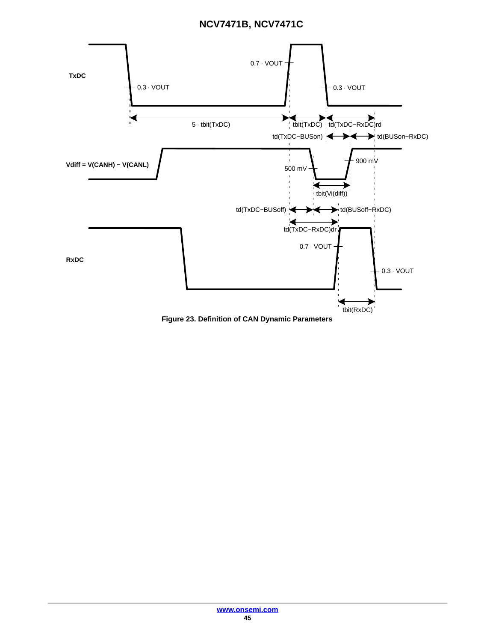

**Figure 23. Definition of CAN Dynamic Parameters**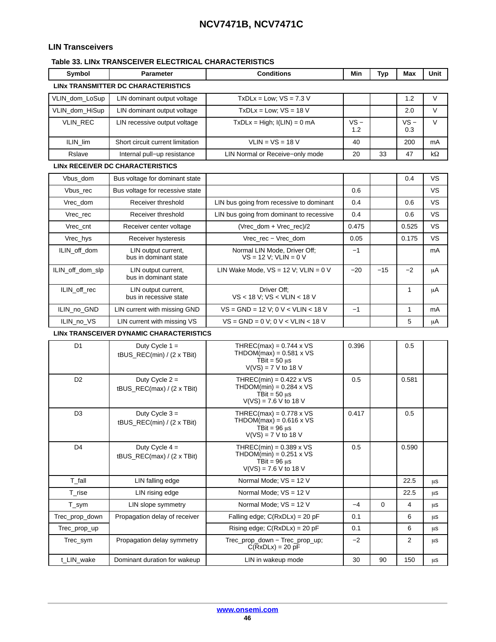### <span id="page-45-0"></span>**LIN Transceivers**

#### **Table 33. LINx TRANSCEIVER ELECTRICAL CHARACTERISTICS**

| Symbol           | <b>Parameter</b>                                      | <b>Conditions</b>                                                                                                            | Min           | <b>Typ</b> | Max           | Unit      |
|------------------|-------------------------------------------------------|------------------------------------------------------------------------------------------------------------------------------|---------------|------------|---------------|-----------|
|                  | LINX TRANSMITTER DC CHARACTERISTICS                   |                                                                                                                              |               |            |               |           |
| VLIN_dom_LoSup   | LIN dominant output voltage                           | $TxDLx = Low$ ; $VS = 7.3 V$                                                                                                 |               |            | 1.2           | V         |
| VLIN_dom_HiSup   | LIN dominant output voltage                           | $TxDLx = Low: VS = 18 V$                                                                                                     |               |            | 2.0           | V         |
| VLIN_REC         | LIN recessive output voltage                          | $TxDLx = High; I(LIN) = 0 mA$                                                                                                | $VS -$<br>1.2 |            | $VS -$<br>0.3 | $\vee$    |
| ILIN_lim         | Short circuit current limitation                      | $VLIN = VS = 18 V$                                                                                                           | 40            |            | 200           | mA        |
| Rslave           | Internal pull-up resistance                           | LIN Normal or Receive-only mode                                                                                              | 20            | 33         | 47            | $k\Omega$ |
|                  | <b>LINX RECEIVER DC CHARACTERISTICS</b>               |                                                                                                                              |               |            |               |           |
| Vbus dom         | Bus voltage for dominant state                        |                                                                                                                              |               |            | 0.4           | VS        |
| Vbus_rec         | Bus voltage for recessive state                       |                                                                                                                              | 0.6           |            |               | VS        |
| Vrec_dom         | Receiver threshold                                    | LIN bus going from recessive to dominant                                                                                     | 0.4           |            | 0.6           | VS        |
| Vrec_rec         | Receiver threshold                                    | LIN bus going from dominant to recessive                                                                                     | 0.4           |            | 0.6           | VS        |
| Vrec_cnt         | Receiver center voltage                               | (Vrec_dom + Vrec_rec)/2                                                                                                      | 0.475         |            | 0.525         | VS        |
| Vrec_hys         | Receiver hysteresis                                   | Vrec rec - Vrec dom                                                                                                          | 0.05          |            | 0.175         | VS        |
| ILIN_off_dom     | LIN output current,<br>bus in dominant state          | Normal LIN Mode, Driver Off;<br>$VS = 12 V; VLIN = 0 V$                                                                      | $-1$          |            |               | mA        |
| ILIN_off_dom_slp | LIN output current,<br>bus in dominant state          | LIN Wake Mode, $VS = 12$ V; VLIN = 0 V                                                                                       | $-20$         | $-15$      | $-2$          | μA        |
| ILIN_off_rec     | LIN output current,<br>bus in recessive state         | Driver Off:<br>VS < 18 V; VS < VLIN < 18 V                                                                                   |               |            | 1             | μA        |
| ILIN_no_GND      | LIN current with missing GND                          | $VS = GND = 12 V; 0 V < VLIN < 18 V$                                                                                         | $-1$          |            | 1             | mA        |
| ILIN_no_VS       | LIN current with missing VS                           | $VS = GND = 0 V; 0 V < VLIN < 18 V$                                                                                          |               |            | 5             | μA        |
|                  | LINX TRANSCEIVER DYNAMIC CHARACTERISTICS              |                                                                                                                              |               |            |               |           |
| D1               | Duty Cycle $1 =$<br>tBUS_REC(min) / $(2 \times TBit)$ | THREC(max) = $0.744 \times \sqrt{S}$<br>THDOM(max) = $0.581 \times VS$<br>TBit = $50 \text{ }\mu s$<br>$V(VS) = 7 V to 18 V$ | 0.396         |            | 0.5           |           |
| D <sub>2</sub>   | Duty Cycle $2 =$<br>tBUS_REC(max) / (2 x TBit)        | THREC(min) = $0.422 \times VS$<br>THDOM(min) = $0.284 \times VS$<br>TBit = $50 \text{ }\mu s$<br>$V(VS) = 7.6 V to 18 V$     | 0.5           |            | 0.581         |           |
| D <sub>3</sub>   | Duty Cycle $3 =$<br>tBUS_REC(min) / (2 x TBit)        | THREC(max) = $0.778 \times \sqrt{S}$<br>THDOM(max) = $0.616 \times VS$<br>TBit = $96 \mu s$<br>$V(VS) = 7 V to 18 V$         | 0.417         |            | 0.5           |           |
| D <sub>4</sub>   | Duty Cycle $4 =$<br>tBUS_REC(max) / (2 x TBit)        | THREC(min) = $0.389 \times VS$<br>THDOM(min) = $0.251 \times VS$<br>TBit = $96 \mu s$<br>$V(VS) = 7.6 V to 18 V$             | 0.5           |            | 0.590         |           |
| T_fall           | LIN falling edge                                      | Normal Mode: VS = 12 V                                                                                                       |               |            | 22.5          | μs        |
| T rise           | LIN rising edge                                       | Normal Mode; VS = 12 V                                                                                                       |               |            | 22.5          | μS        |
| T_sym            | LIN slope symmetry                                    | Normal Mode; VS = 12 V                                                                                                       | $-4$          | 0          | 4             | μs        |
| Trec_prop_down   | Propagation delay of receiver                         | Falling edge; $C(RxDLx) = 20 pF$                                                                                             | 0.1           |            | 6             | μS        |
| Trec_prop_up     |                                                       | Rising edge; $C(RxDLx) = 20 pF$                                                                                              | 0.1           |            | 6             | μS        |
| Trec_sym         | Propagation delay symmetry                            | Trec_prop_down - Trec_prop_up;                                                                                               | $-2$          |            | 2             | μs        |

t\_LIN\_wake Dominant duration for wakeup LIN in wakeup mode 30 90 150

C(RxDLx) = 20 pF

 $\mu s$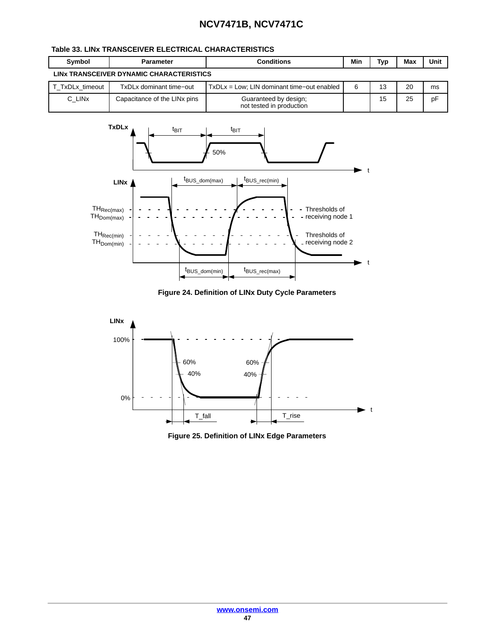### **Table [33.](#page-45-0) LINx TRANSCEIVER ELECTRICAL CHARACTERISTICS**

| Symbol             | Parameter                                | <b>Conditions</b>                                 | Min | Typ | Max | Unit |
|--------------------|------------------------------------------|---------------------------------------------------|-----|-----|-----|------|
|                    | LINX TRANSCEIVER DYNAMIC CHARACTERISTICS |                                                   |     |     |     |      |
| T TxDLx timeout    | TxDLx dominant time-out                  | TxDLx = Low; LIN dominant time-out enabled        | 6   | 13  | 20  | ms   |
| C LIN <sub>x</sub> | Capacitance of the LIN <sub>x</sub> pins | Guaranteed by design;<br>not tested in production |     | 15  | 25  | pF   |



**Figure 24. Definition of LINx Duty Cycle Parameters**



**Figure 25. Definition of LINx Edge Parameters**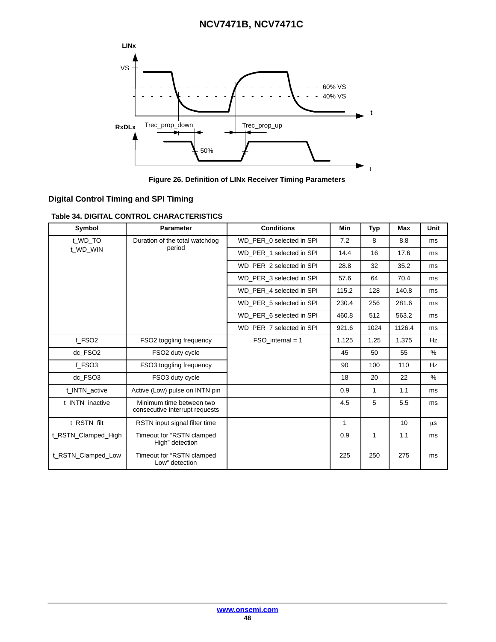<span id="page-47-0"></span>

**Figure 26. Definition of LINx Receiver Timing Parameters**

### **Digital Control Timing and SPI Timing**

**Table 34. DIGITAL CONTROL CHARACTERISTICS**

| Symbol              | <b>Parameter</b>                                           | <b>Conditions</b>        | <b>Min</b>   | Typ  | <b>Max</b> | Unit |
|---------------------|------------------------------------------------------------|--------------------------|--------------|------|------------|------|
| t WD TO             | Duration of the total watchdog                             | WD PER 0 selected in SPI | 7.2          | 8    | 8.8        | ms   |
| t WD WIN            | period                                                     | WD PER 1 selected in SPI | 14.4         | 16   | 17.6       | ms   |
|                     |                                                            | WD PER 2 selected in SPI | 28.8         | 32   | 35.2       | ms   |
|                     |                                                            | WD PER 3 selected in SPI | 57.6         | 64   | 70.4       | ms   |
|                     |                                                            | WD PER 4 selected in SPI | 115.2        | 128  | 140.8      | ms   |
|                     |                                                            | WD_PER_5 selected in SPI | 230.4        | 256  | 281.6      | ms   |
|                     |                                                            | WD PER 6 selected in SPI | 460.8        | 512  | 563.2      | ms   |
|                     |                                                            | WD PER 7 selected in SPI | 921.6        | 1024 | 1126.4     | ms   |
| f FSO <sub>2</sub>  | FSO <sub>2</sub> toggling frequency                        | $FSO$ internal = 1       | 1.125        | 1.25 | 1.375      | Hz   |
| dc FSO <sub>2</sub> | FSO <sub>2</sub> duty cycle                                |                          | 45           | 50   | 55         | $\%$ |
| f FSO3              | FSO3 toggling frequency                                    |                          | 90           | 100  | 110        | Hz   |
| dc FSO3             | FSO3 duty cycle                                            |                          | 18           | 20   | 22         | $\%$ |
| t INTN active       | Active (Low) pulse on INTN pin                             |                          | 0.9          | 1    | 1.1        | ms   |
| t INTN inactive     | Minimum time between two<br>consecutive interrupt requests |                          | 4.5          | 5    | 5.5        | ms   |
| t RSTN filt         | RSTN input signal filter time                              |                          | $\mathbf{1}$ |      | 10         | μs   |
| t RSTN Clamped High | Timeout for "RSTN clamped<br>High" detection               |                          | 0.9          | 1    | 1.1        | ms   |
| t RSTN Clamped Low  | Timeout for "RSTN clamped<br>Low" detection                |                          | 225          | 250  | 275        | ms   |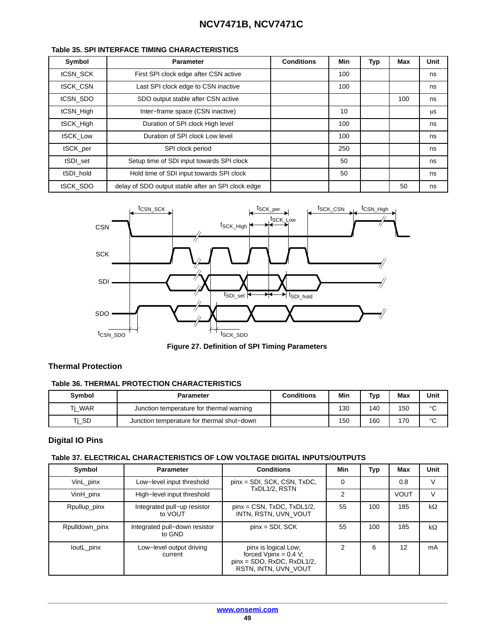| Symbol    | <b>Parameter</b>                                   | <b>Conditions</b> | Min | <b>Typ</b> | Max | Unit |
|-----------|----------------------------------------------------|-------------------|-----|------------|-----|------|
| tCSN SCK  | First SPI clock edge after CSN active              |                   | 100 |            |     | ns   |
| tSCK CSN  | Last SPI clock edge to CSN inactive                |                   | 100 |            |     | ns   |
| tCSN SDO  | SDO output stable after CSN active                 |                   |     |            | 100 | ns   |
| tCSN_High | Inter-frame space (CSN inactive)                   |                   | 10  |            |     | μS   |
| tSCK_High | Duration of SPI clock High level                   |                   | 100 |            |     | ns   |
| tSCK_Low  | Duration of SPI clock Low level                    |                   | 100 |            |     | ns   |
| tSCK_per  | SPI clock period                                   |                   | 250 |            |     | ns   |
| tSDI set  | Setup time of SDI input towards SPI clock          |                   | 50  |            |     | ns   |
| tSDI hold | Hold time of SDI input towards SPI clock           |                   | 50  |            |     | ns   |
| tSCK SDO  | delay of SDO output stable after an SPI clock edge |                   |     |            | 50  | ns   |

#### <span id="page-48-0"></span>**Table 35. SPI INTERFACE TIMING CHARACTERISTICS**



**Figure 27. Definition of SPI Timing Parameters**

#### **Thermal Protection**

#### **Table 36. THERMAL PROTECTION CHARACTERISTICS**

| <b>Symbol</b> | Parameter                                  | <b>Conditions</b> | Min | Typ | Max | Unit         |
|---------------|--------------------------------------------|-------------------|-----|-----|-----|--------------|
| Ti WAR        | Junction temperature for thermal warning   |                   | 130 | 140 | 150 | $\circ$<br>ັ |
| Ti SD         | Junction temperature for thermal shut-down |                   | 150 | 160 | 170 | $\circ$      |

#### **Digital IO Pins**

#### **Table 37. ELECTRICAL CHARACTERISTICS OF LOW VOLTAGE DIGITAL INPUTS/OUTPUTS**

| Symbol         | <b>Parameter</b>                        | <b>Conditions</b>                                                                                        | Min           | Typ | Max         | Unit      |
|----------------|-----------------------------------------|----------------------------------------------------------------------------------------------------------|---------------|-----|-------------|-----------|
| VinL pinx      | Low-level input threshold               | $pinx = SDI$ , SCK, CSN, TxDC,                                                                           | $\Omega$      |     | 0.8         | V         |
| VinH_pinx      | High-level input threshold              | TxDL1/2, RSTN                                                                                            | $\mathcal{P}$ |     | <b>VOUT</b> | $\vee$    |
| Rpullup_pinx   | Integrated pull-up resistor<br>to VOUT  | $pinx = CSN$ , $TxDC$ , $TxDL1/2$ ,<br>INTN. RSTN. UVN VOUT                                              | 55            | 100 | 185         | $k\Omega$ |
| Rpulldown_pinx | Integrated pull-down resistor<br>to GND | $pinx = SDI, SCK$                                                                                        | 55            | 100 | 185         | kΩ        |
| loutL_pinx     | Low-level output driving<br>current     | pinx is logical Low;<br>forced $Vpinx = 0.4 V$ ;<br>$pinx = SDO, RxDC, RxDL1/2,$<br>RSTN, INTN, UVN VOUT | 2             | 6   | 12          | mA        |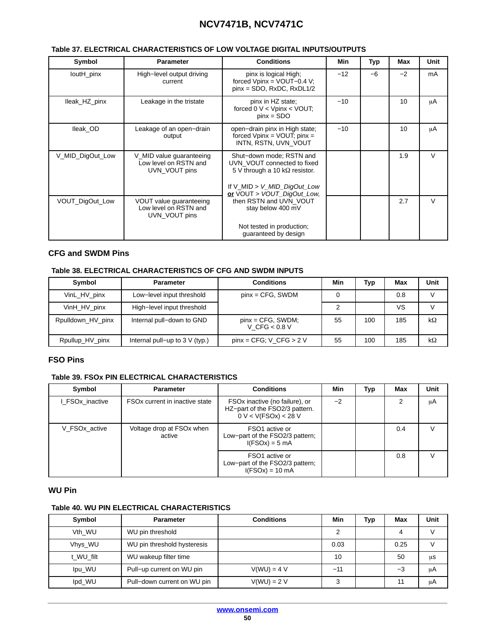#### <span id="page-49-0"></span>**Table [37.](#page-48-0) ELECTRICAL CHARACTERISTICS OF LOW VOLTAGE DIGITAL INPUTS/OUTPUTS**

| Symbol           | <b>Parameter</b>                                                   | <b>Conditions</b>                                                                                                                                             | Min   | Typ  | Max  | Unit   |
|------------------|--------------------------------------------------------------------|---------------------------------------------------------------------------------------------------------------------------------------------------------------|-------|------|------|--------|
| loutH_pinx       | High-level output driving<br>current                               | pinx is logical High;<br>forced $Vpinx = VOUT-0.4 V;$<br>$pinx = SDO, RxDC, RxDL1/2$                                                                          | $-12$ | $-6$ | $-2$ | mA     |
| lleak_HZ_pinx    | Leakage in the tristate                                            | pinx in HZ state;<br>forced $0 \vee \lt$ Vpinx $\lt$ VOUT;<br>$pinx = SDO$                                                                                    | $-10$ |      | 10   | μA     |
| lleak OD         | Leakage of an open-drain<br>output                                 | open-drain pinx in High state;<br>forced $Vpinx = VOUT$ ; pinx =<br>INTN. RSTN. UVN VOUT                                                                      | $-10$ |      | 10   | μA     |
| V_MID_DigOut_Low | V_MID value guaranteeing<br>Low level on RSTN and<br>UVN VOUT pins | Shut-down mode; RSTN and<br>UVN VOUT connected to fixed<br>5 V through a 10 k $\Omega$ resistor.<br>If V_MID > V_MID_DigOut_Low<br>or VOUT > VOUT_DigOut_Low, |       |      | 1.9  | $\vee$ |
| VOUT_DigOut_Low  | VOUT value guaranteeing<br>Low level on RSTN and<br>UVN VOUT pins  | then RSTN and UVN VOUT<br>stay below 400 mV<br>Not tested in production;<br>guaranteed by design                                                              |       |      | 2.7  | $\vee$ |

#### **CFG and SWDM Pins**

#### **Table 38. ELECTRICAL CHARACTERISTICS OF CFG AND SWDM INPUTS**

| Symbol            | <b>Parameter</b>                    | <b>Conditions</b>                       | Min | <b>Typ</b> | Max | Unit      |
|-------------------|-------------------------------------|-----------------------------------------|-----|------------|-----|-----------|
| VinL_HV_pinx      | Low-level input threshold           | $pinx = CFG$ , SWDM                     |     |            | 0.8 |           |
| VinH_HV_pinx      | High-level input threshold          |                                         | າ   |            | VS  |           |
| Rpulldown HV pinx | Internal pull-down to GND           | $pinx = CFG$ , SWDM;<br>V CFG < $0.8$ V | 55  | 100        | 185 | $k\Omega$ |
| Rpullup_HV_pinx   | Internal pull-up to $3 \vee$ (typ.) | $pinx = CFG: V CFG > 2 V$               | 55  | 100        | 185 | $k\Omega$ |

#### **FSO Pins**

#### **Table 39. FSOx PIN ELECTRICAL CHARACTERISTICS**

| Symbol          | <b>Parameter</b>                           | <b>Conditions</b>                                                                        | Min  | Typ | Max | Unit   |
|-----------------|--------------------------------------------|------------------------------------------------------------------------------------------|------|-----|-----|--------|
| I FSOx inactive | FSO <sub>x</sub> current in inactive state | FSOx inactive (no failure), or<br>HZ-part of the FSO2/3 pattern.<br>0 V < V(FSOx) < 28 V | $-2$ |     | 2   | μA     |
| V_FSOx_active   | Voltage drop at FSOx when<br>active        | FSO1 active or<br>Low-part of the FSO2/3 pattern;<br>$I(FSOx) = 5 mA$                    |      |     | 0.4 | $\vee$ |
|                 |                                            | FSO1 active or<br>Low-part of the FSO2/3 pattern;<br>$I(FSOx) = 10$ mA                   |      |     | 0.8 | V      |

#### **WU Pin**

#### **Table 40. WU PIN ELECTRICAL CHARACTERISTICS**

| Symbol             | <b>Parameter</b>            | <b>Conditions</b> | Min   | <b>Typ</b> | <b>Max</b> | Unit |
|--------------------|-----------------------------|-------------------|-------|------------|------------|------|
| V <sub>th</sub> WU | WU pin threshold            |                   |       |            | 4          |      |
| Vhys WU            | WU pin threshold hysteresis |                   | 0.03  |            | 0.25       |      |
| t WU filt          | WU wakeup filter time       |                   | 10    |            | 50         | μS   |
| Ipu WU             | Pull-up current on WU pin   | $V(WU) = 4 V$     | $-11$ |            | -3         | μA   |
| Ipd_WU             | Pull-down current on WU pin | $V(WU) = 2 V$     | 3     |            | 11         | μA   |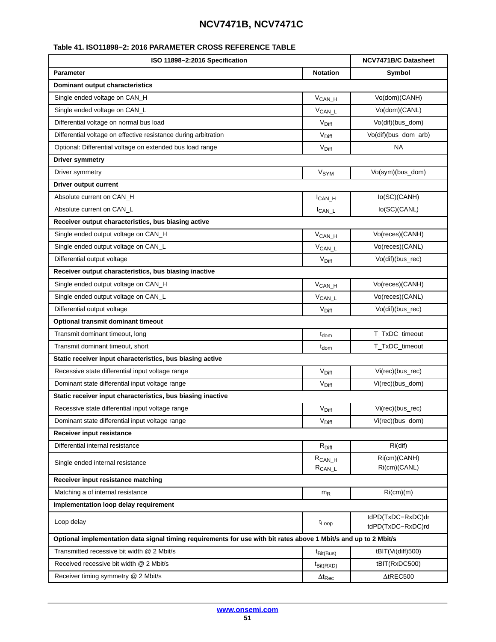#### <span id="page-50-0"></span>**Table 41. ISO11898−2: 2016 PARAMETER CROSS REFERENCE TABLE**

| ISO 11898-2:2016 Specification                                                                                   | <b>NCV7471B/C Datasheet</b>  |                                        |  |  |  |  |
|------------------------------------------------------------------------------------------------------------------|------------------------------|----------------------------------------|--|--|--|--|
| <b>Parameter</b><br><b>Notation</b>                                                                              |                              | Symbol                                 |  |  |  |  |
| <b>Dominant output characteristics</b>                                                                           |                              |                                        |  |  |  |  |
| Single ended voltage on CAN_H                                                                                    | $V_{CAN_H}$                  | Vo(dom)(CANH)                          |  |  |  |  |
| Single ended voltage on CAN_L                                                                                    | V <sub>CANL</sub>            | Vo(dom)(CANL)                          |  |  |  |  |
| Differential voltage on normal bus load                                                                          | V <sub>Diff</sub>            | Vo(dif)(bus_dom)                       |  |  |  |  |
| Differential voltage on effective resistance during arbitration                                                  | V <sub>Diff</sub>            | Vo(dif)(bus_dom_arb)                   |  |  |  |  |
| Optional: Differential voltage on extended bus load range                                                        | V <sub>Diff</sub>            | <b>NA</b>                              |  |  |  |  |
| <b>Driver symmetry</b>                                                                                           |                              |                                        |  |  |  |  |
| Driver symmetry                                                                                                  | V <sub>SYM</sub>             | Vo(sym)(bus_dom)                       |  |  |  |  |
| <b>Driver output current</b>                                                                                     |                              |                                        |  |  |  |  |
| Absolute current on CAN_H                                                                                        | $I_{CAN_H}$                  | lo(SC)(CANH)                           |  |  |  |  |
| Absolute current on CAN L                                                                                        | $I_{CAN\_L}$                 | lo(SC)(CANL)                           |  |  |  |  |
| Receiver output characteristics, bus biasing active                                                              |                              |                                        |  |  |  |  |
| Single ended output voltage on CAN_H                                                                             | $V_{CAN_H}$                  | Vo(reces)(CANH)                        |  |  |  |  |
| Single ended output voltage on CAN_L                                                                             | $V_{CAN\_L}$                 | Vo(reces)(CANL)                        |  |  |  |  |
| Differential output voltage                                                                                      | $V_{\text{Diff}}$            | Vo(dif)(bus_rec)                       |  |  |  |  |
| Receiver output characteristics, bus biasing inactive                                                            |                              |                                        |  |  |  |  |
| Single ended output voltage on CAN_H                                                                             | $V_{CAN_H}$                  | Vo(reces)(CANH)                        |  |  |  |  |
| Single ended output voltage on CAN_L                                                                             | $V_{CAN\_L}$                 | Vo(reces)(CANL)                        |  |  |  |  |
| Differential output voltage                                                                                      | V <sub>Diff</sub>            | Vo(dif)(bus_rec)                       |  |  |  |  |
| Optional transmit dominant timeout                                                                               |                              |                                        |  |  |  |  |
| Transmit dominant timeout, long                                                                                  | t <sub>dom</sub>             | T_TxDC_timeout                         |  |  |  |  |
| Transmit dominant timeout, short                                                                                 | $t_{dom}$                    | T_TxDC_timeout                         |  |  |  |  |
| Static receiver input characteristics, bus biasing active                                                        |                              |                                        |  |  |  |  |
| Recessive state differential input voltage range                                                                 | $V_{\text{Diff}}$            | Vi(rec)(bus rec)                       |  |  |  |  |
| Dominant state differential input voltage range                                                                  | $V_{\text{Diff}}$            | Vi(rec)(bus_dom)                       |  |  |  |  |
| Static receiver input characteristics, bus biasing inactive                                                      |                              |                                        |  |  |  |  |
| Recessive state differential input voltage range                                                                 | $V_{\text{Diff}}$            | Vi(rec)(bus_rec)                       |  |  |  |  |
| Dominant state differential input voltage range                                                                  | $\mathrm{V}_{\mathrm{Diff}}$ | Vi(rec)(bus_dom)                       |  |  |  |  |
| Receiver input resistance                                                                                        |                              |                                        |  |  |  |  |
| Differential internal resistance                                                                                 | $R_{Diff}$                   | $Ri$ (dif)                             |  |  |  |  |
| Single ended internal resistance                                                                                 | $R_{CAN_H}$<br>$R_{CAN\_L}$  | Ri(cm)(CANH)<br>Ri(cm)(CANL)           |  |  |  |  |
| Receiver input resistance matching                                                                               |                              |                                        |  |  |  |  |
| Matching a of internal resistance                                                                                | $m_R$                        | Ri(cm)(m)                              |  |  |  |  |
| Implementation loop delay requirement                                                                            |                              |                                        |  |  |  |  |
| Loop delay                                                                                                       |                              | tdPD(TxDC-RxDC)dr<br>tdPD(TxDC-RxDC)rd |  |  |  |  |
| Optional implementation data signal timing requirements for use with bit rates above 1 Mbit/s and up to 2 Mbit/s |                              |                                        |  |  |  |  |
| Transmitted recessive bit width @ 2 Mbit/s                                                                       | $t_{\text{Bit(Bus)}}$        | tBIT(Vi(diff)500)                      |  |  |  |  |
| Received recessive bit width @ 2 Mbit/s                                                                          | $t_{Bit(RXD)}$               | tBIT(RxDC500)                          |  |  |  |  |
| Receiver timing symmetry @ 2 Mbit/s                                                                              | $\Delta t_{\mathsf{Rec}}$    | $\triangle$ tREC500                    |  |  |  |  |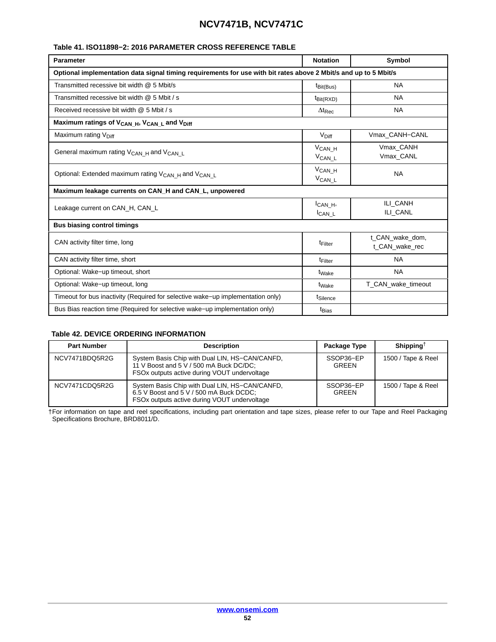#### <span id="page-51-0"></span>**Table [41](#page-50-0). ISO11898−2: 2016 PARAMETER CROSS REFERENCE TABLE**

| <b>Parameter</b>                                                                                                 | <b>Notation</b>                     | Symbol                            |  |  |  |  |
|------------------------------------------------------------------------------------------------------------------|-------------------------------------|-----------------------------------|--|--|--|--|
| Optional implementation data signal timing requirements for use with bit rates above 2 Mbit/s and up to 5 Mbit/s |                                     |                                   |  |  |  |  |
| Transmitted recessive bit width @ 5 Mbit/s                                                                       | $t_{\text{Bit(Bus)}}$               | <b>NA</b>                         |  |  |  |  |
| Transmitted recessive bit width @ 5 Mbit / s                                                                     | $t_{\text{Bit(RXD)}}$               | <b>NA</b>                         |  |  |  |  |
| Received recessive bit width @ 5 Mbit / s                                                                        | $\Delta t_{\text{Rec}}$             | <b>NA</b>                         |  |  |  |  |
| Maximum ratings of V <sub>CAN_H</sub> , V <sub>CAN_L</sub> and V <sub>Diff</sub>                                 |                                     |                                   |  |  |  |  |
| Maximum rating V <sub>Diff</sub>                                                                                 | $V_{\text{Diff}}$                   | Vmax CANH-CANL                    |  |  |  |  |
| General maximum rating $V_{\text{CAN H}}$ and $V_{\text{CAN L}}$                                                 | $V_{CAN_H}$<br>V <sub>CAN_L</sub>   | Vmax CANH<br>Vmax_CANL            |  |  |  |  |
| Optional: Extended maximum rating V <sub>CAN_H</sub> and V <sub>CAN_L</sub>                                      | $V_{CAN_H}$<br>$V_{CAN\_L}$         | <b>NA</b>                         |  |  |  |  |
| Maximum leakage currents on CAN_H and CAN_L, unpowered                                                           |                                     |                                   |  |  |  |  |
| Leakage current on CAN_H, CAN_L                                                                                  | ICAN H <sub>1</sub><br>$I_{CAN\_L}$ | ILI CANH<br>ILI CANL              |  |  |  |  |
| <b>Bus biasing control timings</b>                                                                               |                                     |                                   |  |  |  |  |
| CAN activity filter time, long                                                                                   | <sup>t</sup> Filter                 | t_CAN_wake_dom,<br>t CAN wake rec |  |  |  |  |
| CAN activity filter time, short                                                                                  | t <sub>Filter</sub>                 | <b>NA</b>                         |  |  |  |  |
| Optional: Wake-up timeout, short                                                                                 | t <sub>Wake</sub>                   | <b>NA</b>                         |  |  |  |  |
| Optional: Wake-up timeout, long                                                                                  | t <sub>Wake</sub>                   | T_CAN_wake_timeout                |  |  |  |  |
| Timeout for bus inactivity (Required for selective wake–up implementation only)                                  | t <sub>Silence</sub>                |                                   |  |  |  |  |
| Bus Bias reaction time (Required for selective wake–up implementation only)                                      | t <sub>Bias</sub>                   |                                   |  |  |  |  |

#### **Table 42. DEVICE ORDERING INFORMATION**

| <b>Part Number</b> | <b>Description</b>                                                                                                                        | Package Type              | Shipping <sup><math>\dagger</math></sup> |
|--------------------|-------------------------------------------------------------------------------------------------------------------------------------------|---------------------------|------------------------------------------|
| NCV7471BDQ5R2G     | System Basis Chip with Dual LIN, HS-CAN/CANFD,<br>11 V Boost and 5 V / 500 mA Buck DC/DC;<br>FSOx outputs active during VOUT undervoltage | SSOP36-EP<br><b>GREEN</b> | 1500 / Tape & Reel                       |
| NCV7471CDQ5R2G     | System Basis Chip with Dual LIN, HS-CAN/CANFD,<br>6.5 V Boost and 5 V / 500 mA Buck DCDC;<br>FSOx outputs active during VOUT undervoltage | SSOP36-EP<br><b>GREEN</b> | 1500 / Tape & Reel                       |

†For information on tape and reel specifications, including part orientation and tape sizes, please refer to our Tape and Reel Packaging Specifications Brochure, BRD8011/D.